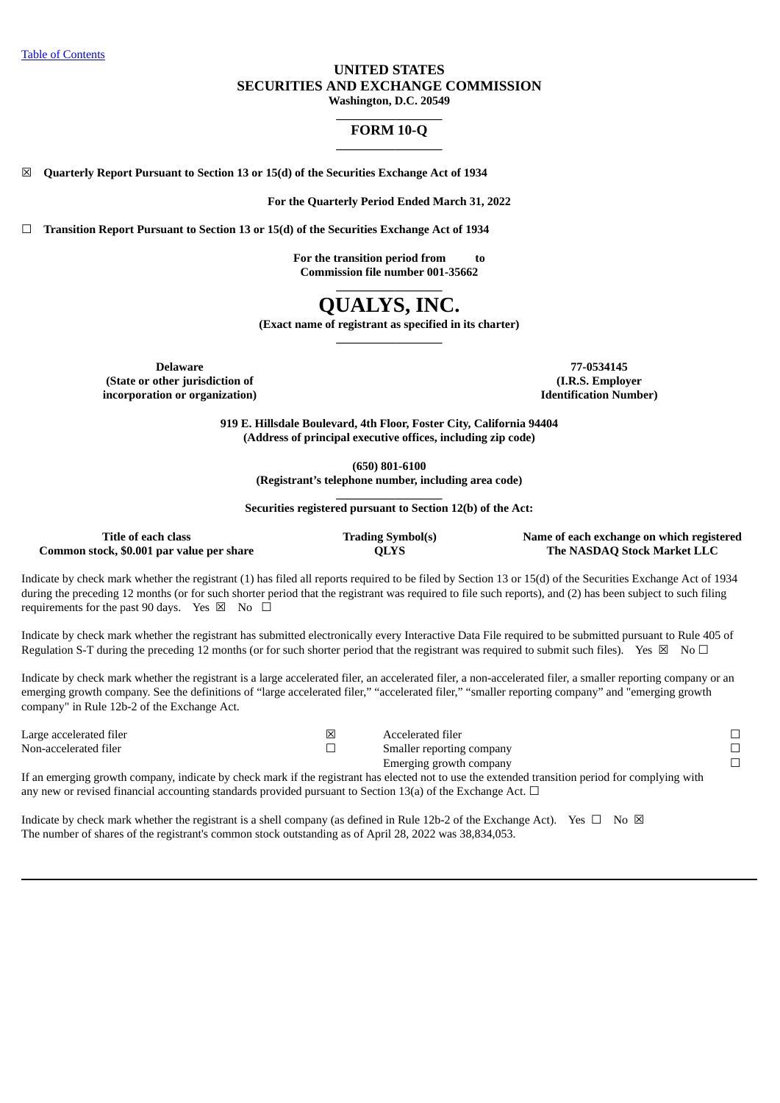# **UNITED STATES SECURITIES AND EXCHANGE COMMISSION**

**Washington, D.C. 20549 \_\_\_\_\_\_\_\_\_\_\_\_\_\_\_\_\_\_**

## **FORM 10-Q \_\_\_\_\_\_\_\_\_\_\_\_\_\_\_\_\_\_**

☒ **Quarterly Report Pursuant to Section 13 or 15(d) of the Securities Exchange Act of 1934**

**For the Quarterly Period Ended March 31, 2022**

☐ **Transition Report Pursuant to Section 13 or 15(d) of the Securities Exchange Act of 1934**

**For the transition period from to Commission file number 001-35662**

# **\_\_\_\_\_\_\_\_\_\_\_\_\_\_\_\_\_\_ QUALYS, INC.**

**(Exact name of registrant as specified in its charter) \_\_\_\_\_\_\_\_\_\_\_\_\_\_\_\_\_\_**

**Delaware 77-0534145 (State or other jurisdiction of (I.R.S. Employer incorporation or organization) Identification Number)**

**919 E. Hillsdale Boulevard, 4th Floor, Foster City, California 94404 (Address of principal executive offices, including zip code)**

**(650) 801-6100**

**(Registrant's telephone number, including area code) \_\_\_\_\_\_\_\_\_\_\_\_\_\_\_\_\_\_**

## **Securities registered pursuant to Section 12(b) of the Act:**

| Title of each class                       | <b>Trading Symbol(s)</b> | Name of each exchange on which registered |
|-------------------------------------------|--------------------------|-------------------------------------------|
| Common stock, \$0.001 par value per share | <b>OLYS</b>              | The NASDAQ Stock Market LLC               |

Indicate by check mark whether the registrant (1) has filed all reports required to be filed by Section 13 or 15(d) of the Securities Exchange Act of 1934 during the preceding 12 months (or for such shorter period that the registrant was required to file such reports), and (2) has been subject to such filing requirements for the past 90 days. Yes  $\boxtimes$  No  $\Box$ 

Indicate by check mark whether the registrant has submitted electronically every Interactive Data File required to be submitted pursuant to Rule 405 of Regulation S-T during the preceding 12 months (or for such shorter period that the registrant was required to submit such files). Yes  $\boxtimes$  No  $\Box$ 

Indicate by check mark whether the registrant is a large accelerated filer, an accelerated filer, a non-accelerated filer, a smaller reporting company or an emerging growth company. See the definitions of "large accelerated filer," "accelerated filer," "smaller reporting company" and "emerging growth company" in Rule 12b-2 of the Exchange Act.

Large accelerated filer  $\square$  Accelerated filer  $\square$ Non-accelerated filer Smaller reporting company □

Emerging growth company **□** 

If an emerging growth company, indicate by check mark if the registrant has elected not to use the extended transition period for complying with any new or revised financial accounting standards provided pursuant to Section 13(a) of the Exchange Act.  $\Box$ 

Indicate by check mark whether the registrant is a shell company (as defined in Rule 12b-2 of the Exchange Act). Yes  $\Box$  No  $\boxtimes$ The number of shares of the registrant's common stock outstanding as of April 28, 2022 was 38,834,053.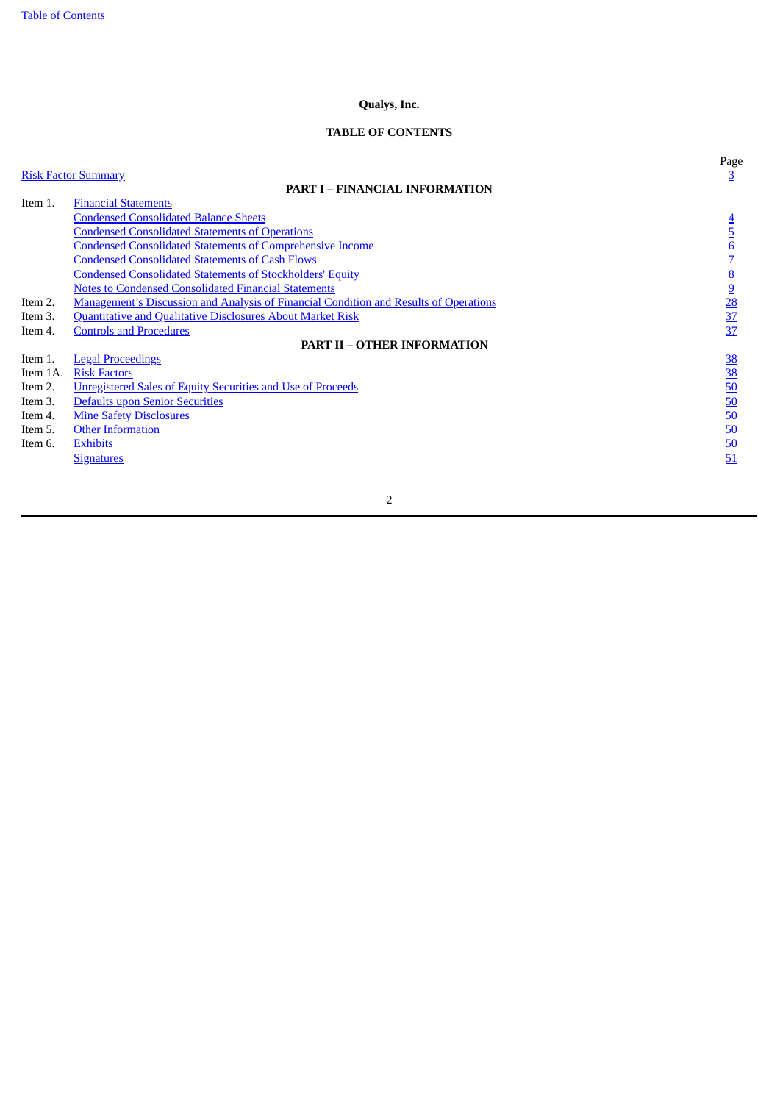## **Qualys, Inc.**

## **TABLE OF CONTENTS**

Page

<span id="page-1-0"></span>

|          | <b>Risk Factor Summary</b>                                                                   | $\overline{3}$              |
|----------|----------------------------------------------------------------------------------------------|-----------------------------|
|          | <b>PART I - FINANCIAL INFORMATION</b>                                                        |                             |
| Item 1.  | <b>Financial Statements</b>                                                                  |                             |
|          | <b>Condensed Consolidated Balance Sheets</b>                                                 | $\overline{4}$              |
|          | <b>Condensed Consolidated Statements of Operations</b>                                       | 5                           |
|          | <b>Condensed Consolidated Statements of Comprehensive Income</b>                             |                             |
|          | <b>Condensed Consolidated Statements of Cash Flows</b>                                       | $\frac{6}{2}$ $\frac{8}{9}$ |
|          | <b>Condensed Consolidated Statements of Stockholders' Equity</b>                             |                             |
|          | <b>Notes to Condensed Consolidated Financial Statements</b>                                  |                             |
| Item 2.  | <b>Management's Discussion and Analysis of Financial Condition and Results of Operations</b> | $\overline{28}$             |
| Item 3.  | Quantitative and Qualitative Disclosures About Market Risk                                   | 37                          |
| Item 4.  | <b>Controls and Procedures</b>                                                               | 37                          |
|          | <b>PART II - OTHER INFORMATION</b>                                                           |                             |
| Item 1.  | <b>Legal Proceedings</b>                                                                     | $\underline{38}$            |
| Item 1A. | <b>Risk Factors</b>                                                                          | 38                          |
| Item 2.  | <b>Unregistered Sales of Equity Securities and Use of Proceeds</b>                           | 50                          |
| Item 3.  | <b>Defaults upon Senior Securities</b>                                                       | 50                          |
| Item 4.  | <b>Mine Safety Disclosures</b>                                                               | 50                          |
| Item 5.  | <b>Other Information</b>                                                                     | 50                          |
| Item 6.  | <b>Exhibits</b>                                                                              | 50                          |
|          | <b>Signatures</b>                                                                            | 51                          |
|          |                                                                                              |                             |
|          |                                                                                              |                             |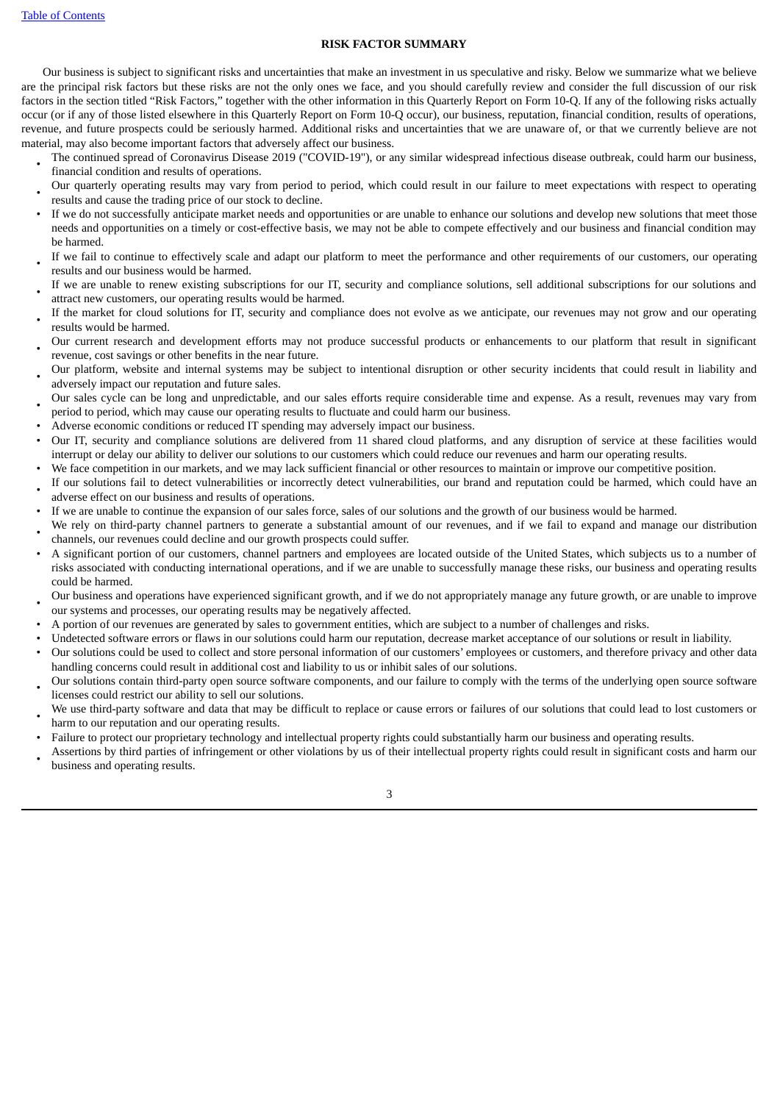## **RISK FACTOR SUMMARY**

<span id="page-2-0"></span>Our business is subject to significant risks and uncertainties that make an investment in us speculative and risky. Below we summarize what we believe are the principal risk factors but these risks are not the only ones we face, and you should carefully review and consider the full discussion of our risk factors in the section titled "Risk Factors," together with the other information in this Quarterly Report on Form 10-Q. If any of the following risks actually occur (or if any of those listed elsewhere in this Quarterly Report on Form 10-Q occur), our business, reputation, financial condition, results of operations, revenue, and future prospects could be seriously harmed. Additional risks and uncertainties that we are unaware of, or that we currently believe are not material, may also become important factors that adversely affect our business.

- The continued spread of Coronavirus Disease 2019 ("COVID-19"), or any similar widespread infectious disease outbreak, could harm our business, financial condition and results of operations.
- Our quarterly operating results may vary from period to period, which could result in our failure to meet expectations with respect to operating results and cause the trading price of our stock to decline.
- If we do not successfully anticipate market needs and opportunities or are unable to enhance our solutions and develop new solutions that meet those needs and opportunities on a timely or cost-effective basis, we may not be able to compete effectively and our business and financial condition may be harmed.
- If we fail to continue to effectively scale and adapt our platform to meet the performance and other requirements of our customers, our operating results and our business would be harmed.
- If we are unable to renew existing subscriptions for our IT, security and compliance solutions, sell additional subscriptions for our solutions and attract new customers, our operating results would be harmed.
- If the market for cloud solutions for IT, security and compliance does not evolve as we anticipate, our revenues may not grow and our operating results would be harmed.
- Our current research and development efforts may not produce successful products or enhancements to our platform that result in significant revenue, cost savings or other benefits in the near future.
- Our platform, website and internal systems may be subject to intentional disruption or other security incidents that could result in liability and adversely impact our reputation and future sales.
- Our sales cycle can be long and unpredictable, and our sales efforts require considerable time and expense. As a result, revenues may vary from period to period, which may cause our operating results to fluctuate and could harm our business.
- Adverse economic conditions or reduced IT spending may adversely impact our business.
- Our IT, security and compliance solutions are delivered from 11 shared cloud platforms, and any disruption of service at these facilities would interrupt or delay our ability to deliver our solutions to our customers which could reduce our revenues and harm our operating results.
- We face competition in our markets, and we may lack sufficient financial or other resources to maintain or improve our competitive position.
- If our solutions fail to detect vulnerabilities or incorrectly detect vulnerabilities, our brand and reputation could be harmed, which could have an adverse effect on our business and results of operations.
- If we are unable to continue the expansion of our sales force, sales of our solutions and the growth of our business would be harmed.
- We rely on third-party channel partners to generate <sup>a</sup> substantial amount of our revenues, and if we fail to expand and manage our distribution channels, our revenues could decline and our growth prospects could suffer.
- A significant portion of our customers, channel partners and employees are located outside of the United States, which subjects us to a number of risks associated with conducting international operations, and if we are unable to successfully manage these risks, our business and operating results could be harmed.
- Our business and operations have experienced significant growth, and if we do not appropriately manage any future growth, or are unable to improve our systems and processes, our operating results may be negatively affected.
- A portion of our revenues are generated by sales to government entities, which are subject to a number of challenges and risks.
- Undetected software errors or flaws in our solutions could harm our reputation, decrease market acceptance of our solutions or result in liability.
- Our solutions could be used to collect and store personal information of our customers' employees or customers, and therefore privacy and other data handling concerns could result in additional cost and liability to us or inhibit sales of our solutions.
- Our solutions contain third-party open source software components, and our failure to comply with the terms of the underlying open source software licenses could restrict our ability to sell our solutions.
- We use third-party software and data that may be difficult to replace or cause errors or failures of our solutions that could lead to lost customers or harm to our reputation and our operating results.
- Failure to protect our proprietary technology and intellectual property rights could substantially harm our business and operating results.
- Assertions by third parties of infringement or other violations by us of their intellectual property rights could result in significant costs and harm our business and operating results.

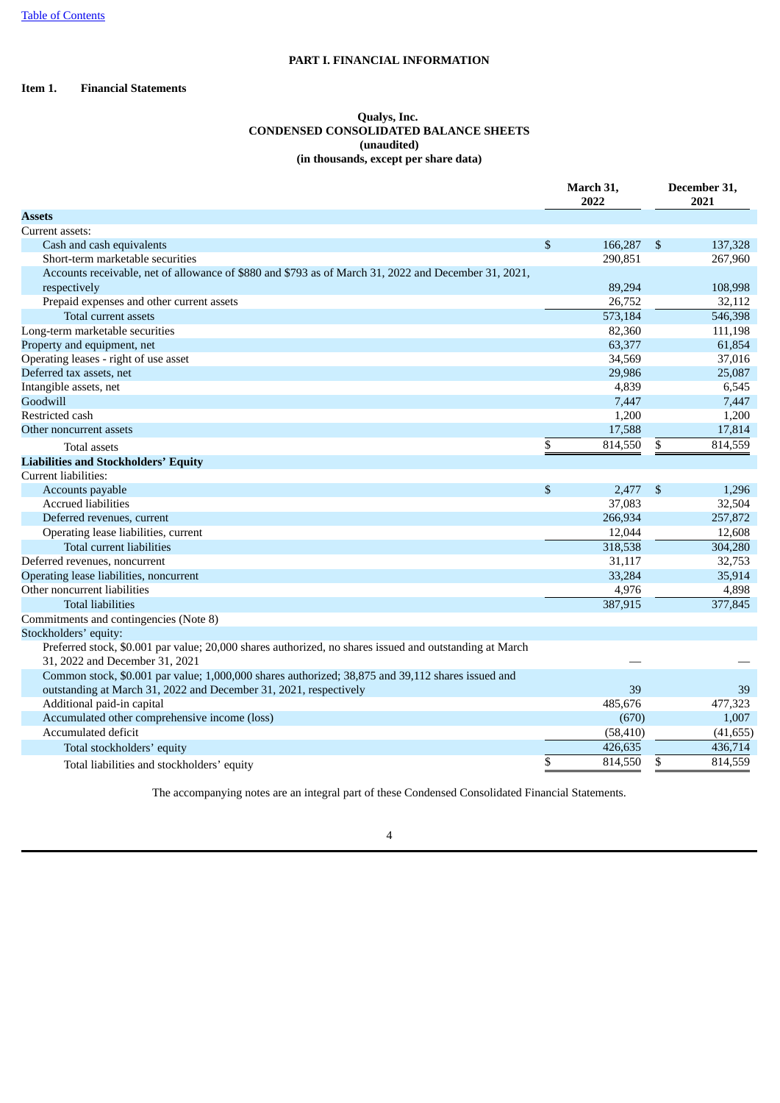## **PART I. FINANCIAL INFORMATION**

## <span id="page-3-1"></span><span id="page-3-0"></span>**Item 1. Financial Statements**

## **Qualys, Inc. CONDENSED CONSOLIDATED BALANCE SHEETS (unaudited) (in thousands, except per share data)**

|                                                                                                         | March 31,<br>2022 |                | December 31,<br>2021 |
|---------------------------------------------------------------------------------------------------------|-------------------|----------------|----------------------|
| <b>Assets</b>                                                                                           |                   |                |                      |
| Current assets:                                                                                         |                   |                |                      |
| Cash and cash equivalents                                                                               | \$<br>166,287     | -\$            | 137,328              |
| Short-term marketable securities                                                                        | 290,851           |                | 267,960              |
| Accounts receivable, net of allowance of \$880 and \$793 as of March 31, 2022 and December 31, 2021,    |                   |                |                      |
| respectively                                                                                            | 89,294            |                | 108,998              |
| Prepaid expenses and other current assets                                                               | 26,752            |                | 32,112               |
| Total current assets                                                                                    | 573,184           |                | 546,398              |
| Long-term marketable securities                                                                         | 82,360            |                | 111,198              |
| Property and equipment, net                                                                             | 63,377            |                | 61,854               |
| Operating leases - right of use asset                                                                   | 34,569            |                | 37,016               |
| Deferred tax assets, net                                                                                | 29,986            |                | 25,087               |
| Intangible assets, net                                                                                  | 4,839             |                | 6,545                |
| Goodwill                                                                                                | 7,447             |                | 7,447                |
| Restricted cash                                                                                         | 1,200             |                | 1,200                |
| Other noncurrent assets                                                                                 | 17,588            |                | 17,814               |
| <b>Total assets</b>                                                                                     | \$<br>814,550     | \$             | 814,559              |
| <b>Liabilities and Stockholders' Equity</b>                                                             |                   |                |                      |
| Current liabilities:                                                                                    |                   |                |                      |
| Accounts payable                                                                                        | \$<br>2,477       | $\mathfrak{s}$ | 1,296                |
| <b>Accrued liabilities</b>                                                                              | 37,083            |                | 32,504               |
| Deferred revenues, current                                                                              | 266,934           |                | 257,872              |
| Operating lease liabilities, current                                                                    | 12,044            |                | 12,608               |
| <b>Total current liabilities</b>                                                                        | 318,538           |                | 304,280              |
| Deferred revenues, noncurrent                                                                           | 31,117            |                | 32,753               |
| Operating lease liabilities, noncurrent                                                                 | 33,284            |                | 35,914               |
| Other noncurrent liabilities                                                                            | 4,976             |                | 4,898                |
| <b>Total liabilities</b>                                                                                | 387,915           |                | 377,845              |
| Commitments and contingencies (Note 8)                                                                  |                   |                |                      |
| Stockholders' equity:                                                                                   |                   |                |                      |
| Preferred stock, \$0.001 par value; 20,000 shares authorized, no shares issued and outstanding at March |                   |                |                      |
| 31, 2022 and December 31, 2021                                                                          |                   |                |                      |
| Common stock, \$0.001 par value; 1,000,000 shares authorized; 38,875 and 39,112 shares issued and       |                   |                |                      |
| outstanding at March 31, 2022 and December 31, 2021, respectively                                       | 39                |                | 39                   |
| Additional paid-in capital                                                                              | 485,676           |                | 477,323              |
| Accumulated other comprehensive income (loss)                                                           | (670)             |                | 1,007                |
| Accumulated deficit                                                                                     | (58, 410)         |                | (41, 655)            |
| Total stockholders' equity                                                                              | 426,635           |                | 436,714              |
| Total liabilities and stockholders' equity                                                              | \$<br>814,550     | \$             | 814,559              |

The accompanying notes are an integral part of these Condensed Consolidated Financial Statements.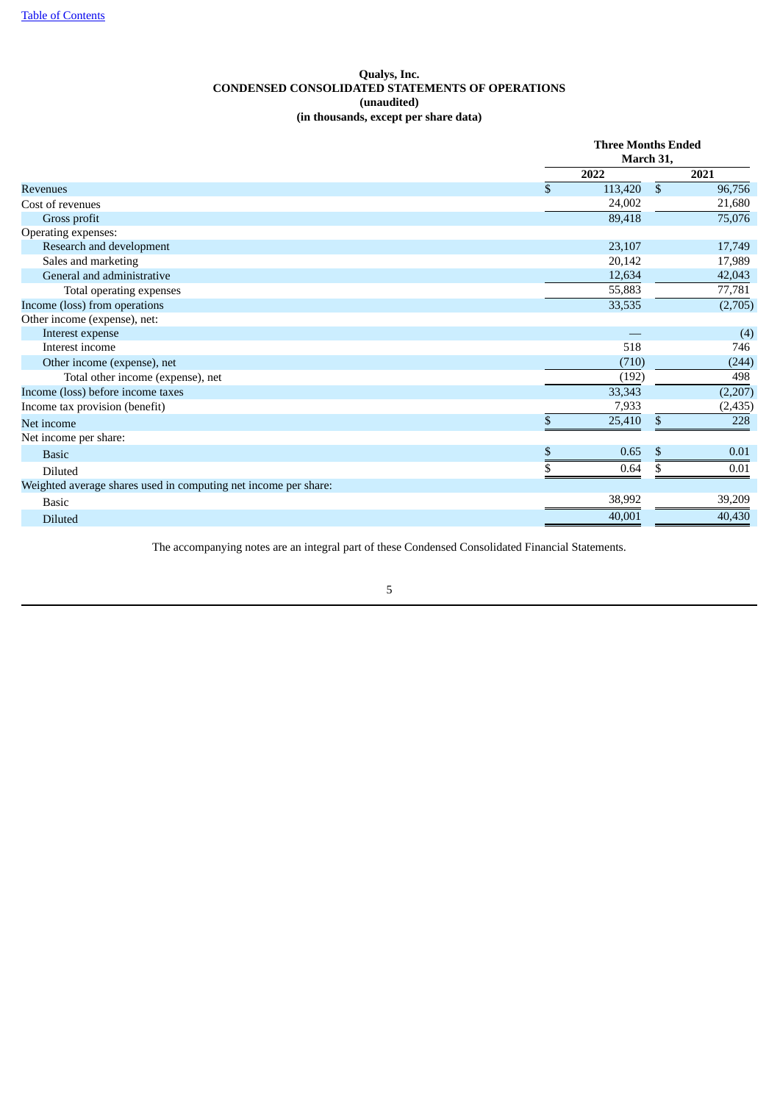## **Qualys, Inc. CONDENSED CONSOLIDATED STATEMENTS OF OPERATIONS (unaudited) (in thousands, except per share data)**

<span id="page-4-0"></span>

|                                                                 | <b>Three Months Ended</b><br>March 31, |         |              |          |
|-----------------------------------------------------------------|----------------------------------------|---------|--------------|----------|
|                                                                 |                                        | 2022    |              | 2021     |
| <b>Revenues</b>                                                 | \$                                     | 113,420 | $\mathbb{S}$ | 96,756   |
| Cost of revenues                                                |                                        | 24,002  |              | 21,680   |
| Gross profit                                                    |                                        | 89,418  |              | 75,076   |
| Operating expenses:                                             |                                        |         |              |          |
| Research and development                                        |                                        | 23,107  |              | 17,749   |
| Sales and marketing                                             |                                        | 20,142  |              | 17,989   |
| General and administrative                                      |                                        | 12,634  |              | 42,043   |
| Total operating expenses                                        |                                        | 55,883  |              | 77,781   |
| Income (loss) from operations                                   |                                        | 33,535  |              | (2,705)  |
| Other income (expense), net:                                    |                                        |         |              |          |
| Interest expense                                                |                                        |         |              | (4)      |
| Interest income                                                 |                                        | 518     |              | 746      |
| Other income (expense), net                                     |                                        | (710)   |              | (244)    |
| Total other income (expense), net                               |                                        | (192)   |              | 498      |
| Income (loss) before income taxes                               |                                        | 33,343  |              | (2,207)  |
| Income tax provision (benefit)                                  |                                        | 7,933   |              | (2, 435) |
| Net income                                                      | \$                                     | 25,410  | \$           | 228      |
| Net income per share:                                           |                                        |         |              |          |
| <b>Basic</b>                                                    | \$                                     | 0.65    | \$           | 0.01     |
| <b>Diluted</b>                                                  |                                        | 0.64    | \$           | 0.01     |
| Weighted average shares used in computing net income per share: |                                        |         |              |          |
| <b>Basic</b>                                                    |                                        | 38,992  |              | 39,209   |
| <b>Diluted</b>                                                  |                                        | 40,001  |              | 40,430   |

The accompanying notes are an integral part of these Condensed Consolidated Financial Statements.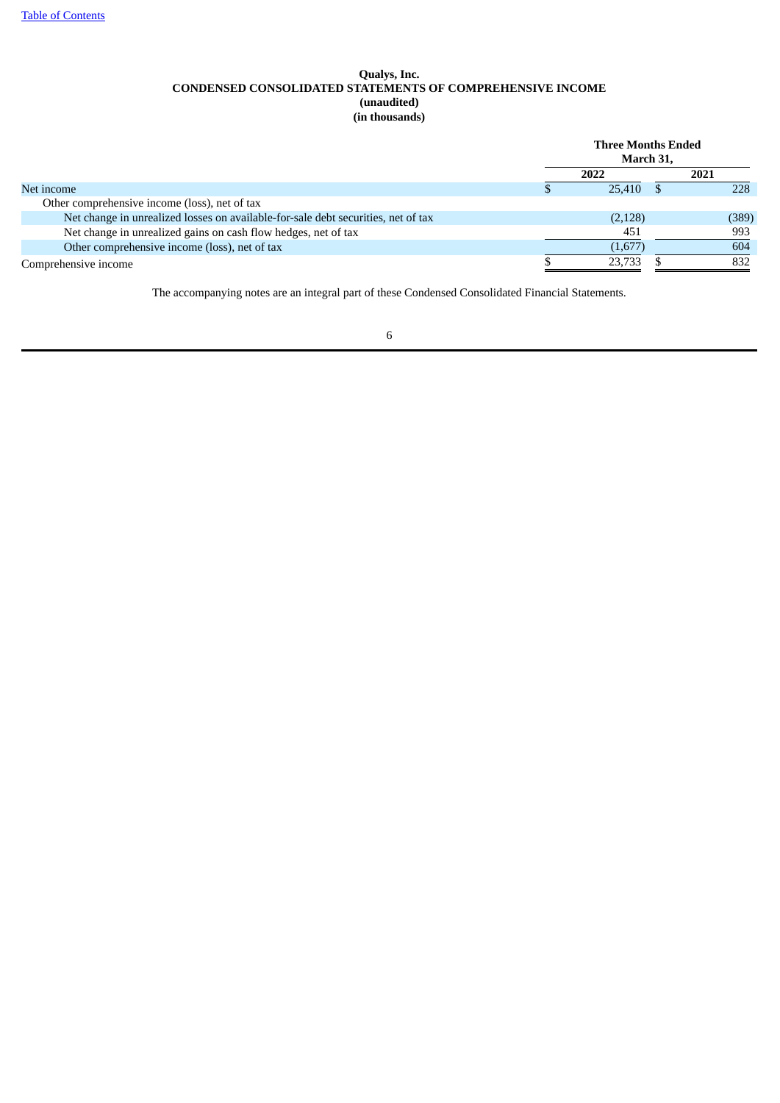## **Qualys, Inc. CONDENSED CONSOLIDATED STATEMENTS OF COMPREHENSIVE INCOME (unaudited) (in thousands)**

<span id="page-5-0"></span>

|                                                                                   | <b>Three Months Ended</b><br>March 31, |          |  |       |
|-----------------------------------------------------------------------------------|----------------------------------------|----------|--|-------|
|                                                                                   |                                        | 2022     |  | 2021  |
| Net income                                                                        |                                        | 25.410   |  | 228   |
| Other comprehensive income (loss), net of tax                                     |                                        |          |  |       |
| Net change in unrealized losses on available-for-sale debt securities, net of tax |                                        | (2, 128) |  | (389) |
| Net change in unrealized gains on cash flow hedges, net of tax                    |                                        | 451      |  | 993   |
| Other comprehensive income (loss), net of tax                                     |                                        | (1,677)  |  | 604   |
| Comprehensive income                                                              |                                        | 23.733   |  | 832   |

The accompanying notes are an integral part of these Condensed Consolidated Financial Statements.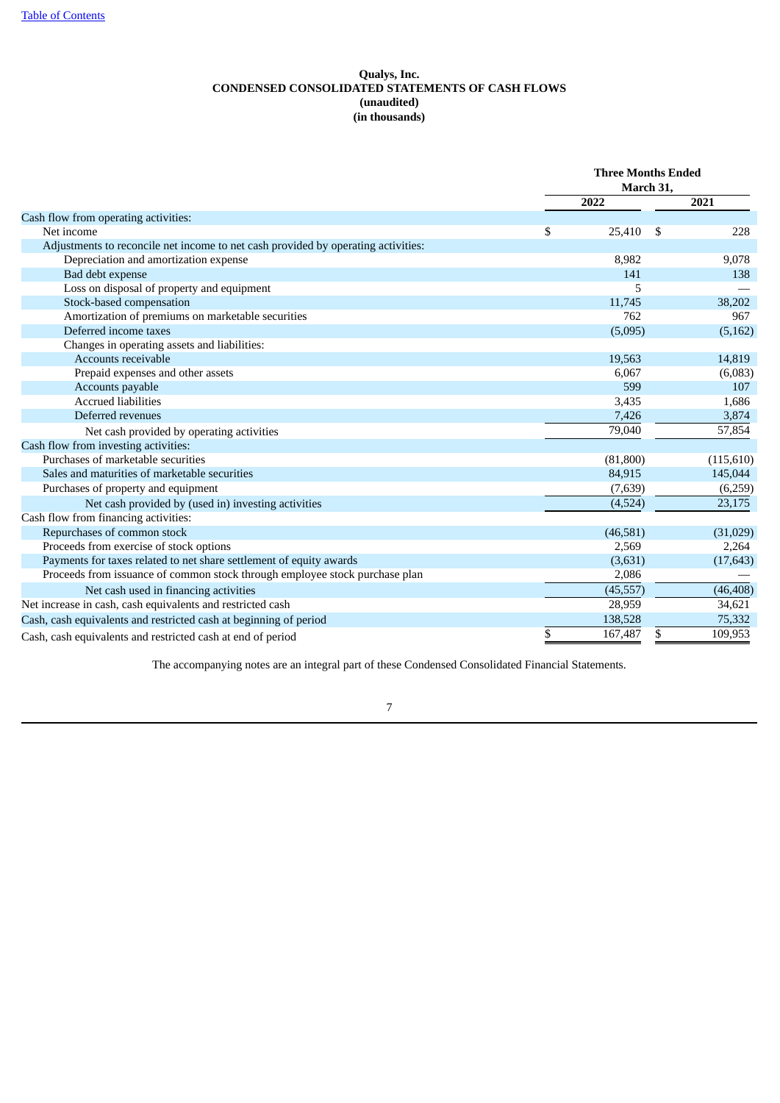## **Qualys, Inc. CONDENSED CONSOLIDATED STATEMENTS OF CASH FLOWS (unaudited) (in thousands)**

<span id="page-6-0"></span>

|                                                                                   | <b>Three Months Ended</b><br>March 31, |               |  |
|-----------------------------------------------------------------------------------|----------------------------------------|---------------|--|
|                                                                                   | 2022                                   | 2021          |  |
| Cash flow from operating activities:                                              |                                        |               |  |
| Net income                                                                        | \$<br>25,410                           | \$<br>228     |  |
| Adjustments to reconcile net income to net cash provided by operating activities: |                                        |               |  |
| Depreciation and amortization expense                                             | 8,982                                  | 9,078         |  |
| Bad debt expense                                                                  | 141                                    | 138           |  |
| Loss on disposal of property and equipment                                        | 5                                      |               |  |
| Stock-based compensation                                                          | 11,745                                 | 38,202        |  |
| Amortization of premiums on marketable securities                                 | 762                                    | 967           |  |
| Deferred income taxes                                                             | (5,095)                                | (5, 162)      |  |
| Changes in operating assets and liabilities:                                      |                                        |               |  |
| Accounts receivable                                                               | 19,563                                 | 14,819        |  |
| Prepaid expenses and other assets                                                 | 6,067                                  | (6,083)       |  |
| Accounts payable                                                                  | 599                                    | 107           |  |
| <b>Accrued liabilities</b>                                                        | 3,435                                  | 1,686         |  |
| Deferred revenues                                                                 | 7,426                                  | 3,874         |  |
| Net cash provided by operating activities                                         | 79,040                                 | 57,854        |  |
| Cash flow from investing activities:                                              |                                        |               |  |
| Purchases of marketable securities                                                | (81,800)                               | (115, 610)    |  |
| Sales and maturities of marketable securities                                     | 84,915                                 | 145,044       |  |
| Purchases of property and equipment                                               | (7,639)                                | (6,259)       |  |
| Net cash provided by (used in) investing activities                               | (4,524)                                | 23,175        |  |
| Cash flow from financing activities:                                              |                                        |               |  |
| Repurchases of common stock                                                       | (46,581)                               | (31,029)      |  |
| Proceeds from exercise of stock options                                           | 2,569                                  | 2,264         |  |
| Payments for taxes related to net share settlement of equity awards               | (3,631)                                | (17, 643)     |  |
| Proceeds from issuance of common stock through employee stock purchase plan       | 2,086                                  |               |  |
| Net cash used in financing activities                                             | (45, 557)                              | (46, 408)     |  |
| Net increase in cash, cash equivalents and restricted cash                        | 28,959                                 | 34,621        |  |
| Cash, cash equivalents and restricted cash at beginning of period                 | 138,528                                | 75,332        |  |
| Cash, cash equivalents and restricted cash at end of period                       | \$<br>167,487                          | 109,953<br>\$ |  |

The accompanying notes are an integral part of these Condensed Consolidated Financial Statements.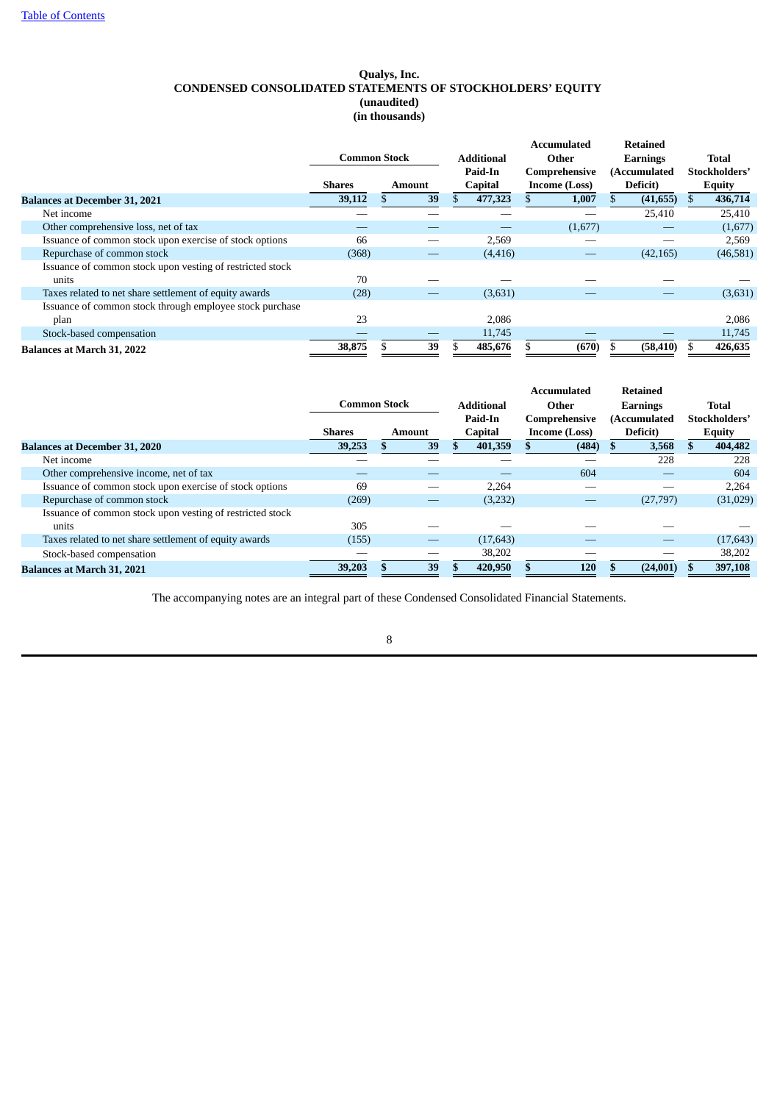## **Qualys, Inc. CONDENSED CONSOLIDATED STATEMENTS OF STOCKHOLDERS' EQUITY (unaudited) (in thousands)**

<span id="page-7-0"></span>

|                                                           | <b>Common Stock</b> |               | <b>Additional</b>  |          | <b>Accumulated</b><br>Other |         | <b>Retained</b><br><b>Earnings</b> | <b>Total</b>  |                                |  |                          |                                |
|-----------------------------------------------------------|---------------------|---------------|--------------------|----------|-----------------------------|---------|------------------------------------|---------------|--------------------------------|--|--------------------------|--------------------------------|
|                                                           | Shares              | <b>Amount</b> | Paid-In<br>Capital |          |                             |         |                                    |               | Comprehensive<br>Income (Loss) |  | (Accumulated<br>Deficit) | Stockholders'<br><b>Equity</b> |
| <b>Balances at December 31, 2021</b>                      | 39,112              | 39            |                    | 477,323  |                             | 1,007   | (41, 655)                          | 436,714<br>\$ |                                |  |                          |                                |
| Net income                                                |                     |               |                    |          |                             |         | 25,410                             | 25,410        |                                |  |                          |                                |
| Other comprehensive loss, net of tax                      |                     |               |                    |          |                             | (1,677) |                                    | (1,677)       |                                |  |                          |                                |
| Issuance of common stock upon exercise of stock options   | 66                  |               |                    | 2,569    |                             |         |                                    | 2,569         |                                |  |                          |                                |
| Repurchase of common stock                                | (368)               |               |                    | (4, 416) |                             |         | (42, 165)                          | (46,581)      |                                |  |                          |                                |
| Issuance of common stock upon vesting of restricted stock |                     |               |                    |          |                             |         |                                    |               |                                |  |                          |                                |
| units                                                     | 70                  |               |                    |          |                             |         |                                    |               |                                |  |                          |                                |
| Taxes related to net share settlement of equity awards    | (28)                |               |                    | (3,631)  |                             |         |                                    | (3,631)       |                                |  |                          |                                |
| Issuance of common stock through employee stock purchase  |                     |               |                    |          |                             |         |                                    |               |                                |  |                          |                                |
| plan                                                      | 23                  |               |                    | 2,086    |                             |         |                                    | 2,086         |                                |  |                          |                                |
| Stock-based compensation                                  |                     |               |                    | 11,745   |                             |         |                                    | 11,745        |                                |  |                          |                                |
| <b>Balances at March 31, 2022</b>                         | 38,875              | 39            |                    | 485,676  |                             | (670)   | (58, 410)                          | 426,635       |                                |  |                          |                                |

|                                                           |               |                     |    |                   | <b>Accumulated</b> | <b>Retained</b> |               |
|-----------------------------------------------------------|---------------|---------------------|----|-------------------|--------------------|-----------------|---------------|
|                                                           |               | <b>Common Stock</b> |    | <b>Additional</b> | Other              | <b>Earnings</b> | <b>Total</b>  |
|                                                           |               |                     |    | Paid-In           | Comprehensive      | (Accumulated    | Stockholders' |
|                                                           | <b>Shares</b> | Amount              |    | Capital           | Income (Loss)      | Deficit)        | <b>Equity</b> |
| <b>Balances at December 31, 2020</b>                      | 39,253        |                     | 39 | 401,359           | (484)              | 3,568           | 404,482       |
| Net income                                                |               |                     |    |                   |                    | 228             | 228           |
| Other comprehensive income, net of tax                    |               |                     |    |                   | 604                |                 | 604           |
| Issuance of common stock upon exercise of stock options   | 69            |                     |    | 2,264             |                    |                 | 2,264         |
| Repurchase of common stock                                | (269)         |                     |    | (3,232)           |                    | (27, 797)       | (31,029)      |
| Issuance of common stock upon vesting of restricted stock |               |                     |    |                   |                    |                 |               |
| units                                                     | 305           |                     |    |                   |                    |                 |               |
| Taxes related to net share settlement of equity awards    | (155)         |                     |    | (17, 643)         |                    | _               | (17, 643)     |
| Stock-based compensation                                  |               |                     |    | 38,202            |                    |                 | 38,202        |
| <b>Balances at March 31, 2021</b>                         | 39,203        |                     | 39 | 420,950           | 120                | (24,001)        | 397,108       |

The accompanying notes are an integral part of these Condensed Consolidated Financial Statements.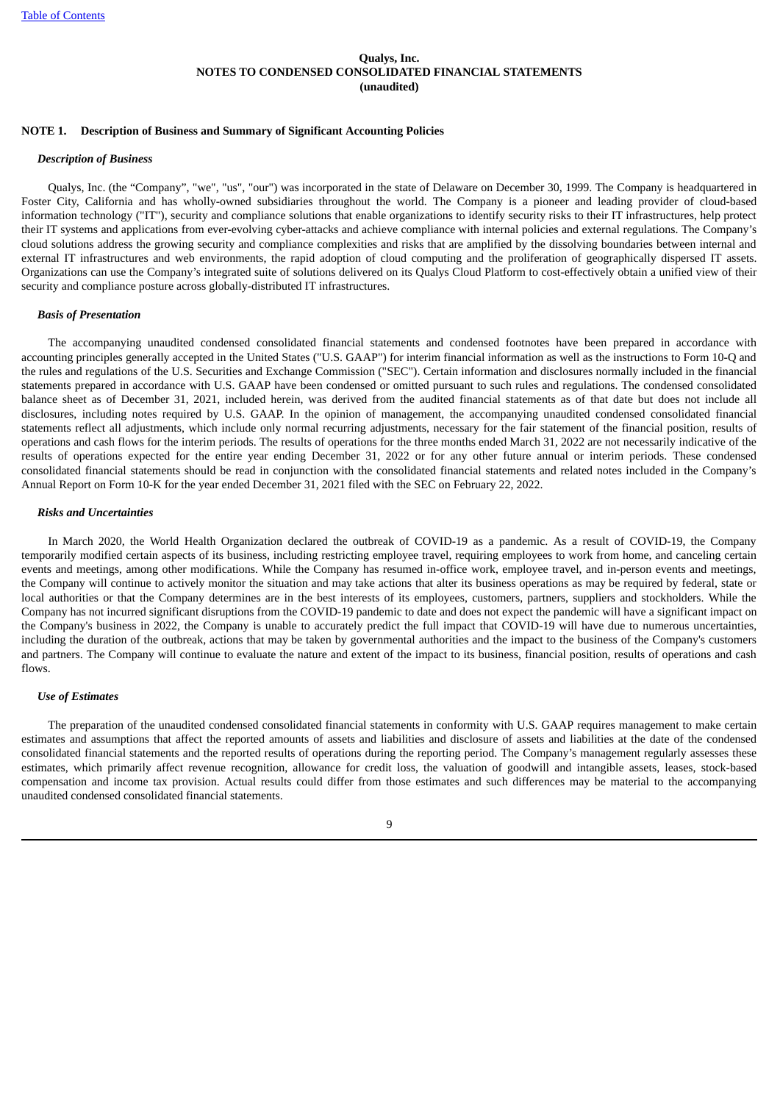## **Qualys, Inc. NOTES TO CONDENSED CONSOLIDATED FINANCIAL STATEMENTS (unaudited)**

#### <span id="page-8-0"></span>**NOTE 1. Description of Business and Summary of Significant Accounting Policies**

#### *Description of Business*

Qualys, Inc. (the "Company", "we", "us", "our") was incorporated in the state of Delaware on December 30, 1999. The Company is headquartered in Foster City, California and has wholly-owned subsidiaries throughout the world. The Company is a pioneer and leading provider of cloud-based information technology ("IT"), security and compliance solutions that enable organizations to identify security risks to their IT infrastructures, help protect their IT systems and applications from ever-evolving cyber-attacks and achieve compliance with internal policies and external regulations. The Company's cloud solutions address the growing security and compliance complexities and risks that are amplified by the dissolving boundaries between internal and external IT infrastructures and web environments, the rapid adoption of cloud computing and the proliferation of geographically dispersed IT assets. Organizations can use the Company's integrated suite of solutions delivered on its Qualys Cloud Platform to cost-effectively obtain a unified view of their security and compliance posture across globally-distributed IT infrastructures.

### *Basis of Presentation*

The accompanying unaudited condensed consolidated financial statements and condensed footnotes have been prepared in accordance with accounting principles generally accepted in the United States ("U.S. GAAP") for interim financial information as well as the instructions to Form 10-Q and the rules and regulations of the U.S. Securities and Exchange Commission ("SEC"). Certain information and disclosures normally included in the financial statements prepared in accordance with U.S. GAAP have been condensed or omitted pursuant to such rules and regulations. The condensed consolidated balance sheet as of December 31, 2021, included herein, was derived from the audited financial statements as of that date but does not include all disclosures, including notes required by U.S. GAAP. In the opinion of management, the accompanying unaudited condensed consolidated financial statements reflect all adjustments, which include only normal recurring adjustments, necessary for the fair statement of the financial position, results of operations and cash flows for the interim periods. The results of operations for the three months ended March 31, 2022 are not necessarily indicative of the results of operations expected for the entire year ending December 31, 2022 or for any other future annual or interim periods. These condensed consolidated financial statements should be read in conjunction with the consolidated financial statements and related notes included in the Company's Annual Report on Form 10-K for the year ended December 31, 2021 filed with the SEC on February 22, 2022.

#### *Risks and Uncertainties*

In March 2020, the World Health Organization declared the outbreak of COVID-19 as a pandemic. As a result of COVID-19, the Company temporarily modified certain aspects of its business, including restricting employee travel, requiring employees to work from home, and canceling certain events and meetings, among other modifications. While the Company has resumed in-office work, employee travel, and in-person events and meetings, the Company will continue to actively monitor the situation and may take actions that alter its business operations as may be required by federal, state or local authorities or that the Company determines are in the best interests of its employees, customers, partners, suppliers and stockholders. While the Company has not incurred significant disruptions from the COVID-19 pandemic to date and does not expect the pandemic will have a significant impact on the Company's business in 2022, the Company is unable to accurately predict the full impact that COVID-19 will have due to numerous uncertainties, including the duration of the outbreak, actions that may be taken by governmental authorities and the impact to the business of the Company's customers and partners. The Company will continue to evaluate the nature and extent of the impact to its business, financial position, results of operations and cash flows.

### *Use of Estimates*

The preparation of the unaudited condensed consolidated financial statements in conformity with U.S. GAAP requires management to make certain estimates and assumptions that affect the reported amounts of assets and liabilities and disclosure of assets and liabilities at the date of the condensed consolidated financial statements and the reported results of operations during the reporting period. The Company's management regularly assesses these estimates, which primarily affect revenue recognition, allowance for credit loss, the valuation of goodwill and intangible assets, leases, stock-based compensation and income tax provision. Actual results could differ from those estimates and such differences may be material to the accompanying unaudited condensed consolidated financial statements.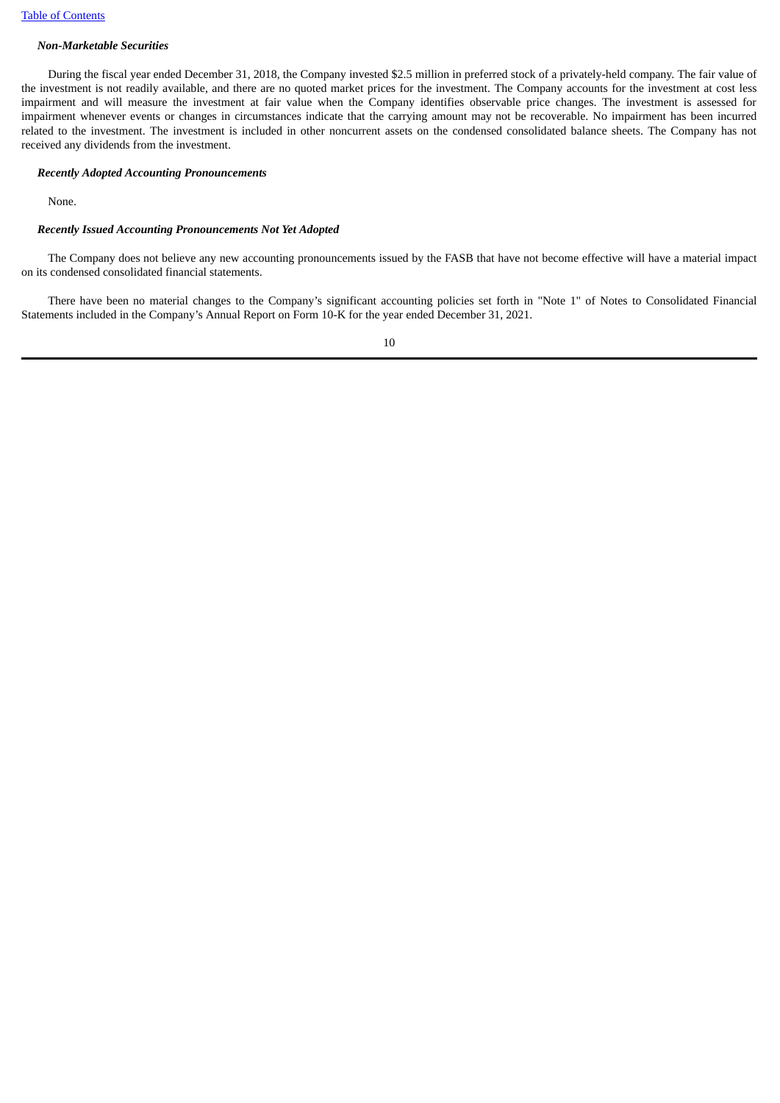## *Non-Marketable Securities*

During the fiscal year ended December 31, 2018, the Company invested \$2.5 million in preferred stock of a privately-held company. The fair value of the investment is not readily available, and there are no quoted market prices for the investment. The Company accounts for the investment at cost less impairment and will measure the investment at fair value when the Company identifies observable price changes. The investment is assessed for impairment whenever events or changes in circumstances indicate that the carrying amount may not be recoverable. No impairment has been incurred related to the investment. The investment is included in other noncurrent assets on the condensed consolidated balance sheets. The Company has not received any dividends from the investment.

### *Recently Adopted Accounting Pronouncements*

None.

### *Recently Issued Accounting Pronouncements Not Yet Adopted*

The Company does not believe any new accounting pronouncements issued by the FASB that have not become effective will have a material impact on its condensed consolidated financial statements.

There have been no material changes to the Company's significant accounting policies set forth in "Note 1" of Notes to Consolidated Financial Statements included in the Company's Annual Report on Form 10-K for the year ended December 31, 2021.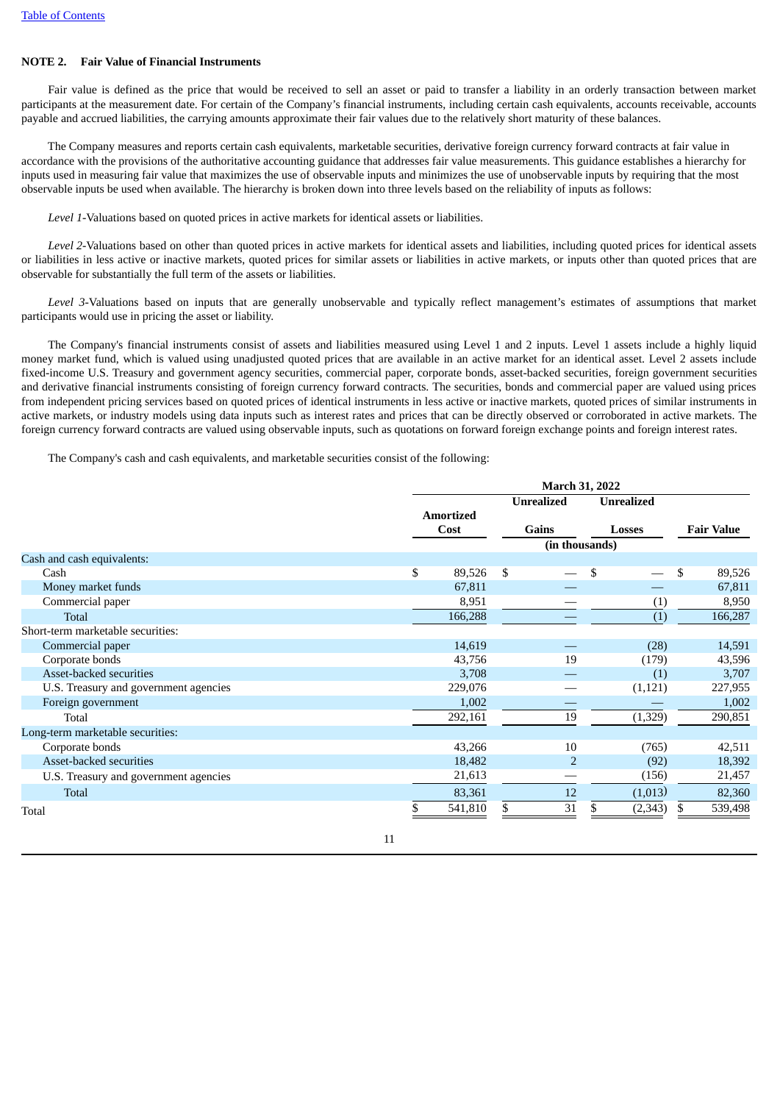## **NOTE 2. Fair Value of Financial Instruments**

Fair value is defined as the price that would be received to sell an asset or paid to transfer a liability in an orderly transaction between market participants at the measurement date. For certain of the Company's financial instruments, including certain cash equivalents, accounts receivable, accounts payable and accrued liabilities, the carrying amounts approximate their fair values due to the relatively short maturity of these balances.

The Company measures and reports certain cash equivalents, marketable securities, derivative foreign currency forward contracts at fair value in accordance with the provisions of the authoritative accounting guidance that addresses fair value measurements. This guidance establishes a hierarchy for inputs used in measuring fair value that maximizes the use of observable inputs and minimizes the use of unobservable inputs by requiring that the most observable inputs be used when available. The hierarchy is broken down into three levels based on the reliability of inputs as follows:

*Level 1*-Valuations based on quoted prices in active markets for identical assets or liabilities.

*Level 2*-Valuations based on other than quoted prices in active markets for identical assets and liabilities, including quoted prices for identical assets or liabilities in less active or inactive markets, quoted prices for similar assets or liabilities in active markets, or inputs other than quoted prices that are observable for substantially the full term of the assets or liabilities.

*Level 3-*Valuations based on inputs that are generally unobservable and typically reflect management's estimates of assumptions that market participants would use in pricing the asset or liability.

The Company's financial instruments consist of assets and liabilities measured using Level 1 and 2 inputs. Level 1 assets include a highly liquid money market fund, which is valued using unadjusted quoted prices that are available in an active market for an identical asset. Level 2 assets include fixed-income U.S. Treasury and government agency securities, commercial paper, corporate bonds, asset-backed securities, foreign government securities and derivative financial instruments consisting of foreign currency forward contracts. The securities, bonds and commercial paper are valued using prices from independent pricing services based on quoted prices of identical instruments in less active or inactive markets, quoted prices of similar instruments in active markets, or industry models using data inputs such as interest rates and prices that can be directly observed or corroborated in active markets. The foreign currency forward contracts are valued using observable inputs, such as quotations on forward foreign exchange points and foreign interest rates.

The Company's cash and cash equivalents, and marketable securities consist of the following:

|                                       | March 31, 2022 |                  |                   |                   |                   |  |  |  |  |
|---------------------------------------|----------------|------------------|-------------------|-------------------|-------------------|--|--|--|--|
|                                       |                |                  | <b>Unrealized</b> | <b>Unrealized</b> |                   |  |  |  |  |
|                                       |                | <b>Amortized</b> |                   |                   |                   |  |  |  |  |
|                                       |                | Cost             | <b>Gains</b>      | <b>Losses</b>     | <b>Fair Value</b> |  |  |  |  |
|                                       |                |                  |                   | (in thousands)    |                   |  |  |  |  |
| Cash and cash equivalents:            |                |                  |                   |                   |                   |  |  |  |  |
| Cash                                  | \$             | 89,526           | \$                | \$                | \$<br>89,526      |  |  |  |  |
| Money market funds                    |                | 67,811           |                   |                   | 67,811            |  |  |  |  |
| Commercial paper                      |                | 8,951            |                   | (1)               | 8,950             |  |  |  |  |
| <b>Total</b>                          |                | 166,288          |                   | (1)               | 166,287           |  |  |  |  |
| Short-term marketable securities:     |                |                  |                   |                   |                   |  |  |  |  |
| Commercial paper                      |                | 14,619           |                   | (28)              | 14,591            |  |  |  |  |
| Corporate bonds                       |                | 43,756           | 19                | (179)             | 43,596            |  |  |  |  |
| Asset-backed securities               |                | 3,708            |                   | (1)               | 3,707             |  |  |  |  |
| U.S. Treasury and government agencies |                | 229,076          |                   | (1,121)           | 227,955           |  |  |  |  |
| Foreign government                    |                | 1,002            |                   |                   | 1,002             |  |  |  |  |
| Total                                 |                | 292,161          | 19                | (1, 329)          | 290,851           |  |  |  |  |
| Long-term marketable securities:      |                |                  |                   |                   |                   |  |  |  |  |
| Corporate bonds                       |                | 43,266           | 10                | (765)             | 42,511            |  |  |  |  |
| Asset-backed securities               |                | 18,482           | $\overline{2}$    | (92)              | 18,392            |  |  |  |  |
| U.S. Treasury and government agencies |                | 21,613           |                   | (156)             | 21,457            |  |  |  |  |
| <b>Total</b>                          |                | 83,361           | 12                | (1,013)           | 82,360            |  |  |  |  |
| Total                                 |                | 541,810          | 31<br>\$          | (2, 343)<br>S     | \$<br>539,498     |  |  |  |  |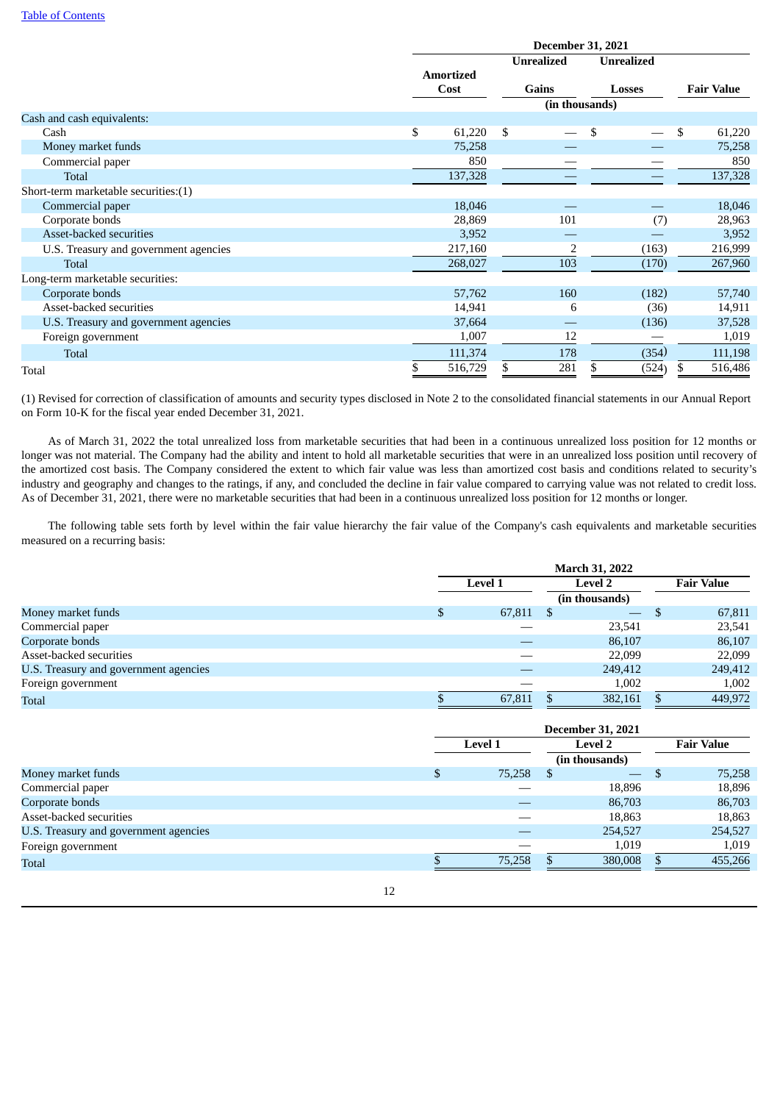#### Table of [Contents](#page-1-0)

|                                       | <b>December 31, 2021</b> |                  |                   |                   |                   |  |  |  |
|---------------------------------------|--------------------------|------------------|-------------------|-------------------|-------------------|--|--|--|
|                                       |                          |                  | <b>Unrealized</b> | <b>Unrealized</b> |                   |  |  |  |
|                                       |                          | <b>Amortized</b> |                   |                   |                   |  |  |  |
|                                       |                          | Cost             | Gains             | <b>Losses</b>     | <b>Fair Value</b> |  |  |  |
|                                       |                          |                  | (in thousands)    |                   |                   |  |  |  |
| Cash and cash equivalents:            |                          |                  |                   |                   |                   |  |  |  |
| Cash                                  | \$                       | 61,220           | \$                | -S                | \$<br>61,220      |  |  |  |
| Money market funds                    |                          | 75,258           |                   |                   | 75,258            |  |  |  |
| Commercial paper                      |                          | 850              |                   |                   | 850               |  |  |  |
| Total                                 |                          | 137,328          |                   |                   | 137,328           |  |  |  |
| Short-term marketable securities:(1)  |                          |                  |                   |                   |                   |  |  |  |
| Commercial paper                      |                          | 18,046           |                   |                   | 18,046            |  |  |  |
| Corporate bonds                       |                          | 28,869           | 101               | (7)               | 28,963            |  |  |  |
| Asset-backed securities               |                          | 3,952            |                   |                   | 3,952             |  |  |  |
| U.S. Treasury and government agencies |                          | 217,160          | 2                 | (163)             | 216,999           |  |  |  |
| Total                                 |                          | 268,027          | 103               | (170)             | 267,960           |  |  |  |
| Long-term marketable securities:      |                          |                  |                   |                   |                   |  |  |  |
| Corporate bonds                       |                          | 57,762           | 160               | (182)             | 57,740            |  |  |  |
| Asset-backed securities               |                          | 14,941           | 6                 | (36)              | 14,911            |  |  |  |
| U.S. Treasury and government agencies |                          | 37,664           |                   | (136)             | 37,528            |  |  |  |
| Foreign government                    |                          | 1,007            | 12                |                   | 1,019             |  |  |  |
| Total                                 |                          | 111,374          | 178               | (354)             | 111,198           |  |  |  |
| Total                                 | \$                       | 516,729          | 281<br>\$         | (524)<br>S        | 516,486<br>\$     |  |  |  |

(1) Revised for correction of classification of amounts and security types disclosed in Note 2 to the consolidated financial statements in our Annual Report on Form 10-K for the fiscal year ended December 31, 2021.

As of March 31, 2022 the total unrealized loss from marketable securities that had been in a continuous unrealized loss position for 12 months or longer was not material. The Company had the ability and intent to hold all marketable securities that were in an unrealized loss position until recovery of the amortized cost basis. The Company considered the extent to which fair value was less than amortized cost basis and conditions related to security's industry and geography and changes to the ratings, if any, and concluded the decline in fair value compared to carrying value was not related to credit loss. As of December 31, 2021, there were no marketable securities that had been in a continuous unrealized loss position for 12 months or longer.

The following table sets forth by level within the fair value hierarchy the fair value of the Company's cash equivalents and marketable securities measured on a recurring basis:

|                                       | <b>March 31, 2022</b> |        |                |                |  |                   |
|---------------------------------------|-----------------------|--------|----------------|----------------|--|-------------------|
|                                       | <b>Level 1</b>        |        | <b>Level 2</b> |                |  | <b>Fair Value</b> |
|                                       |                       |        |                | (in thousands) |  |                   |
| Money market funds                    | \$.                   | 67,811 | S              |                |  | 67,811            |
| Commercial paper                      |                       |        |                | 23,541         |  | 23,541            |
| Corporate bonds                       |                       |        |                | 86,107         |  | 86,107            |
| Asset-backed securities               |                       |        |                | 22,099         |  | 22,099            |
| U.S. Treasury and government agencies |                       |        |                | 249,412        |  | 249,412           |
| Foreign government                    |                       |        |                | 1,002          |  | 1,002             |
| Total                                 |                       | 67,811 |                | 382,161        |  | 449,972           |

|                                       | <b>December 31, 2021</b> |        |                |                                 |   |                   |
|---------------------------------------|--------------------------|--------|----------------|---------------------------------|---|-------------------|
|                                       | <b>Level 1</b>           |        | <b>Level 2</b> |                                 |   | <b>Fair Value</b> |
|                                       |                          |        |                | (in thousands)                  |   |                   |
| Money market funds                    | \$                       | 75,258 | -S             | $\hspace{0.1mm}-\hspace{0.1mm}$ | D | 75,258            |
| Commercial paper                      |                          |        |                | 18,896                          |   | 18,896            |
| Corporate bonds                       |                          |        |                | 86,703                          |   | 86,703            |
| Asset-backed securities               |                          |        |                | 18,863                          |   | 18,863            |
| U.S. Treasury and government agencies |                          |        |                | 254,527                         |   | 254,527           |
| Foreign government                    |                          |        |                | 1,019                           |   | 1,019             |
| <b>Total</b>                          |                          | 75.258 |                | 380,008                         |   | 455,266           |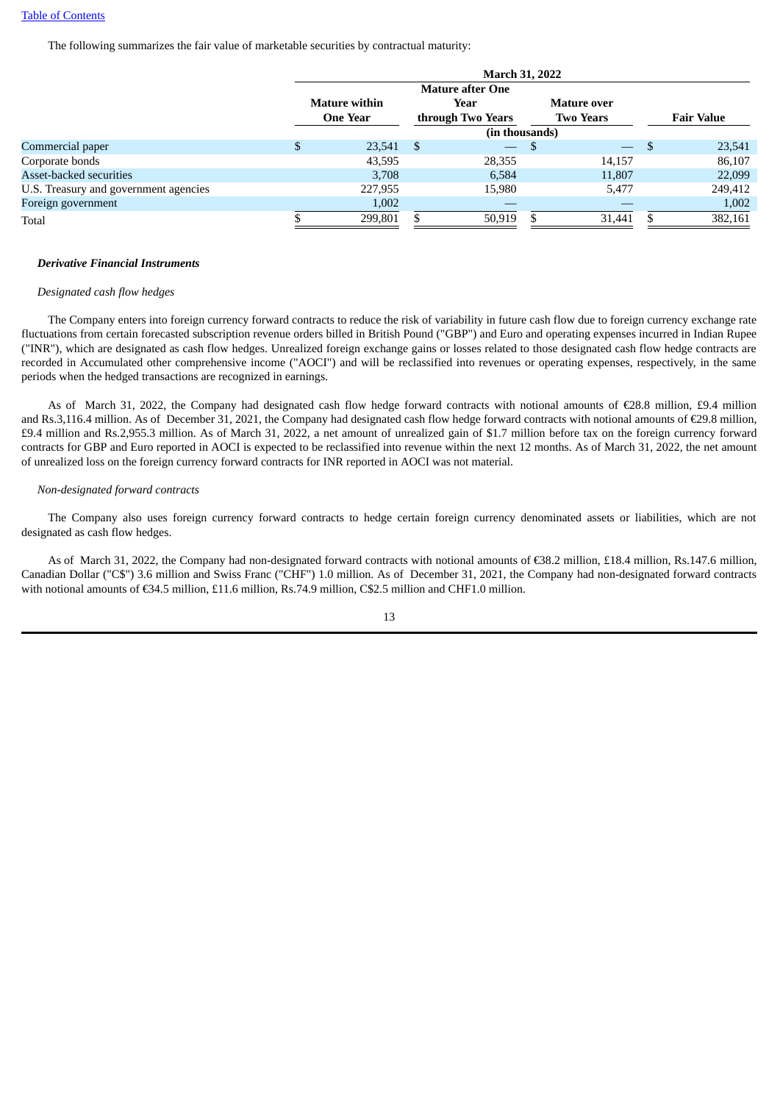The following summarizes the fair value of marketable securities by contractual maturity:

|                                       |                      |                | <b>March 31, 2022</b>   |    |                          |    |                   |
|---------------------------------------|----------------------|----------------|-------------------------|----|--------------------------|----|-------------------|
|                                       |                      |                | <b>Mature after One</b> |    |                          |    |                   |
|                                       | <b>Mature within</b> |                | Year                    |    | <b>Mature over</b>       |    |                   |
|                                       | <b>One Year</b>      |                | through Two Years       |    | <b>Two Years</b>         |    | <b>Fair Value</b> |
|                                       |                      | (in thousands) |                         |    |                          |    |                   |
| Commercial paper                      | \$<br>23,541         | - \$           | $\qquad \qquad -$       | -S | $\overline{\phantom{a}}$ | -S | 23,541            |
| Corporate bonds                       | 43,595               |                | 28,355                  |    | 14,157                   |    | 86,107            |
| Asset-backed securities               | 3,708                |                | 6,584                   |    | 11,807                   |    | 22,099            |
| U.S. Treasury and government agencies | 227,955              |                | 15,980                  |    | 5,477                    |    | 249,412           |
| Foreign government                    | 1,002                |                |                         |    |                          |    | 1,002             |
| Total                                 | 299,801              |                | 50,919                  |    | 31,441                   |    | 382,161           |

#### *Derivative Financial Instruments*

### *Designated cash flow hedges*

The Company enters into foreign currency forward contracts to reduce the risk of variability in future cash flow due to foreign currency exchange rate fluctuations from certain forecasted subscription revenue orders billed in British Pound ("GBP") and Euro and operating expenses incurred in Indian Rupee ("INR"), which are designated as cash flow hedges. Unrealized foreign exchange gains or losses related to those designated cash flow hedge contracts are recorded in Accumulated other comprehensive income ("AOCI") and will be reclassified into revenues or operating expenses, respectively, in the same periods when the hedged transactions are recognized in earnings.

As of March 31, 2022, the Company had designated cash flow hedge forward contracts with notional amounts of €28.8 million, £9.4 million and Rs.3,116.4 million. As of December 31, 2021, the Company had designated cash flow hedge forward contracts with notional amounts of €29.8 million, £9.4 million and Rs.2,955.3 million. As of March 31, 2022, a net amount of unrealized gain of \$1.7 million before tax on the foreign currency forward contracts for GBP and Euro reported in AOCI is expected to be reclassified into revenue within the next 12 months. As of March 31, 2022, the net amount of unrealized loss on the foreign currency forward contracts for INR reported in AOCI was not material.

#### *Non-designated forward contracts*

The Company also uses foreign currency forward contracts to hedge certain foreign currency denominated assets or liabilities, which are not designated as cash flow hedges.

As of March 31, 2022, the Company had non-designated forward contracts with notional amounts of €38.2 million, £18.4 million, Rs.147.6 million, Canadian Dollar ("C\$") 3.6 million and Swiss Franc ("CHF") 1.0 million. As of December 31, 2021, the Company had non-designated forward contracts with notional amounts of €34.5 million, £11.6 million, Rs.74.9 million, C\$2.5 million and CHF1.0 million.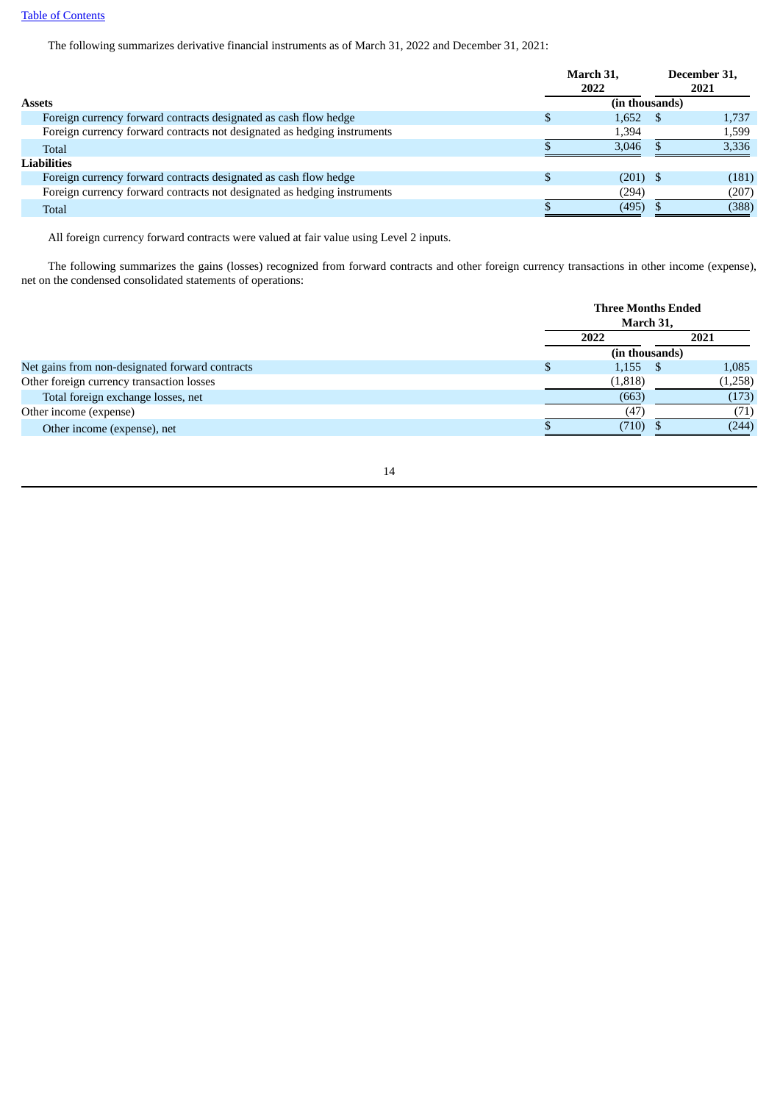The following summarizes derivative financial instruments as of March 31, 2022 and December 31, 2021:

|                                                                          | March 31,<br>2022 |                | December 31,<br>2021 |       |
|--------------------------------------------------------------------------|-------------------|----------------|----------------------|-------|
| <b>Assets</b>                                                            |                   | (in thousands) |                      |       |
| Foreign currency forward contracts designated as cash flow hedge         |                   | 1,652          |                      | 1,737 |
| Foreign currency forward contracts not designated as hedging instruments |                   | 1,394          |                      | 1,599 |
| Total                                                                    |                   | 3.046          |                      | 3,336 |
| <b>Liabilities</b>                                                       |                   |                |                      |       |
| Foreign currency forward contracts designated as cash flow hedge         |                   | $(201)$ \$     |                      | (181) |
| Foreign currency forward contracts not designated as hedging instruments |                   | (294)          |                      | (207) |
| Total                                                                    |                   | (495)          |                      | (388) |

All foreign currency forward contracts were valued at fair value using Level 2 inputs.

The following summarizes the gains (losses) recognized from forward contracts and other foreign currency transactions in other income (expense), net on the condensed consolidated statements of operations:

|                                                 |      | <b>Three Months Ended</b><br>March 31, |  |         |
|-------------------------------------------------|------|----------------------------------------|--|---------|
|                                                 | 2022 |                                        |  | 2021    |
|                                                 |      | (in thousands)                         |  |         |
| Net gains from non-designated forward contracts |      | $1,155$ \$                             |  | 1,085   |
| Other foreign currency transaction losses       |      | (1,818)                                |  | (1,258) |
| Total foreign exchange losses, net              |      | (663)                                  |  | (173)   |
| Other income (expense)                          |      | (47                                    |  | (71)    |
| Other income (expense), net                     |      | (710)                                  |  | (244)   |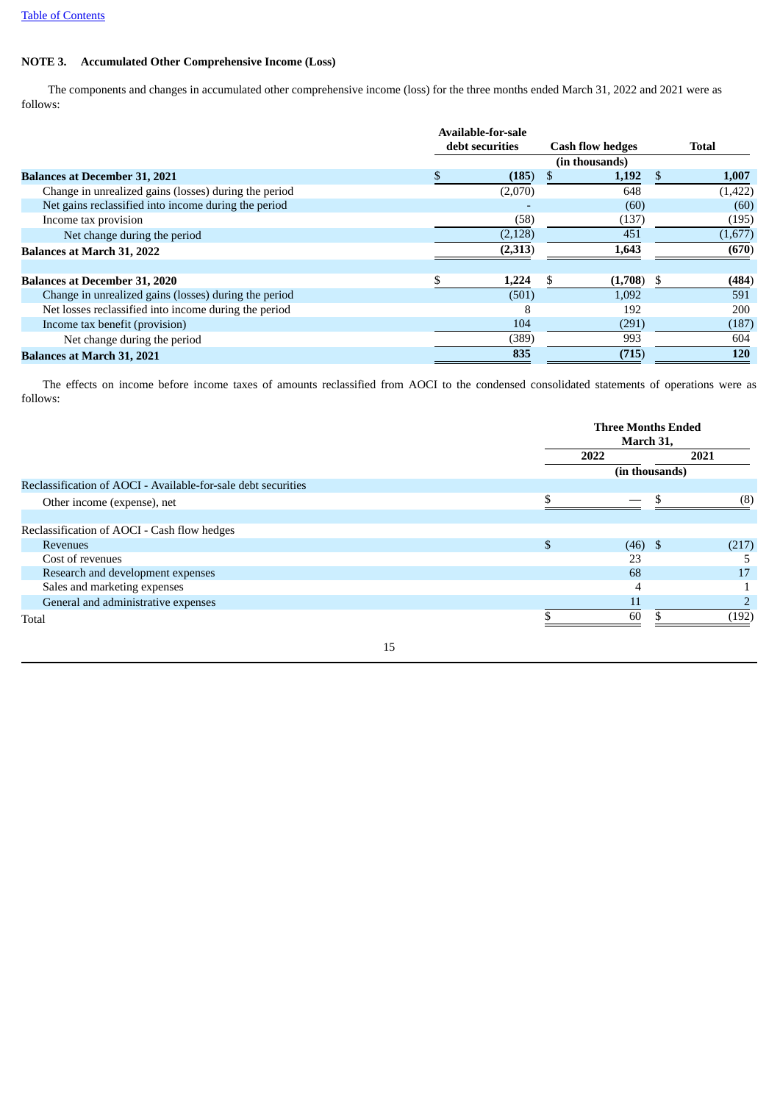## **NOTE 3. Accumulated Other Comprehensive Income (Loss)**

The components and changes in accumulated other comprehensive income (loss) for the three months ended March 31, 2022 and 2021 were as follows:

|                                                       | Available-for-sale |                         |              |
|-------------------------------------------------------|--------------------|-------------------------|--------------|
|                                                       | debt securities    | <b>Cash flow hedges</b> | Total        |
|                                                       |                    | (in thousands)          |              |
| <b>Balances at December 31, 2021</b>                  | (185)<br>\$        | 1,192<br>D.             | 1,007<br>S.  |
| Change in unrealized gains (losses) during the period | (2,070)            | 648                     | (1, 422)     |
| Net gains reclassified into income during the period  |                    | (60)                    | (60)         |
| Income tax provision                                  | (58)               | (137)                   | (195)        |
| Net change during the period                          | (2, 128)           | 451                     | (1,677)      |
| <b>Balances at March 31, 2022</b>                     | (2,313)            | 1,643                   | (670)        |
| <b>Balances at December 31, 2020</b>                  | 1,224              | \$<br>(1,708)           | \$.<br>(484) |
| Change in unrealized gains (losses) during the period | (501)              | 1,092                   | 591          |
| Net losses reclassified into income during the period | 8                  | 192                     | 200          |
| Income tax benefit (provision)                        | 104                | (291)                   | (187)        |
| Net change during the period                          | (389)              | 993                     | 604          |
| <b>Balances at March 31, 2021</b>                     | 835                | (715)                   | <b>120</b>   |

The effects on income before income taxes of amounts reclassified from AOCI to the condensed consolidated statements of operations were as follows:

|                                                               | <b>Three Months Ended</b><br>March 31, |           |                |       |
|---------------------------------------------------------------|----------------------------------------|-----------|----------------|-------|
|                                                               | 2022                                   |           |                | 2021  |
|                                                               |                                        |           | (in thousands) |       |
| Reclassification of AOCI - Available-for-sale debt securities |                                        |           |                |       |
| Other income (expense), net                                   |                                        |           | £.             | (8)   |
|                                                               |                                        |           |                |       |
| Reclassification of AOCI - Cash flow hedges                   |                                        |           |                |       |
| <b>Revenues</b>                                               | \$                                     | $(46)$ \$ |                | (217) |
| Cost of revenues                                              |                                        | 23        |                |       |
| Research and development expenses                             |                                        | 68        |                | 17    |
| Sales and marketing expenses                                  |                                        | 4         |                |       |
| General and administrative expenses                           |                                        | 11        |                |       |
| Total                                                         |                                        | 60        |                | (192) |
|                                                               |                                        |           |                |       |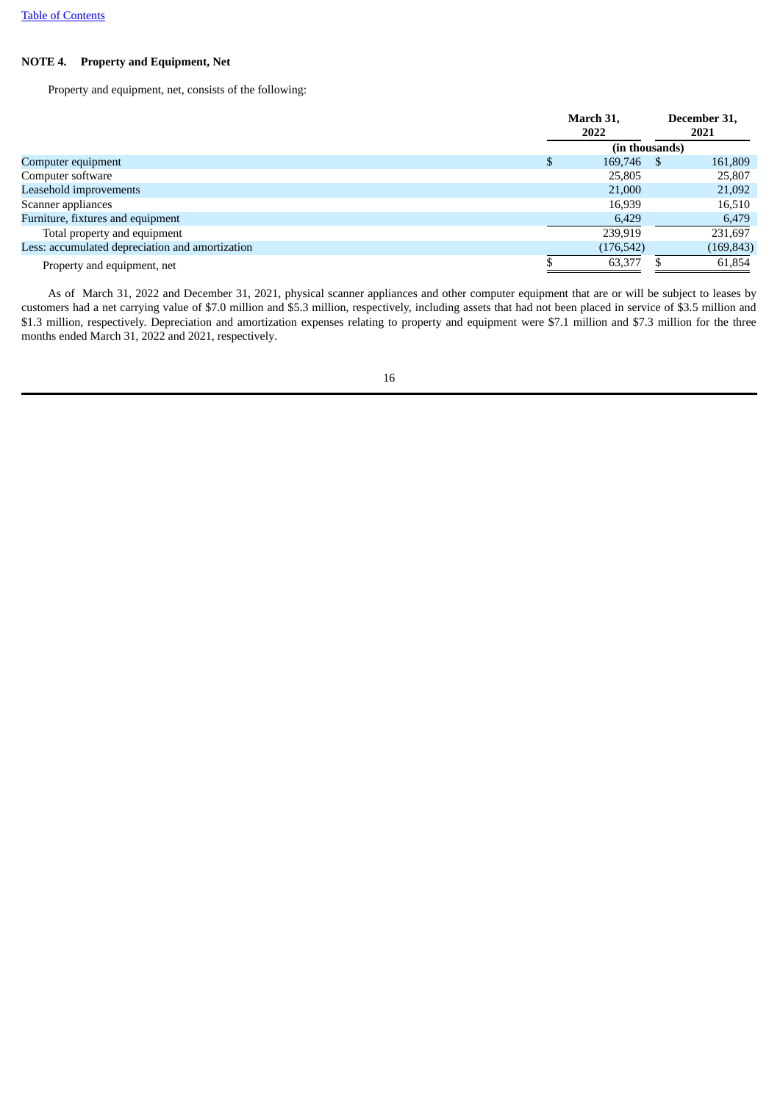## **NOTE 4. Property and Equipment, Net**

Property and equipment, net, consists of the following:

|                                                 | March 31,<br>2022 |                | December 31,<br>2021 |
|-------------------------------------------------|-------------------|----------------|----------------------|
|                                                 |                   | (in thousands) |                      |
| Computer equipment                              | 169,746<br>S      | - \$           | 161,809              |
| Computer software                               | 25,805            |                | 25,807               |
| Leasehold improvements                          | 21,000            |                | 21,092               |
| Scanner appliances                              | 16,939            |                | 16,510               |
| Furniture, fixtures and equipment               | 6,429             |                | 6,479                |
| Total property and equipment                    | 239.919           |                | 231.697              |
| Less: accumulated depreciation and amortization | (176, 542)        |                | (169, 843)           |
| Property and equipment, net                     | 63,377            |                | 61,854               |

As of March 31, 2022 and December 31, 2021, physical scanner appliances and other computer equipment that are or will be subject to leases by customers had a net carrying value of \$7.0 million and \$5.3 million, respectively, including assets that had not been placed in service of \$3.5 million and \$1.3 million, respectively. Depreciation and amortization expenses relating to property and equipment were \$7.1 million and \$7.3 million for the three months ended March 31, 2022 and 2021, respectively.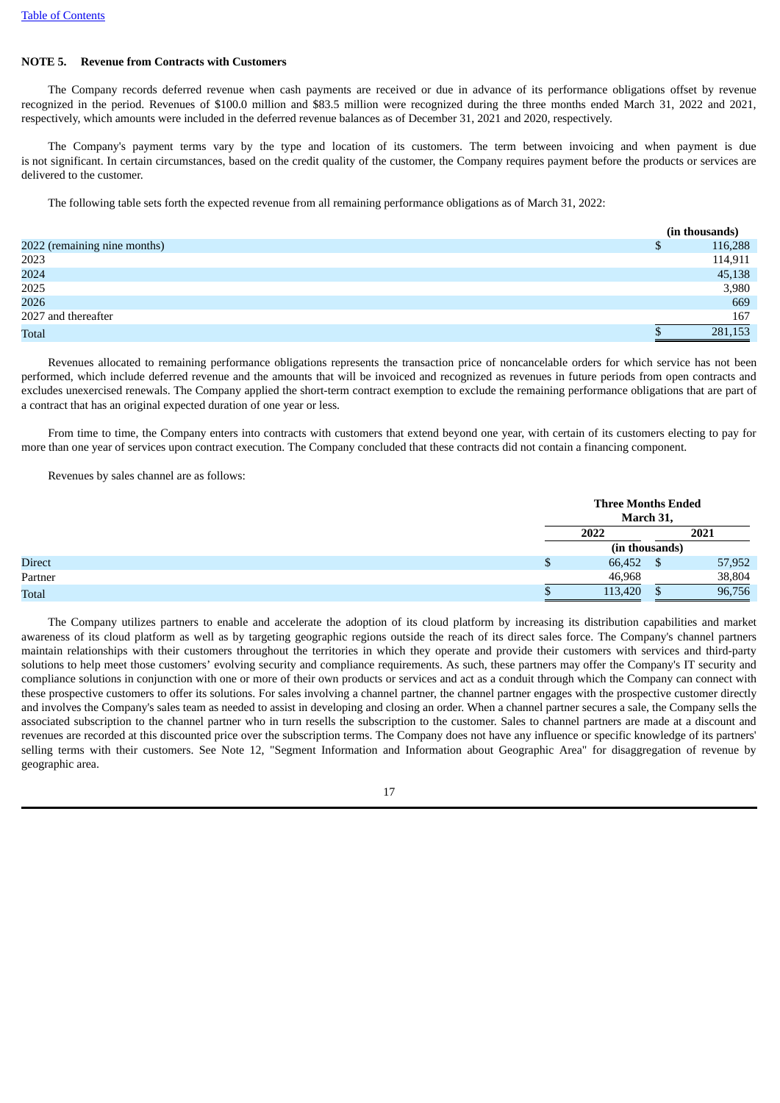### **NOTE 5. Revenue from Contracts with Customers**

The Company records deferred revenue when cash payments are received or due in advance of its performance obligations offset by revenue recognized in the period. Revenues of \$100.0 million and \$83.5 million were recognized during the three months ended March 31, 2022 and 2021, respectively, which amounts were included in the deferred revenue balances as of December 31, 2021 and 2020, respectively.

The Company's payment terms vary by the type and location of its customers. The term between invoicing and when payment is due is not significant. In certain circumstances, based on the credit quality of the customer, the Company requires payment before the products or services are delivered to the customer.

The following table sets forth the expected revenue from all remaining performance obligations as of March 31, 2022:

|                              | (in thousands) |
|------------------------------|----------------|
| 2022 (remaining nine months) | 116,288        |
| 2023                         | 114,911        |
| 2024                         | 45,138         |
| 2025                         | 3,980          |
| 2026                         | 669            |
| 2027 and thereafter          | 167            |
| <b>Total</b>                 | 281,153        |

Revenues allocated to remaining performance obligations represents the transaction price of noncancelable orders for which service has not been performed, which include deferred revenue and the amounts that will be invoiced and recognized as revenues in future periods from open contracts and excludes unexercised renewals. The Company applied the short-term contract exemption to exclude the remaining performance obligations that are part of a contract that has an original expected duration of one year or less.

From time to time, the Company enters into contracts with customers that extend beyond one year, with certain of its customers electing to pay for more than one year of services upon contract execution. The Company concluded that these contracts did not contain a financing component.

Revenues by sales channel are as follows:

|               |    | <b>Three Months Ended</b><br>March 31, |  |        |
|---------------|----|----------------------------------------|--|--------|
|               |    | 2022                                   |  | 2021   |
|               |    | (in thousands)                         |  |        |
| <b>Direct</b> | ۵D | 66,452                                 |  | 57,952 |
| Partner       |    | 46,968                                 |  | 38,804 |
| <b>Total</b>  |    | 113,420                                |  | 96,756 |

The Company utilizes partners to enable and accelerate the adoption of its cloud platform by increasing its distribution capabilities and market awareness of its cloud platform as well as by targeting geographic regions outside the reach of its direct sales force. The Company's channel partners maintain relationships with their customers throughout the territories in which they operate and provide their customers with services and third-party solutions to help meet those customers' evolving security and compliance requirements. As such, these partners may offer the Company's IT security and compliance solutions in conjunction with one or more of their own products or services and act as a conduit through which the Company can connect with these prospective customers to offer its solutions. For sales involving a channel partner, the channel partner engages with the prospective customer directly and involves the Company's sales team as needed to assist in developing and closing an order. When a channel partner secures a sale, the Company sells the associated subscription to the channel partner who in turn resells the subscription to the customer. Sales to channel partners are made at a discount and revenues are recorded at this discounted price over the subscription terms. The Company does not have any influence or specific knowledge of its partners' selling terms with their customers. See Note 12, "Segment Information and Information about Geographic Area" for disaggregation of revenue by geographic area.

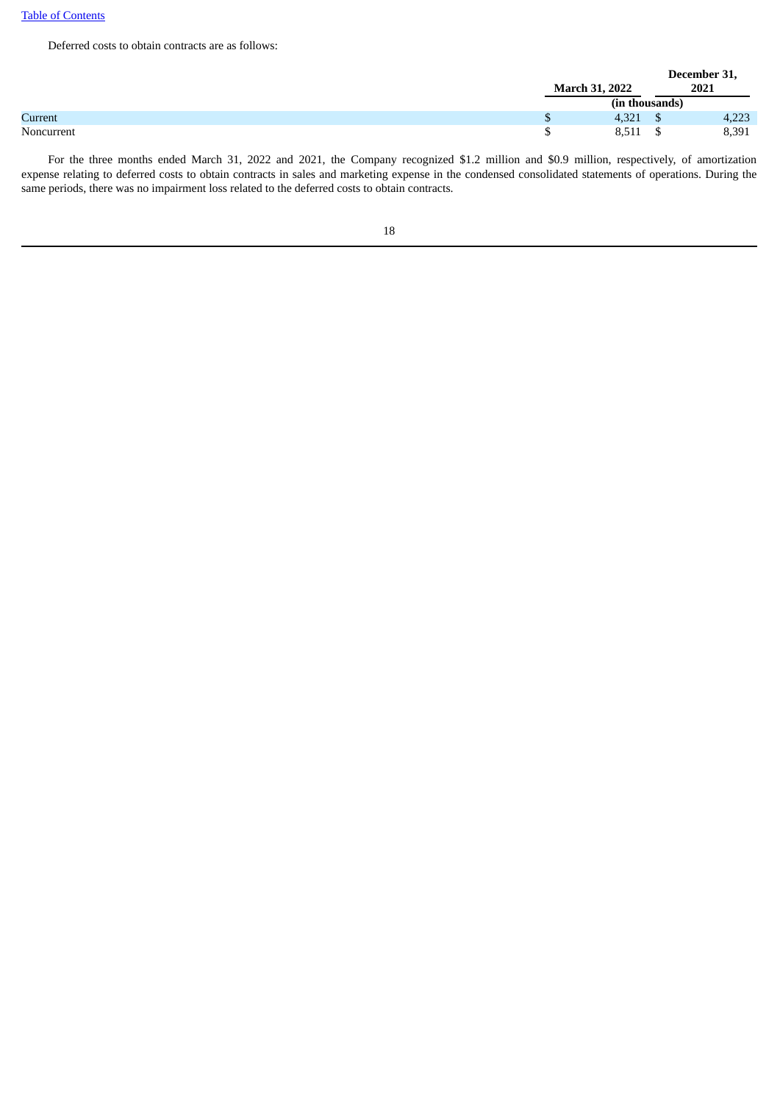Deferred costs to obtain contracts are as follows:

|            |                       | December 31, |
|------------|-----------------------|--------------|
|            | <b>March 31, 2022</b> | 2021         |
|            | (in thousands)        |              |
| Current    | 4,321                 | 4,223        |
| Noncurrent | 8,511                 | 8,391        |

For the three months ended March 31, 2022 and 2021, the Company recognized \$1.2 million and \$0.9 million, respectively, of amortization expense relating to deferred costs to obtain contracts in sales and marketing expense in the condensed consolidated statements of operations. During the same periods, there was no impairment loss related to the deferred costs to obtain contracts.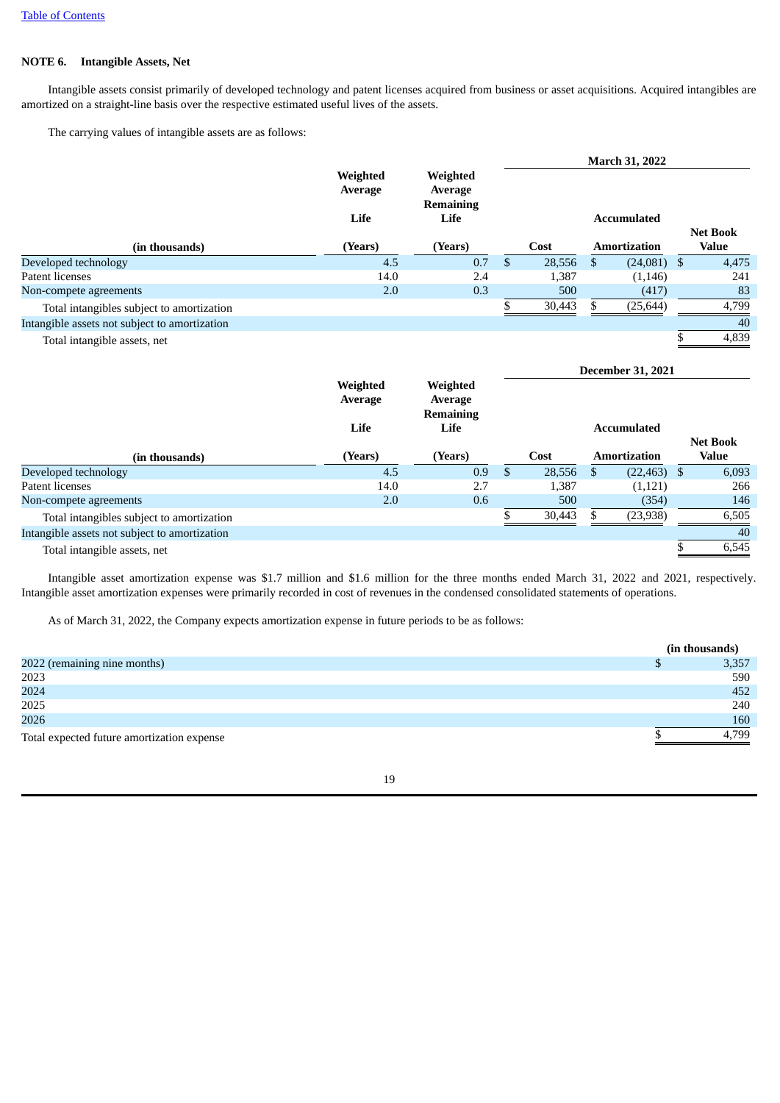## **NOTE 6. Intangible Assets, Net**

Intangible assets consist primarily of developed technology and patent licenses acquired from business or asset acquisitions. Acquired intangibles are amortized on a straight-line basis over the respective estimated useful lives of the assets.

The carrying values of intangible assets are as follows:

|                                               |                             |                                                 |                           |        | March 31, 2022           |                |                                 |
|-----------------------------------------------|-----------------------------|-------------------------------------------------|---------------------------|--------|--------------------------|----------------|---------------------------------|
|                                               | Weighted<br>Average         | Weighted<br>Average<br><b>Remaining</b>         |                           |        |                          |                |                                 |
|                                               | Life                        | Life                                            |                           |        | <b>Accumulated</b>       |                |                                 |
| (in thousands)                                | (Years)                     | (Years)                                         |                           | Cost   | <b>Amortization</b>      |                | <b>Net Book</b><br><b>Value</b> |
| Developed technology                          | 4.5                         | 0.7                                             | $\boldsymbol{\mathsf{S}}$ | 28,556 | \$<br>(24,081)           | $\mathbb S$    | 4,475                           |
| Patent licenses                               | 14.0                        | 2.4                                             |                           | 1,387  | (1, 146)                 |                | 241                             |
| Non-compete agreements                        | 2.0                         | 0.3                                             |                           | 500    | (417)                    |                | 83                              |
| Total intangibles subject to amortization     |                             |                                                 | \$                        | 30,443 | \$<br>(25, 644)          |                | 4,799                           |
| Intangible assets not subject to amortization |                             |                                                 |                           |        |                          |                | 40                              |
| Total intangible assets, net                  |                             |                                                 |                           |        |                          | \$             | 4,839                           |
|                                               |                             |                                                 |                           |        | <b>December 31, 2021</b> |                |                                 |
|                                               | Weighted<br>Average<br>Life | Weighted<br>Average<br><b>Remaining</b><br>Life |                           |        | <b>Accumulated</b>       |                |                                 |
|                                               |                             |                                                 |                           |        |                          |                | <b>Net Book</b>                 |
| (in thousands)                                | (Years)                     | (Years)                                         |                           | Cost   | <b>Amortization</b>      |                | <b>Value</b>                    |
| Developed technology                          | 4.5                         | 0.9                                             | $\boldsymbol{\mathsf{S}}$ | 28,556 | \$<br>(22, 463)          | $\mathfrak{S}$ | 6,093                           |
| <b>Patent licenses</b>                        | 14.0                        | 2.7                                             |                           | 1,387  | (1,121)                  |                | 266                             |
| Non-compete agreements                        | 2.0                         | 0.6                                             |                           | 500    | (354)                    |                | 146                             |
| Total intangibles subject to amortization     |                             |                                                 | S                         | 30,443 | \$<br>(23, 938)          |                | 6,505                           |
| Intangible assets not subject to amortization |                             |                                                 |                           |        |                          |                | 40                              |
| Total intensible accets not                   |                             |                                                 |                           |        |                          | \$             | 6.545                           |

Total intangible assets, net

Intangible asset amortization expense was \$1.7 million and \$1.6 million for the three months ended March 31, 2022 and 2021, respectively. Intangible asset amortization expenses were primarily recorded in cost of revenues in the condensed consolidated statements of operations.

As of March 31, 2022, the Company expects amortization expense in future periods to be as follows:

|                                            | (in thousands) |       |
|--------------------------------------------|----------------|-------|
| 2022 (remaining nine months)               |                | 3,357 |
| 2023                                       |                | 590   |
| 2024                                       |                | 452   |
| 2025                                       |                | 240   |
| 2026                                       |                | 160   |
| Total expected future amortization expense |                | 4.799 |

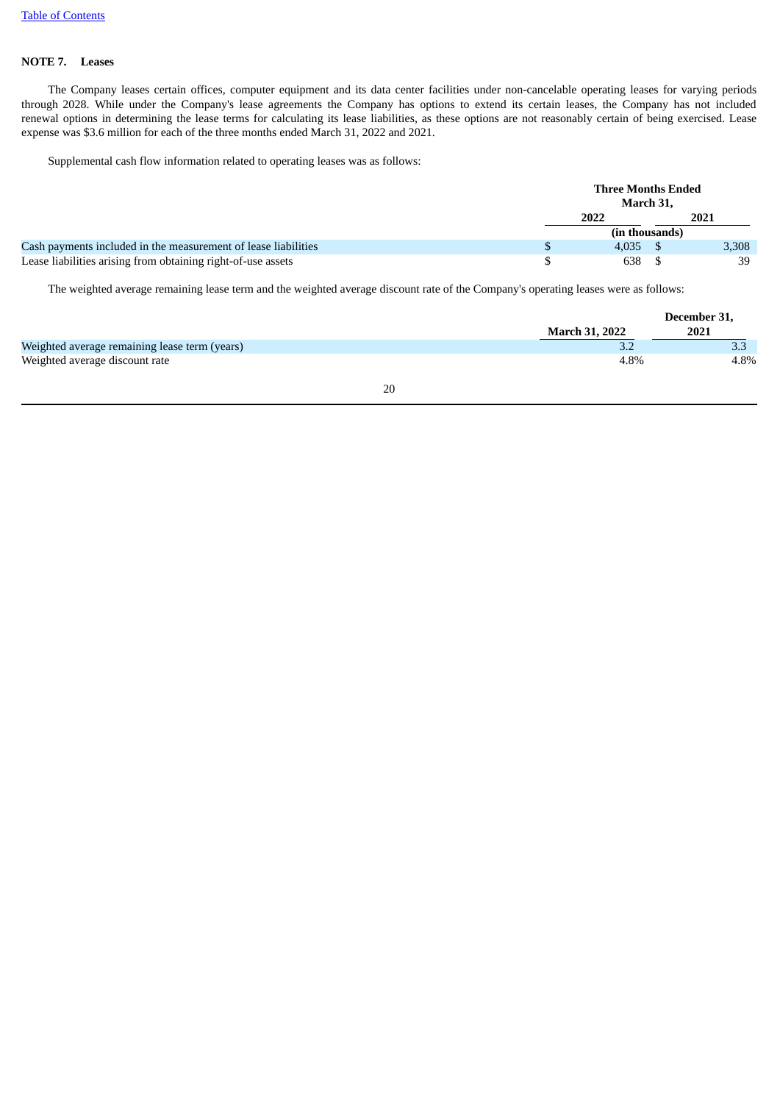### **NOTE 7. Leases**

The Company leases certain offices, computer equipment and its data center facilities under non-cancelable operating leases for varying periods through 2028. While under the Company's lease agreements the Company has options to extend its certain leases, the Company has not included renewal options in determining the lease terms for calculating its lease liabilities, as these options are not reasonably certain of being exercised. Lease expense was \$3.6 million for each of the three months ended March 31, 2022 and 2021.

Supplemental cash flow information related to operating leases was as follows:

|                                                                | <b>Three Months Ended</b><br>March 31. |      |       |
|----------------------------------------------------------------|----------------------------------------|------|-------|
|                                                                | 2022                                   | 2021 |       |
|                                                                | (in thousands)                         |      |       |
| Cash payments included in the measurement of lease liabilities | 4.035                                  |      | 3,308 |
| Lease liabilities arising from obtaining right-of-use assets   | 638                                    |      | 39    |

The weighted average remaining lease term and the weighted average discount rate of the Company's operating leases were as follows:

|                                               |                       | December 31, |
|-----------------------------------------------|-----------------------|--------------|
|                                               | <b>March 31, 2022</b> | 2021         |
| Weighted average remaining lease term (years) |                       | 3.3          |
| Weighted average discount rate                | 4.8%                  | 4.8%         |
|                                               |                       |              |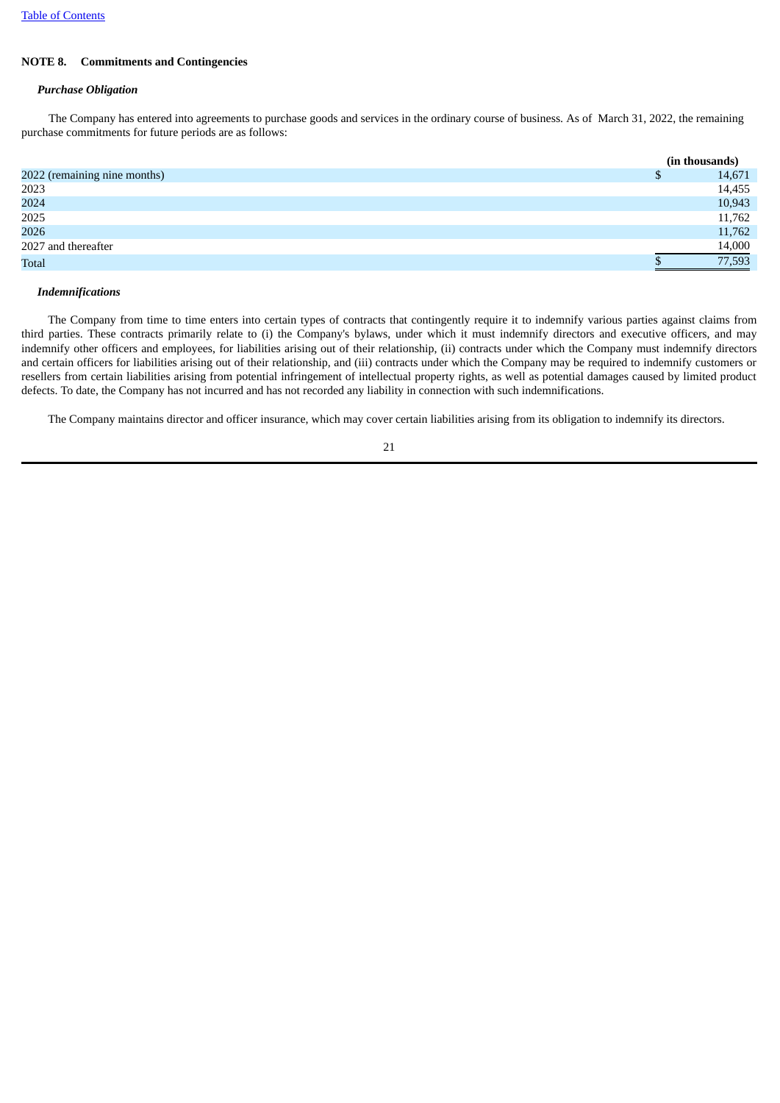## **NOTE 8. Commitments and Contingencies**

## *Purchase Obligation*

The Company has entered into agreements to purchase goods and services in the ordinary course of business. As of March 31, 2022, the remaining purchase commitments for future periods are as follows:

|                              | (in thousands) |        |
|------------------------------|----------------|--------|
| 2022 (remaining nine months) |                | 14,671 |
| 2023                         |                | 14,455 |
| 2024                         |                | 10,943 |
| 2025                         |                | 11,762 |
| 2026                         |                | 11,762 |
| 2027 and thereafter          |                | 14,000 |
| <b>Total</b>                 |                | 77,593 |

## *Indemnifications*

The Company from time to time enters into certain types of contracts that contingently require it to indemnify various parties against claims from third parties. These contracts primarily relate to (i) the Company's bylaws, under which it must indemnify directors and executive officers, and may indemnify other officers and employees, for liabilities arising out of their relationship, (ii) contracts under which the Company must indemnify directors and certain officers for liabilities arising out of their relationship, and (iii) contracts under which the Company may be required to indemnify customers or resellers from certain liabilities arising from potential infringement of intellectual property rights, as well as potential damages caused by limited product defects. To date, the Company has not incurred and has not recorded any liability in connection with such indemnifications.

The Company maintains director and officer insurance, which may cover certain liabilities arising from its obligation to indemnify its directors.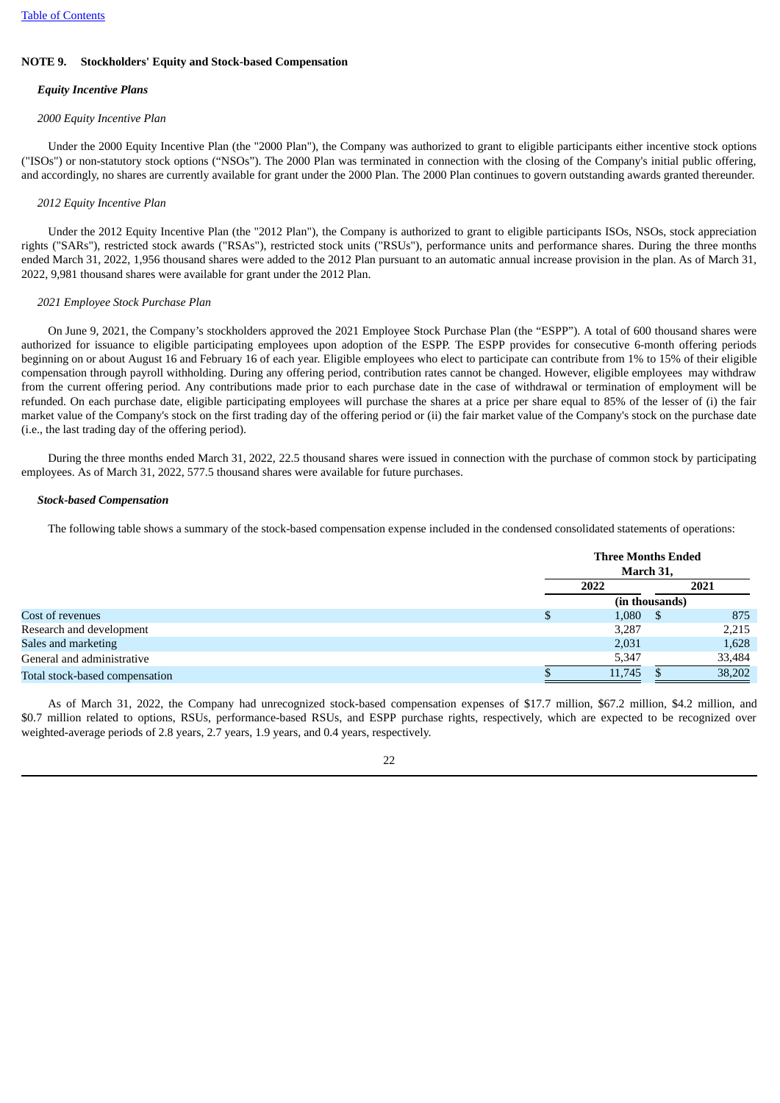## **NOTE 9. Stockholders' Equity and Stock-based Compensation**

## *Equity Incentive Plans*

## *2000 Equity Incentive Plan*

Under the 2000 Equity Incentive Plan (the "2000 Plan"), the Company was authorized to grant to eligible participants either incentive stock options ("ISOs") or non-statutory stock options ("NSOs"). The 2000 Plan was terminated in connection with the closing of the Company's initial public offering, and accordingly, no shares are currently available for grant under the 2000 Plan. The 2000 Plan continues to govern outstanding awards granted thereunder.

## *2012 Equity Incentive Plan*

Under the 2012 Equity Incentive Plan (the "2012 Plan"), the Company is authorized to grant to eligible participants ISOs, NSOs, stock appreciation rights ("SARs"), restricted stock awards ("RSAs"), restricted stock units ("RSUs"), performance units and performance shares. During the three months ended March 31, 2022, 1,956 thousand shares were added to the 2012 Plan pursuant to an automatic annual increase provision in the plan. As of March 31, 2022, 9,981 thousand shares were available for grant under the 2012 Plan.

## *2021 Employee Stock Purchase Plan*

On June 9, 2021, the Company's stockholders approved the 2021 Employee Stock Purchase Plan (the "ESPP"). A total of 600 thousand shares were authorized for issuance to eligible participating employees upon adoption of the ESPP. The ESPP provides for consecutive 6-month offering periods beginning on or about August 16 and February 16 of each year. Eligible employees who elect to participate can contribute from 1% to 15% of their eligible compensation through payroll withholding. During any offering period, contribution rates cannot be changed. However, eligible employees may withdraw from the current offering period. Any contributions made prior to each purchase date in the case of withdrawal or termination of employment will be refunded. On each purchase date, eligible participating employees will purchase the shares at a price per share equal to 85% of the lesser of (i) the fair market value of the Company's stock on the first trading day of the offering period or (ii) the fair market value of the Company's stock on the purchase date (i.e., the last trading day of the offering period).

During the three months ended March 31, 2022, 22.5 thousand shares were issued in connection with the purchase of common stock by participating employees. As of March 31, 2022, 577.5 thousand shares were available for future purchases.

## *Stock-based Compensation*

The following table shows a summary of the stock-based compensation expense included in the condensed consolidated statements of operations:

|                                |     | <b>Three Months Ended</b><br>March 31, |                |        |  |
|--------------------------------|-----|----------------------------------------|----------------|--------|--|
|                                |     | 2022                                   |                |        |  |
|                                |     |                                        | (in thousands) |        |  |
| Cost of revenues               | \$. | 1,080                                  |                | 875    |  |
| Research and development       |     | 3,287                                  |                | 2,215  |  |
| Sales and marketing            |     | 2,031                                  |                | 1,628  |  |
| General and administrative     |     | 5,347                                  |                | 33,484 |  |
| Total stock-based compensation |     | 11,745                                 |                | 38,202 |  |

As of March 31, 2022, the Company had unrecognized stock-based compensation expenses of \$17.7 million, \$67.2 million, \$4.2 million, and \$0.7 million related to options, RSUs, performance-based RSUs, and ESPP purchase rights, respectively, which are expected to be recognized over weighted-average periods of 2.8 years, 2.7 years, 1.9 years, and 0.4 years, respectively.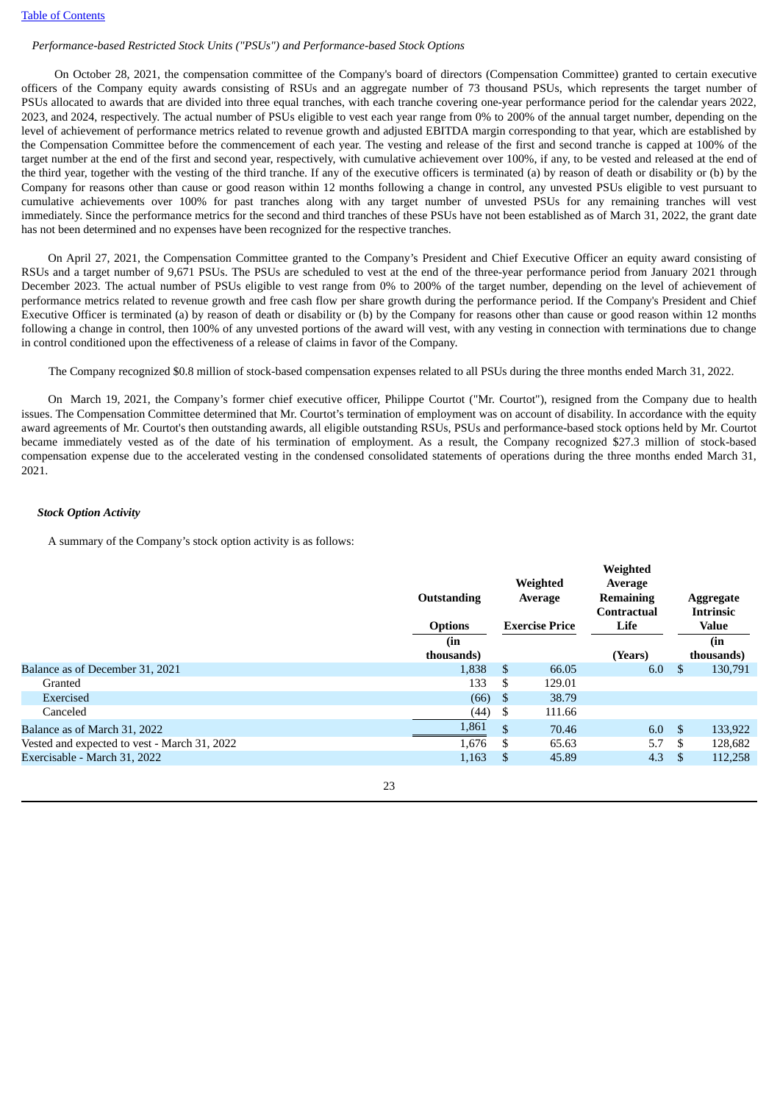*Performance-based Restricted Stock Units ("PSUs") and Performance-based Stock Options*

On October 28, 2021, the compensation committee of the Company's board of directors (Compensation Committee) granted to certain executive officers of the Company equity awards consisting of RSUs and an aggregate number of 73 thousand PSUs, which represents the target number of PSUs allocated to awards that are divided into three equal tranches, with each tranche covering one-year performance period for the calendar years 2022, 2023, and 2024, respectively. The actual number of PSUs eligible to vest each year range from 0% to 200% of the annual target number, depending on the level of achievement of performance metrics related to revenue growth and adjusted EBITDA margin corresponding to that year, which are established by the Compensation Committee before the commencement of each year. The vesting and release of the first and second tranche is capped at 100% of the target number at the end of the first and second year, respectively, with cumulative achievement over 100%, if any, to be vested and released at the end of the third year, together with the vesting of the third tranche. If any of the executive officers is terminated (a) by reason of death or disability or (b) by the Company for reasons other than cause or good reason within 12 months following a change in control, any unvested PSUs eligible to vest pursuant to cumulative achievements over 100% for past tranches along with any target number of unvested PSUs for any remaining tranches will vest immediately. Since the performance metrics for the second and third tranches of these PSUs have not been established as of March 31, 2022, the grant date has not been determined and no expenses have been recognized for the respective tranches.

On April 27, 2021, the Compensation Committee granted to the Company's President and Chief Executive Officer an equity award consisting of RSUs and a target number of 9,671 PSUs. The PSUs are scheduled to vest at the end of the three-year performance period from January 2021 through December 2023. The actual number of PSUs eligible to vest range from 0% to 200% of the target number, depending on the level of achievement of performance metrics related to revenue growth and free cash flow per share growth during the performance period. If the Company's President and Chief Executive Officer is terminated (a) by reason of death or disability or (b) by the Company for reasons other than cause or good reason within 12 months following a change in control, then 100% of any unvested portions of the award will vest, with any vesting in connection with terminations due to change in control conditioned upon the effectiveness of a release of claims in favor of the Company.

The Company recognized \$0.8 million of stock-based compensation expenses related to all PSUs during the three months ended March 31, 2022.

On March 19, 2021, the Company's former chief executive officer, Philippe Courtot ("Mr. Courtot"), resigned from the Company due to health issues. The Compensation Committee determined that Mr. Courtot's termination of employment was on account of disability. In accordance with the equity award agreements of Mr. Courtot's then outstanding awards, all eligible outstanding RSUs, PSUs and performance-based stock options held by Mr. Courtot became immediately vested as of the date of his termination of employment. As a result, the Company recognized \$27.3 million of stock-based compensation expense due to the accelerated vesting in the condensed consolidated statements of operations during the three months ended March 31, 2021.

### *Stock Option Activity*

A summary of the Company's stock option activity is as follows:

|                                              | Outstanding           | Weighted<br>Average |                       |         |     | Aggregate<br><b>Intrinsic</b> |
|----------------------------------------------|-----------------------|---------------------|-----------------------|---------|-----|-------------------------------|
|                                              | <b>Options</b><br>(in |                     | <b>Exercise Price</b> | Life    |     | <b>Value</b><br>(in           |
|                                              | thousands)            |                     |                       | (Years) |     | thousands)                    |
| Balance as of December 31, 2021              | 1,838                 | \$                  | 66.05                 | 6.0     | \$  | 130,791                       |
| Granted                                      | 133                   | \$.                 | 129.01                |         |     |                               |
| Exercised                                    | (66)                  | \$                  | 38.79                 |         |     |                               |
| Canceled                                     | (44)                  | \$                  | 111.66                |         |     |                               |
| Balance as of March 31, 2022                 | 1,861                 | $\mathbb{S}$        | 70.46                 | 6.0     | -\$ | 133,922                       |
| Vested and expected to vest - March 31, 2022 | 1,676                 | \$.                 | 65.63                 | 5.7     | -S  | 128,682                       |
| Exercisable - March 31, 2022                 | 1,163                 | \$                  | 45.89                 | 4.3     | \$  | 112,258                       |
|                                              |                       |                     |                       |         |     |                               |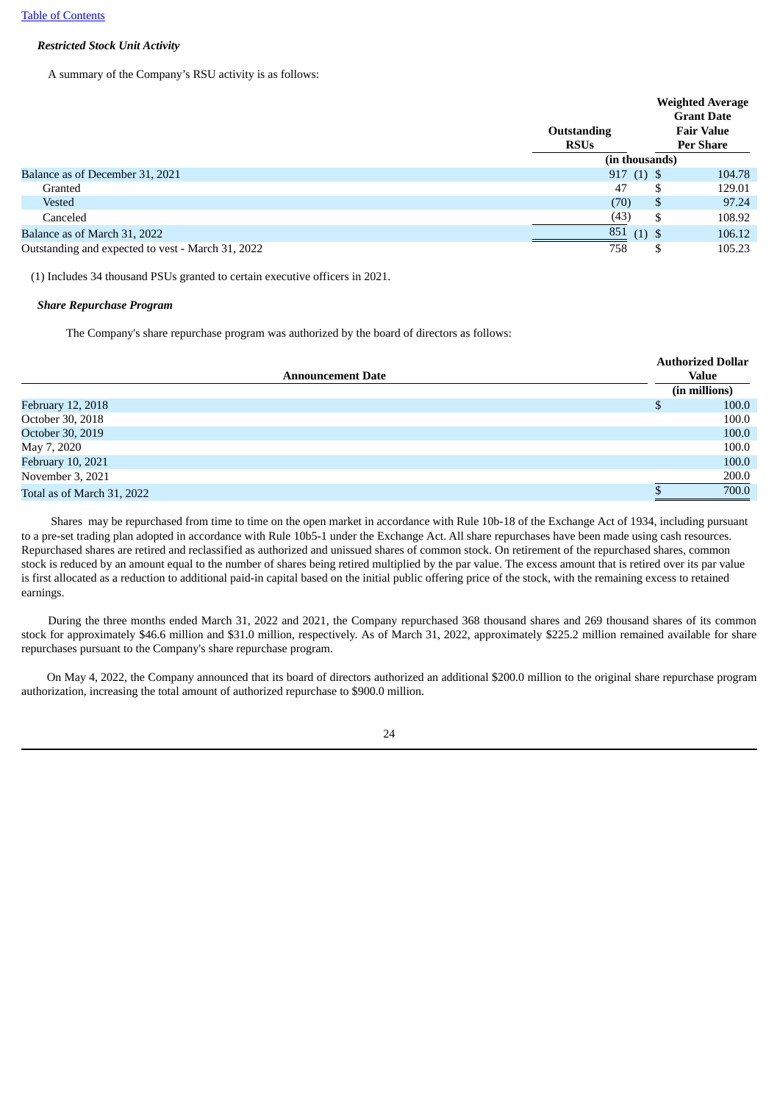## *Restricted Stock Unit Activity*

A summary of the Company's RSU activity is as follows:

|                                                   |                 | <b>Weighted Average</b><br><b>Grant Date</b> |  |  |
|---------------------------------------------------|-----------------|----------------------------------------------|--|--|
|                                                   | Outstanding     | <b>Fair Value</b>                            |  |  |
|                                                   | <b>RSUs</b>     | <b>Per Share</b>                             |  |  |
|                                                   | (in thousands)  |                                              |  |  |
| Balance as of December 31, 2021                   | 917<br>$(1)$ \$ | 104.78                                       |  |  |
| Granted                                           | 47              | 129.01<br>ъ                                  |  |  |
| Vested                                            | (70)            | 97.24<br>\$.                                 |  |  |
| Canceled                                          | (43)            | 108.92<br>.S                                 |  |  |
| Balance as of March 31, 2022                      | 851<br>$(1)$ \$ | 106.12                                       |  |  |
| Outstanding and expected to vest - March 31, 2022 | 758             | 105.23<br>ъĐ.                                |  |  |

(1) Includes 34 thousand PSUs granted to certain executive officers in 2021.

## *Share Repurchase Program*

The Company's share repurchase program was authorized by the board of directors as follows:

|                            |                          |   | <b>Authorized Dollar</b> |
|----------------------------|--------------------------|---|--------------------------|
|                            | <b>Announcement Date</b> |   | Value                    |
|                            |                          |   | (in millions)            |
| <b>February 12, 2018</b>   |                          | S | 100.0                    |
| October 30, 2018           |                          |   | 100.0                    |
| October 30, 2019           |                          |   | 100.0                    |
| May 7, 2020                |                          |   | 100.0                    |
| February 10, 2021          |                          |   | 100.0                    |
| November 3, 2021           |                          |   | 200.0                    |
| Total as of March 31, 2022 |                          |   | 700.0                    |

Shares may be repurchased from time to time on the open market in accordance with Rule 10b-18 of the Exchange Act of 1934, including pursuant to a pre-set trading plan adopted in accordance with Rule 10b5-1 under the Exchange Act. All share repurchases have been made using cash resources. Repurchased shares are retired and reclassified as authorized and unissued shares of common stock. On retirement of the repurchased shares, common stock is reduced by an amount equal to the number of shares being retired multiplied by the par value. The excess amount that is retired over its par value is first allocated as a reduction to additional paid-in capital based on the initial public offering price of the stock, with the remaining excess to retained earnings.

During the three months ended March 31, 2022 and 2021, the Company repurchased 368 thousand shares and 269 thousand shares of its common stock for approximately \$46.6 million and \$31.0 million, respectively. As of March 31, 2022, approximately \$225.2 million remained available for share repurchases pursuant to the Company's share repurchase program.

On May 4, 2022*,* the Company announced that its board of directors authorized an additional \$200.0 million to the original share repurchase program authorization, increasing the total amount of authorized repurchase to \$900.0 million.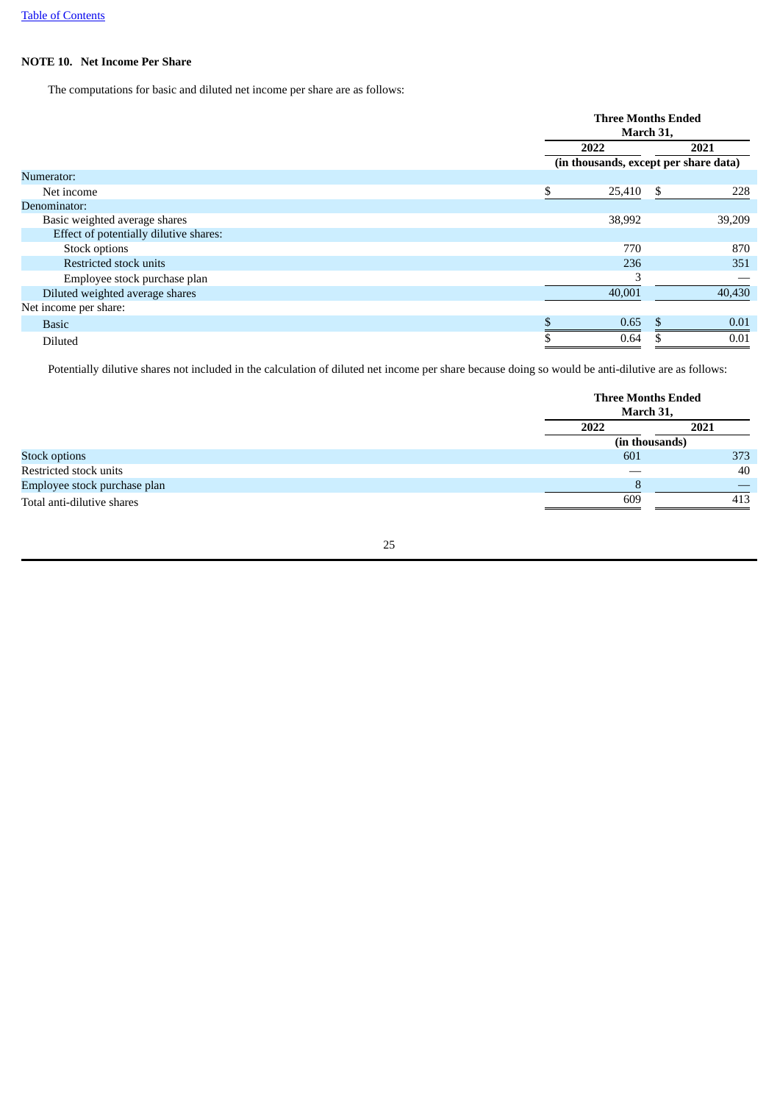## **NOTE 10. Net Income Per Share**

The computations for basic and diluted net income per share are as follows:

|                                        |      | <b>Three Months Ended</b><br>March 31, |    |        |  |
|----------------------------------------|------|----------------------------------------|----|--------|--|
|                                        | 2022 |                                        |    | 2021   |  |
|                                        |      | (in thousands, except per share data)  |    |        |  |
| Numerator:                             |      |                                        |    |        |  |
| Net income                             | \$.  | 25,410                                 | \$ | 228    |  |
| Denominator:                           |      |                                        |    |        |  |
| Basic weighted average shares          |      | 38,992                                 |    | 39,209 |  |
| Effect of potentially dilutive shares: |      |                                        |    |        |  |
| Stock options                          |      | 770                                    |    | 870    |  |
| Restricted stock units                 |      | 236                                    |    | 351    |  |
| Employee stock purchase plan           |      |                                        |    |        |  |
| Diluted weighted average shares        |      | 40,001                                 |    | 40,430 |  |
| Net income per share:                  |      |                                        |    |        |  |
| <b>Basic</b>                           |      | 0.65                                   | \$ | 0.01   |  |
| Diluted                                |      | 0.64                                   |    | 0.01   |  |

Potentially dilutive shares not included in the calculation of diluted net income per share because doing so would be anti-dilutive are as follows:

|                              | <b>Three Months Ended</b><br>March 31, |                |
|------------------------------|----------------------------------------|----------------|
|                              | 2022                                   | 2021           |
|                              |                                        | (in thousands) |
| <b>Stock options</b>         | 601                                    | 373            |
| Restricted stock units       |                                        | 40             |
| Employee stock purchase plan | 8                                      |                |
| Total anti-dilutive shares   | 609                                    | 413            |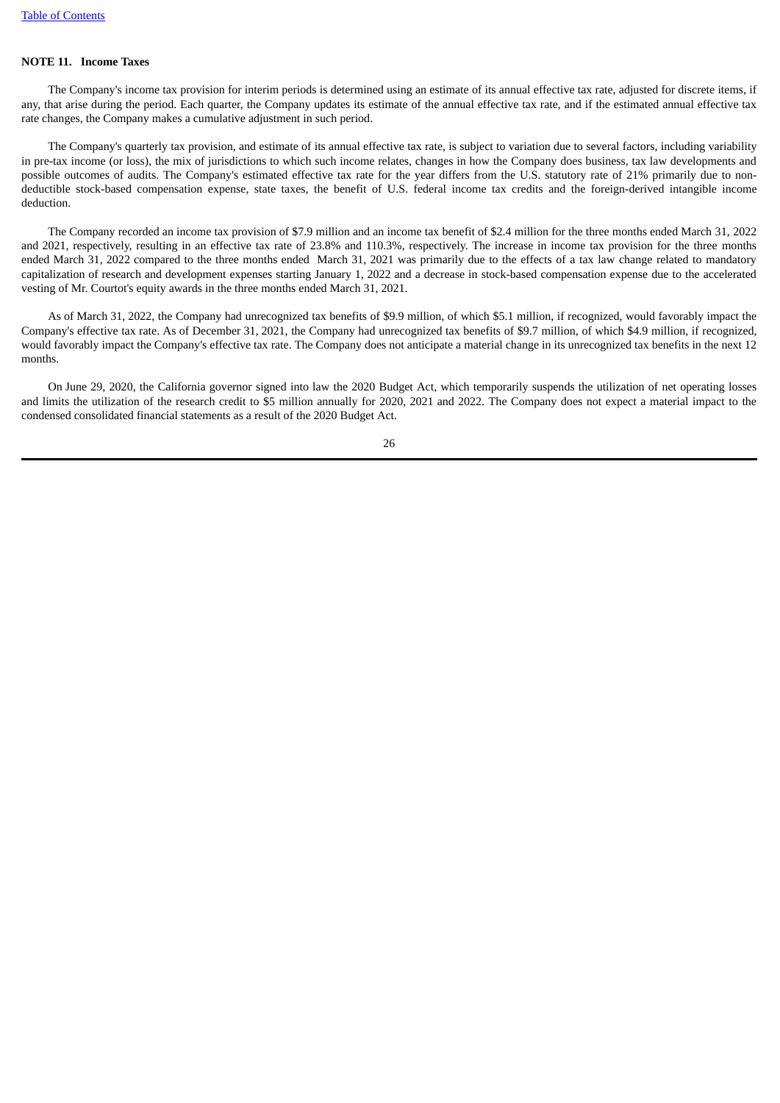#### **NOTE 11. Income Taxes**

The Company's income tax provision for interim periods is determined using an estimate of its annual effective tax rate, adjusted for discrete items, if any, that arise during the period. Each quarter, the Company updates its estimate of the annual effective tax rate, and if the estimated annual effective tax rate changes, the Company makes a cumulative adjustment in such period.

The Company's quarterly tax provision, and estimate of its annual effective tax rate, is subject to variation due to several factors, including variability in pre-tax income (or loss), the mix of jurisdictions to which such income relates, changes in how the Company does business, tax law developments and possible outcomes of audits. The Company's estimated effective tax rate for the year differs from the U.S. statutory rate of 21% primarily due to nondeductible stock-based compensation expense, state taxes, the benefit of U.S. federal income tax credits and the foreign-derived intangible income deduction.

The Company recorded an income tax provision of \$7.9 million and an income tax benefit of \$2.4 million for the three months ended March 31, 2022 and 2021, respectively, resulting in an effective tax rate of 23.8% and 110.3%, respectively. The increase in income tax provision for the three months ended March 31, 2022 compared to the three months ended March 31, 2021 was primarily due to the effects of a tax law change related to mandatory capitalization of research and development expenses starting January 1, 2022 and a decrease in stock-based compensation expense due to the accelerated vesting of Mr. Courtot's equity awards in the three months ended March 31, 2021.

As of March 31, 2022, the Company had unrecognized tax benefits of \$9.9 million, of which \$5.1 million, if recognized, would favorably impact the Company's effective tax rate. As of December 31, 2021, the Company had unrecognized tax benefits of \$9.7 million, of which \$4.9 million, if recognized, would favorably impact the Company's effective tax rate. The Company does not anticipate a material change in its unrecognized tax benefits in the next 12 months.

On June 29, 2020, the California governor signed into law the 2020 Budget Act, which temporarily suspends the utilization of net operating losses and limits the utilization of the research credit to \$5 million annually for 2020, 2021 and 2022. The Company does not expect a material impact to the condensed consolidated financial statements as a result of the 2020 Budget Act.

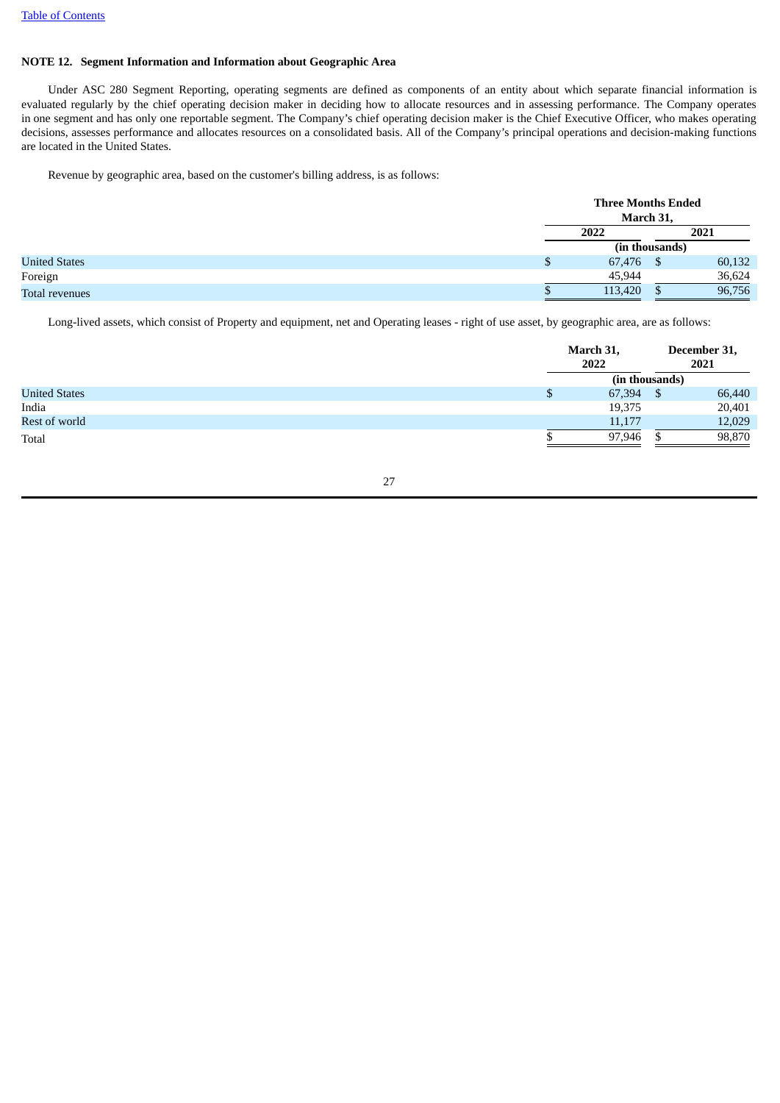### **NOTE 12. Segment Information and Information about Geographic Area**

Under ASC 280 Segment Reporting, operating segments are defined as components of an entity about which separate financial information is evaluated regularly by the chief operating decision maker in deciding how to allocate resources and in assessing performance. The Company operates in one segment and has only one reportable segment. The Company's chief operating decision maker is the Chief Executive Officer, who makes operating decisions, assesses performance and allocates resources on a consolidated basis. All of the Company's principal operations and decision-making functions are located in the United States.

Revenue by geographic area, based on the customer's billing address, is as follows:

|                      |   | <b>Three Months Ended</b><br>March 31, |                |        |  |
|----------------------|---|----------------------------------------|----------------|--------|--|
|                      |   | 2022                                   |                | 2021   |  |
|                      |   |                                        | (in thousands) |        |  |
| <b>United States</b> | J | 67,476 \$                              |                | 60,132 |  |
| Foreign              |   | 45,944                                 |                | 36,624 |  |
| Total revenues       |   | 113,420                                |                | 96,756 |  |

Long-lived assets, which consist of Property and equipment, net and Operating leases - right of use asset, by geographic area, are as follows:

|                      |   | March 31,<br>2022 |    | December 31,<br>2021 |
|----------------------|---|-------------------|----|----------------------|
|                      |   | (in thousands)    |    |                      |
| <b>United States</b> | Φ | 67,394            | \$ | 66,440               |
| India                |   | 19,375            |    | 20,401               |
| Rest of world        |   | 11,177            |    | 12,029               |
| Total                |   | 97,946            |    | 98,870               |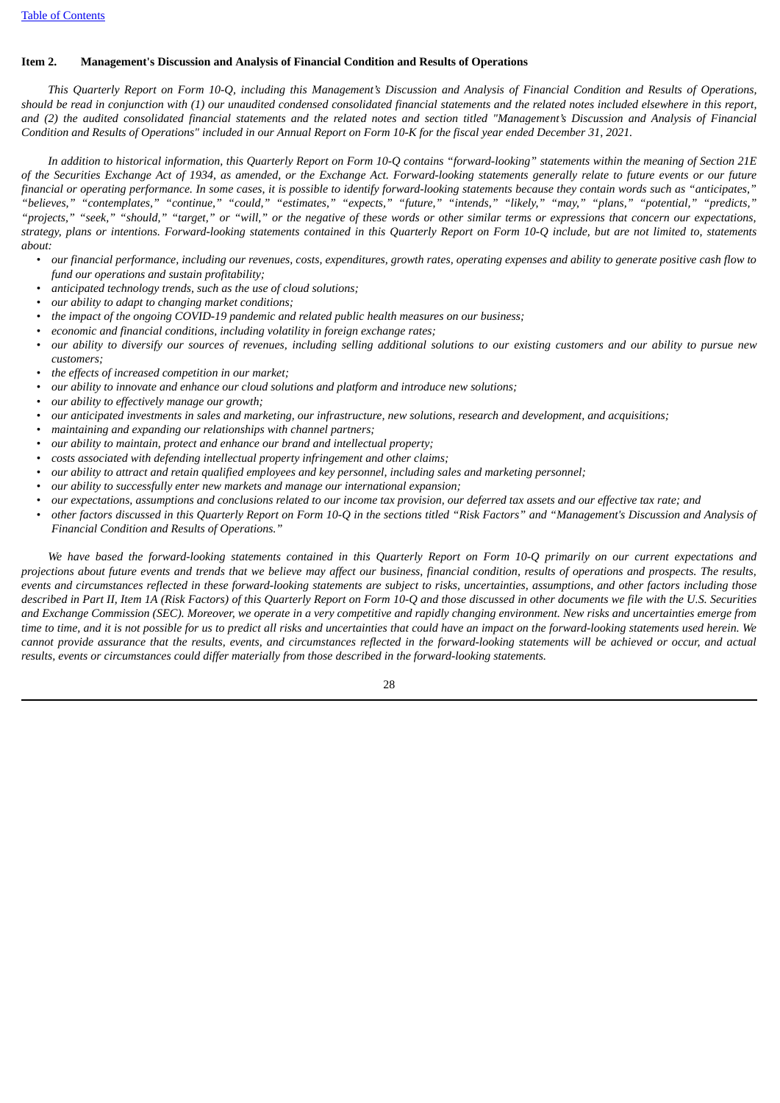### <span id="page-27-0"></span>**Item 2. Management's Discussion and Analysis of Financial Condition and Results of Operations**

This Quarterly Report on Form 10-Q, including this Management's Discussion and Analysis of Financial Condition and Results of Operations, should be read in conjunction with (1) our unaudited condensed consolidated financial statements and the related notes included elsewhere in this report, and (2) the audited consolidated financial statements and the related notes and section titled "Management's Discussion and Analysis of Financial Condition and Results of Operations" included in our Annual Report on Form 10-K for the fiscal year ended December 31, 2021.

In addition to historical information, this Quarterly Report on Form 10-Q contains "forward-looking" statements within the meaning of Section 21E of the Securities Exchange Act of 1934, as amended, or the Exchange Act. Forward-looking statements generally relate to future events or our future financial or operating performance. In some cases, it is possible to identify forward-looking statements because they contain words such as "anticipates," "believes," "contemplates," "continue," "could," "estimates," "expects," "future," "intends," "likely," "may," "plans," "potential," "predicts," "proiects," "seek," "should," "target," or "will," or the negative of these words or other similar terms or expressions that concern our expectations, strategy, plans or intentions. Forward-looking statements contained in this Quarterly Report on Form 10-Q include, but are not limited to, statements *about:*

- our financial performance, including our revenues, costs, expenditures, growth rates, operating expenses and ability to generate positive cash flow to *fund our operations and sustain profitability;*
- *• anticipated technology trends, such as the use of cloud solutions;*
- *• our ability to adapt to changing market conditions;*
- *• the impact of the ongoing COVID-19 pandemic and related public health measures on our business;*
- *• economic and financial conditions, including volatility in foreign exchange rates;*
- our ability to diversify our sources of revenues, including selling additional solutions to our existing customers and our ability to pursue new *customers;*
- *• the effects of increased competition in our market;*
- *• our ability to innovate and enhance our cloud solutions and platform and introduce new solutions;*
- *• our ability to effectively manage our growth;*
- our anticipated investments in sales and marketing, our infrastructure, new solutions, research and development, and acquisitions;
- *• maintaining and expanding our relationships with channel partners;*
- *• our ability to maintain, protect and enhance our brand and intellectual property;*
- *• costs associated with defending intellectual property infringement and other claims;*
- our ability to attract and retain qualified employees and key personnel, including sales and marketing personnel;
- *• our ability to successfully enter new markets and manage our international expansion;*
- our expectations, assumptions and conclusions related to our income tax provision, our deferred tax assets and our effective tax rate; and
- other factors discussed in this Quarterly Report on Form 10-Q in the sections titled "Risk Factors" and "Management's Discussion and Analysis of *Financial Condition and Results of Operations."*

We have based the forward-looking statements contained in this Quarterly Report on Form 10-Q primarily on our current expectations and projections about future events and trends that we believe may affect our business, financial condition, results of operations and prospects. The results, events and circumstances reflected in these forward-looking statements are subject to risks, uncertainties, assumptions, and other factors including those described in Part II, Item 1A (Risk Factors) of this Quarterly Report on Form 10-Q and those discussed in other documents we file with the U.S. Securities and Exchange Commission (SEC). Moreover, we operate in a very competitive and rapidly changing environment. New risks and uncertainties emerge from time to time, and it is not possible for us to predict all risks and uncertainties that could have an impact on the forward-looking statements used herein. We cannot provide assurance that the results, events, and circumstances reflected in the forward-looking statements will be achieved or occur, and actual *results, events or circumstances could differ materially from those described in the forward-looking statements.*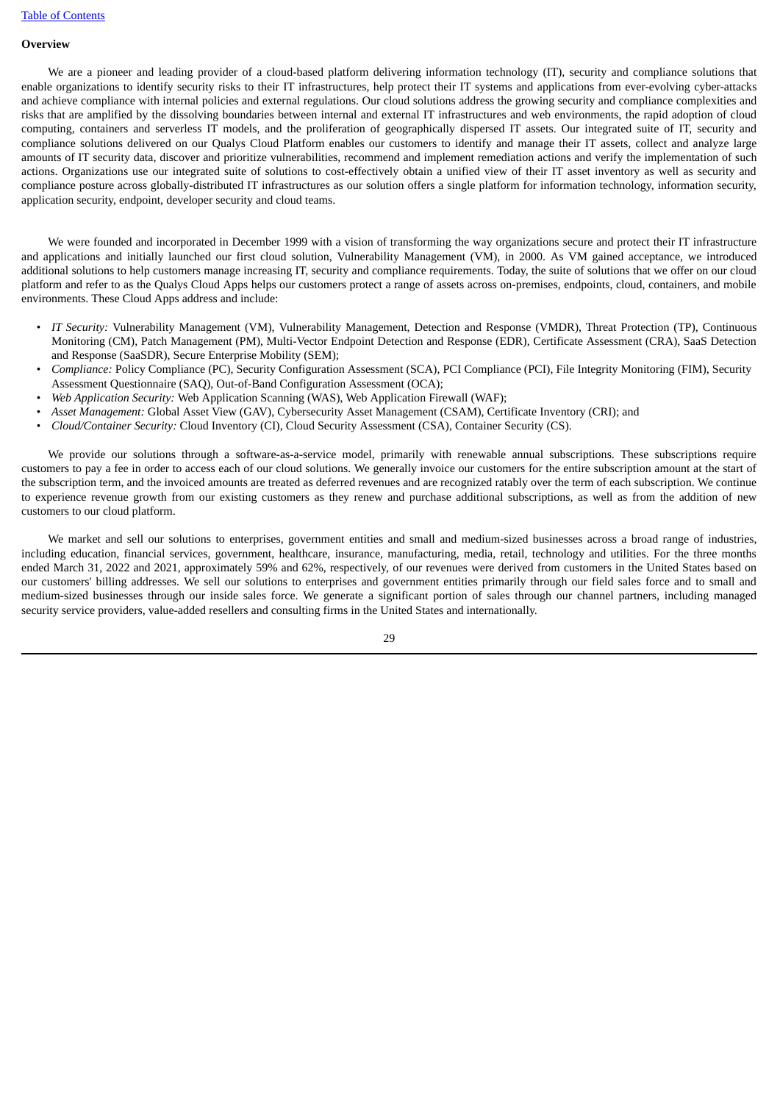### **Overview**

We are a pioneer and leading provider of a cloud-based platform delivering information technology (IT), security and compliance solutions that enable organizations to identify security risks to their IT infrastructures, help protect their IT systems and applications from ever-evolving cyber-attacks and achieve compliance with internal policies and external regulations. Our cloud solutions address the growing security and compliance complexities and risks that are amplified by the dissolving boundaries between internal and external IT infrastructures and web environments, the rapid adoption of cloud computing, containers and serverless IT models, and the proliferation of geographically dispersed IT assets. Our integrated suite of IT, security and compliance solutions delivered on our Qualys Cloud Platform enables our customers to identify and manage their IT assets, collect and analyze large amounts of IT security data, discover and prioritize vulnerabilities, recommend and implement remediation actions and verify the implementation of such actions. Organizations use our integrated suite of solutions to cost-effectively obtain a unified view of their IT asset inventory as well as security and compliance posture across globally-distributed IT infrastructures as our solution offers a single platform for information technology, information security, application security, endpoint, developer security and cloud teams.

We were founded and incorporated in December 1999 with a vision of transforming the way organizations secure and protect their IT infrastructure and applications and initially launched our first cloud solution, Vulnerability Management (VM), in 2000. As VM gained acceptance, we introduced additional solutions to help customers manage increasing IT, security and compliance requirements. Today, the suite of solutions that we offer on our cloud platform and refer to as the Qualys Cloud Apps helps our customers protect a range of assets across on-premises, endpoints, cloud, containers, and mobile environments. These Cloud Apps address and include:

- *• IT Security:* Vulnerability Management (VM), Vulnerability Management, Detection and Response (VMDR), Threat Protection (TP), Continuous Monitoring (CM), Patch Management (PM), Multi-Vector Endpoint Detection and Response (EDR), Certificate Assessment (CRA), SaaS Detection and Response (SaaSDR), Secure Enterprise Mobility (SEM);
- *• Compliance:* Policy Compliance (PC), Security Configuration Assessment (SCA), PCI Compliance (PCI), File Integrity Monitoring (FIM), Security Assessment Questionnaire (SAQ), Out-of-Band Configuration Assessment (OCA);
- *• Web Application Security:* Web Application Scanning (WAS), Web Application Firewall (WAF);
- *• Asset Management:* Global Asset View (GAV), Cybersecurity Asset Management (CSAM), Certificate Inventory (CRI); and
- *• Cloud/Container Security:* Cloud Inventory (CI), Cloud Security Assessment (CSA), Container Security (CS).

We provide our solutions through a software-as-a-service model, primarily with renewable annual subscriptions. These subscriptions require customers to pay a fee in order to access each of our cloud solutions. We generally invoice our customers for the entire subscription amount at the start of the subscription term, and the invoiced amounts are treated as deferred revenues and are recognized ratably over the term of each subscription. We continue to experience revenue growth from our existing customers as they renew and purchase additional subscriptions, as well as from the addition of new customers to our cloud platform.

We market and sell our solutions to enterprises, government entities and small and medium-sized businesses across a broad range of industries, including education, financial services, government, healthcare, insurance, manufacturing, media, retail, technology and utilities. For the three months ended March 31, 2022 and 2021, approximately 59% and 62%, respectively, of our revenues were derived from customers in the United States based on our customers' billing addresses. We sell our solutions to enterprises and government entities primarily through our field sales force and to small and medium-sized businesses through our inside sales force. We generate a significant portion of sales through our channel partners, including managed security service providers, value-added resellers and consulting firms in the United States and internationally.

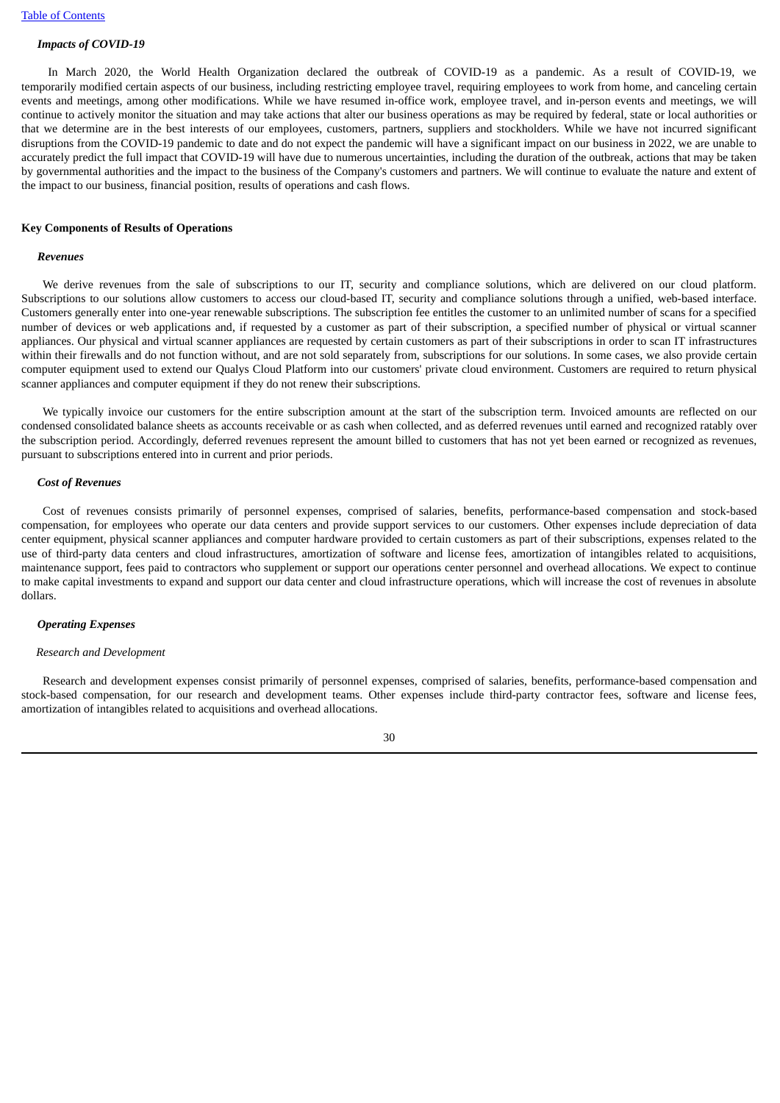### *Impacts of COVID-19*

In March 2020, the World Health Organization declared the outbreak of COVID-19 as a pandemic. As a result of COVID-19, we temporarily modified certain aspects of our business, including restricting employee travel, requiring employees to work from home, and canceling certain events and meetings, among other modifications. While we have resumed in-office work, employee travel, and in-person events and meetings, we will continue to actively monitor the situation and may take actions that alter our business operations as may be required by federal, state or local authorities or that we determine are in the best interests of our employees, customers, partners, suppliers and stockholders. While we have not incurred significant disruptions from the COVID-19 pandemic to date and do not expect the pandemic will have a significant impact on our business in 2022, we are unable to accurately predict the full impact that COVID-19 will have due to numerous uncertainties, including the duration of the outbreak, actions that may be taken by governmental authorities and the impact to the business of the Company's customers and partners. We will continue to evaluate the nature and extent of the impact to our business, financial position, results of operations and cash flows.

### **Key Components of Results of Operations**

#### *Revenues*

We derive revenues from the sale of subscriptions to our IT, security and compliance solutions, which are delivered on our cloud platform. Subscriptions to our solutions allow customers to access our cloud-based IT, security and compliance solutions through a unified, web-based interface. Customers generally enter into one-year renewable subscriptions. The subscription fee entitles the customer to an unlimited number of scans for a specified number of devices or web applications and, if requested by a customer as part of their subscription, a specified number of physical or virtual scanner appliances. Our physical and virtual scanner appliances are requested by certain customers as part of their subscriptions in order to scan IT infrastructures within their firewalls and do not function without, and are not sold separately from, subscriptions for our solutions. In some cases, we also provide certain computer equipment used to extend our Qualys Cloud Platform into our customers' private cloud environment. Customers are required to return physical scanner appliances and computer equipment if they do not renew their subscriptions.

We typically invoice our customers for the entire subscription amount at the start of the subscription term. Invoiced amounts are reflected on our condensed consolidated balance sheets as accounts receivable or as cash when collected, and as deferred revenues until earned and recognized ratably over the subscription period. Accordingly, deferred revenues represent the amount billed to customers that has not yet been earned or recognized as revenues, pursuant to subscriptions entered into in current and prior periods.

#### *Cost of Revenues*

Cost of revenues consists primarily of personnel expenses, comprised of salaries, benefits, performance-based compensation and stock-based compensation, for employees who operate our data centers and provide support services to our customers. Other expenses include depreciation of data center equipment, physical scanner appliances and computer hardware provided to certain customers as part of their subscriptions, expenses related to the use of third-party data centers and cloud infrastructures, amortization of software and license fees, amortization of intangibles related to acquisitions, maintenance support, fees paid to contractors who supplement or support our operations center personnel and overhead allocations. We expect to continue to make capital investments to expand and support our data center and cloud infrastructure operations, which will increase the cost of revenues in absolute dollars.

#### *Operating Expenses*

#### *Research and Development*

Research and development expenses consist primarily of personnel expenses, comprised of salaries, benefits, performance-based compensation and stock-based compensation, for our research and development teams. Other expenses include third-party contractor fees, software and license fees, amortization of intangibles related to acquisitions and overhead allocations.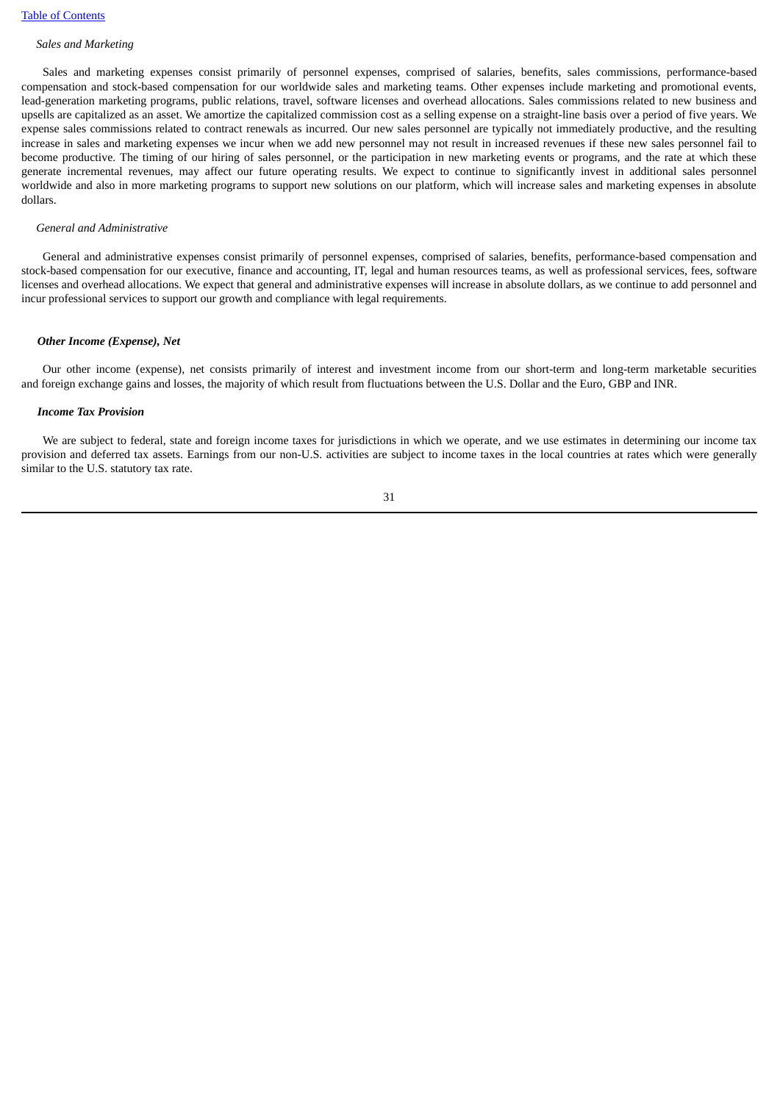### *Sales and Marketing*

Sales and marketing expenses consist primarily of personnel expenses, comprised of salaries, benefits, sales commissions, performance-based compensation and stock-based compensation for our worldwide sales and marketing teams. Other expenses include marketing and promotional events, lead-generation marketing programs, public relations, travel, software licenses and overhead allocations. Sales commissions related to new business and upsells are capitalized as an asset. We amortize the capitalized commission cost as a selling expense on a straight-line basis over a period of five years. We expense sales commissions related to contract renewals as incurred. Our new sales personnel are typically not immediately productive, and the resulting increase in sales and marketing expenses we incur when we add new personnel may not result in increased revenues if these new sales personnel fail to become productive. The timing of our hiring of sales personnel, or the participation in new marketing events or programs, and the rate at which these generate incremental revenues, may affect our future operating results. We expect to continue to significantly invest in additional sales personnel worldwide and also in more marketing programs to support new solutions on our platform, which will increase sales and marketing expenses in absolute dollars.

#### *General and Administrative*

General and administrative expenses consist primarily of personnel expenses, comprised of salaries, benefits, performance-based compensation and stock-based compensation for our executive, finance and accounting, IT, legal and human resources teams, as well as professional services, fees, software licenses and overhead allocations. We expect that general and administrative expenses will increase in absolute dollars, as we continue to add personnel and incur professional services to support our growth and compliance with legal requirements.

#### *Other Income (Expense), Net*

Our other income (expense), net consists primarily of interest and investment income from our short-term and long-term marketable securities and foreign exchange gains and losses, the majority of which result from fluctuations between the U.S. Dollar and the Euro, GBP and INR.

#### *Income Tax Provision*

We are subject to federal, state and foreign income taxes for jurisdictions in which we operate, and we use estimates in determining our income tax provision and deferred tax assets. Earnings from our non-U.S. activities are subject to income taxes in the local countries at rates which were generally similar to the U.S. statutory tax rate.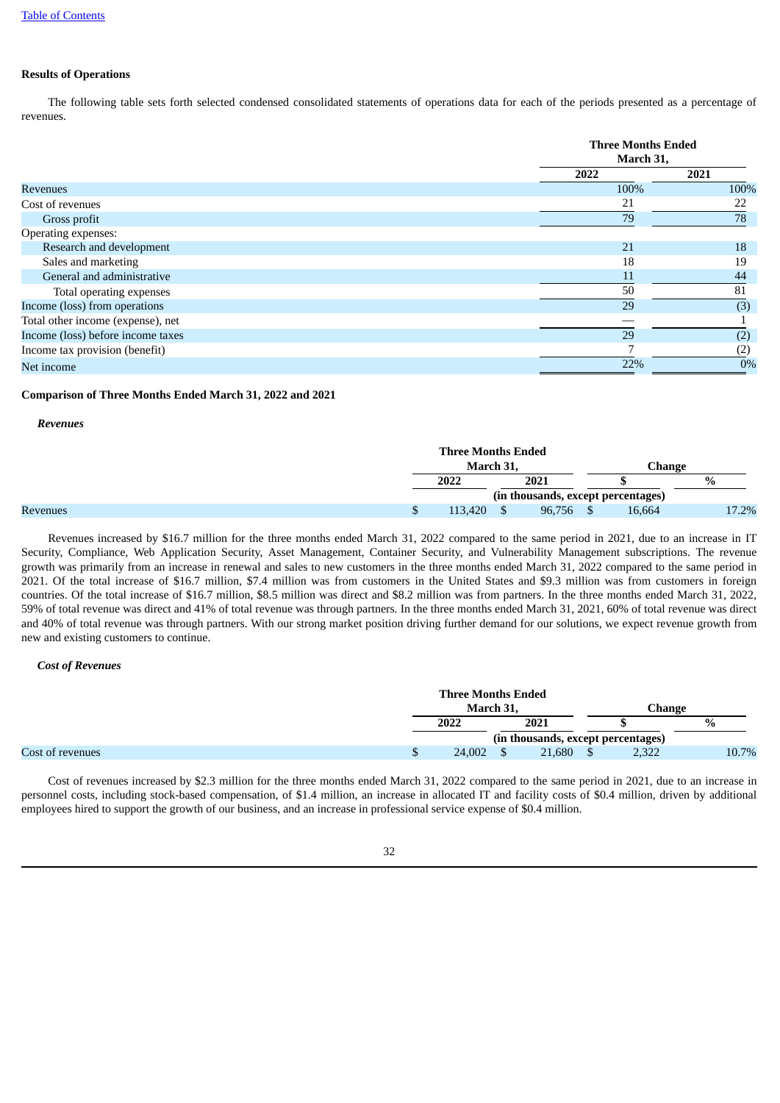## **Results of Operations**

The following table sets forth selected condensed consolidated statements of operations data for each of the periods presented as a percentage of revenues.

|                                   |      | <b>Three Months Ended</b><br>March 31. |  |  |
|-----------------------------------|------|----------------------------------------|--|--|
|                                   | 2022 | 2021                                   |  |  |
| <b>Revenues</b>                   | 100% | 100%                                   |  |  |
| Cost of revenues                  | 21   | 22                                     |  |  |
| Gross profit                      | 79   | 78                                     |  |  |
| Operating expenses:               |      |                                        |  |  |
| Research and development          | 21   | 18                                     |  |  |
| Sales and marketing               | 18   | 19                                     |  |  |
| General and administrative        | 11   | 44                                     |  |  |
| Total operating expenses          | 50   | 81                                     |  |  |
| Income (loss) from operations     | 29   | (3)                                    |  |  |
| Total other income (expense), net |      |                                        |  |  |
| Income (loss) before income taxes | 29   | (2)                                    |  |  |
| Income tax provision (benefit)    |      | (2)                                    |  |  |
| Net income                        | 22%  | $0\%$                                  |  |  |

### **Comparison of Three Months Ended March 31, 2022 and 2021**

*Revenues*

|              |  |                      |                           | <b>Change</b> |                                    |
|--------------|--|----------------------|---------------------------|---------------|------------------------------------|
| 2021<br>2022 |  |                      |                           |               | $\%$                               |
|              |  |                      |                           |               |                                    |
|              |  | 96.756               |                           | 16,664        | 17.2%                              |
|              |  | March 31,<br>113,420 | <b>Three Months Ended</b> |               | (in thousands, except percentages) |

Revenues increased by \$16.7 million for the three months ended March 31, 2022 compared to the same period in 2021, due to an increase in IT Security, Compliance, Web Application Security, Asset Management, Container Security, and Vulnerability Management subscriptions. The revenue growth was primarily from an increase in renewal and sales to new customers in the three months ended March 31, 2022 compared to the same period in 2021. Of the total increase of \$16.7 million, \$7.4 million was from customers in the United States and \$9.3 million was from customers in foreign countries. Of the total increase of \$16.7 million, \$8.5 million was direct and \$8.2 million was from partners. In the three months ended March 31, 2022, 59% of total revenue was direct and 41% of total revenue was through partners. In the three months ended March 31, 2021, 60% of total revenue was direct and 40% of total revenue was through partners. With our strong market position driving further demand for our solutions, we expect revenue growth from new and existing customers to continue.

### *Cost of Revenues*

|                  | <b>Three Months Ended</b> |  |        |                                    |       |  |
|------------------|---------------------------|--|--------|------------------------------------|-------|--|
|                  | March 31.                 |  |        | Change                             |       |  |
|                  | 2021<br>2022              |  |        | $\frac{0}{0}$                      |       |  |
|                  |                           |  |        | (in thousands, except percentages) |       |  |
|                  | 24,002                    |  | 21.680 | 2,322                              | 10.7% |  |
| Cost of revenues |                           |  |        |                                    |       |  |

Cost of revenues increased by \$2.3 million for the three months ended March 31, 2022 compared to the same period in 2021, due to an increase in personnel costs, including stock-based compensation, of \$1.4 million, an increase in allocated IT and facility costs of \$0.4 million, driven by additional employees hired to support the growth of our business, and an increase in professional service expense of \$0.4 million.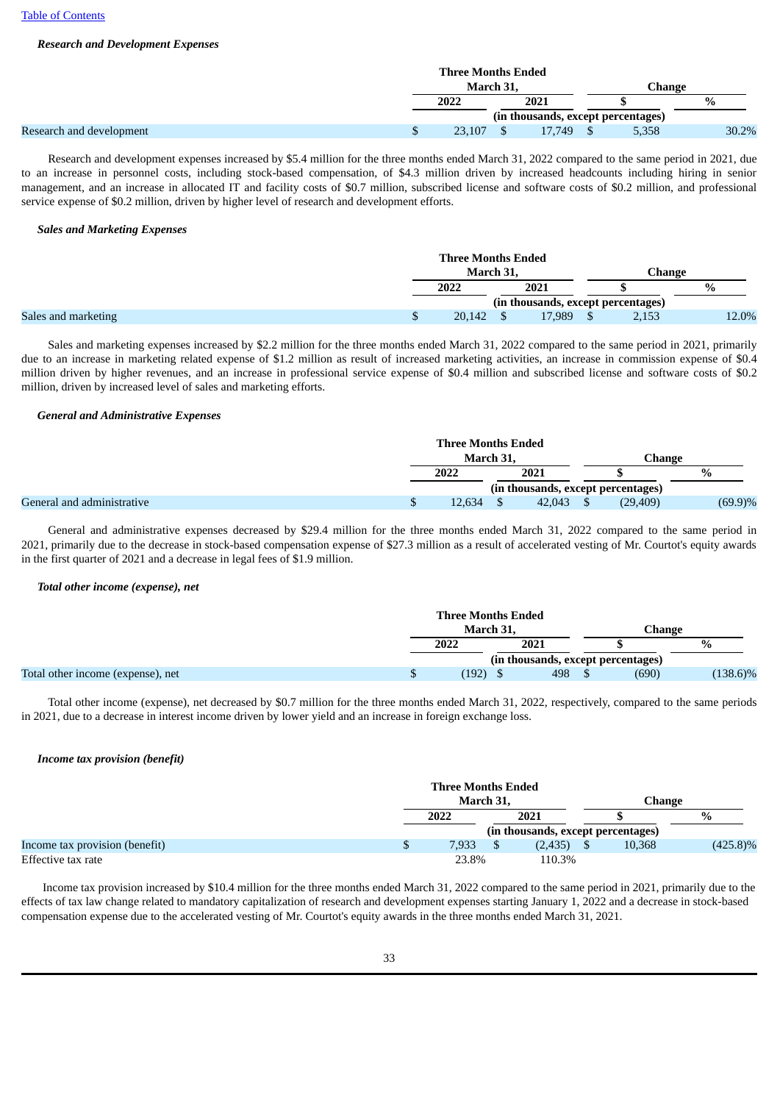## *Research and Development Expenses*

|                          | <b>Three Months Ended</b> |      |                                    |        |       |  |
|--------------------------|---------------------------|------|------------------------------------|--------|-------|--|
|                          | March 31.                 |      |                                    | Change |       |  |
|                          | 2022                      | 2021 |                                    |        | $\%$  |  |
|                          |                           |      | (in thousands, except percentages) |        |       |  |
| Research and development | 23.107                    |      | 17.749                             | 5,358  | 30.2% |  |

Research and development expenses increased by \$5.4 million for the three months ended March 31, 2022 compared to the same period in 2021, due to an increase in personnel costs, including stock-based compensation, of \$4.3 million driven by increased headcounts including hiring in senior management, and an increase in allocated IT and facility costs of \$0.7 million, subscribed license and software costs of \$0.2 million, and professional service expense of \$0.2 million, driven by higher level of research and development efforts.

## *Sales and Marketing Expenses*

|                     | <b>Three Months Ended</b> |  |                                    |        |       |       |
|---------------------|---------------------------|--|------------------------------------|--------|-------|-------|
|                     | March 31.                 |  |                                    | Change |       |       |
|                     | 2021<br>2022              |  |                                    |        | $\%$  |       |
|                     |                           |  | (in thousands, except percentages) |        |       |       |
| Sales and marketing | 20,142                    |  | 17.989                             |        | 2,153 | 12.0% |

Sales and marketing expenses increased by \$2.2 million for the three months ended March 31, 2022 compared to the same period in 2021, primarily due to an increase in marketing related expense of \$1.2 million as result of increased marketing activities, an increase in commission expense of \$0.4 million driven by higher revenues, and an increase in professional service expense of \$0.4 million and subscribed license and software costs of \$0.2 million, driven by increased level of sales and marketing efforts.

## *General and Administrative Expenses*

|                            | <b>Three Months Ended</b> |  |        |  |                                    |            |
|----------------------------|---------------------------|--|--------|--|------------------------------------|------------|
|                            | March 31.                 |  |        |  | Change                             |            |
|                            | 2022<br>2021              |  |        |  | $\frac{0}{0}$                      |            |
|                            |                           |  |        |  | (in thousands, except percentages) |            |
| General and administrative | 12,634                    |  | 42,043 |  | (29, 409)                          | $(69.9)\%$ |

General and administrative expenses decreased by \$29.4 million for the three months ended March 31, 2022 compared to the same period in 2021, primarily due to the decrease in stock-based compensation expense of \$27.3 million as a result of accelerated vesting of Mr. Courtot's equity awards in the first quarter of 2021 and a decrease in legal fees of \$1.9 million.

## *Total other income (expense), net*

|                                   | <b>Three Months Ended</b> |     |  |                                    |             |
|-----------------------------------|---------------------------|-----|--|------------------------------------|-------------|
|                                   | March 31.                 |     |  | Change                             |             |
|                                   | 2022<br>2021              |     |  |                                    | $\%$        |
|                                   |                           |     |  | (in thousands, except percentages) |             |
| Total other income (expense), net | (192)                     | 498 |  | (690)                              | $(138.6)\%$ |

Total other income (expense), net decreased by \$0.7 million for the three months ended March 31, 2022, respectively, compared to the same periods in 2021, due to a decrease in interest income driven by lower yield and an increase in foreign exchange loss.

## *Income tax provision (benefit)*

|                                | <b>Three Months Ended</b> |  |                                    |  |        |             |  |
|--------------------------------|---------------------------|--|------------------------------------|--|--------|-------------|--|
|                                | March 31,                 |  |                                    |  | Change |             |  |
|                                | 2022                      |  | 2021                               |  |        | $\%$        |  |
|                                |                           |  | (in thousands, except percentages) |  |        |             |  |
| Income tax provision (benefit) | 7,933                     |  | (2, 435)                           |  | 10,368 | $(425.8)\%$ |  |
| Effective tax rate             | 23.8%                     |  | 110.3%                             |  |        |             |  |

Income tax provision increased by \$10.4 million for the three months ended March 31, 2022 compared to the same period in 2021, primarily due to the effects of tax law change related to mandatory capitalization of research and development expenses starting January 1, 2022 and a decrease in stock-based compensation expense due to the accelerated vesting of Mr. Courtot's equity awards in the three months ended March 31, 2021.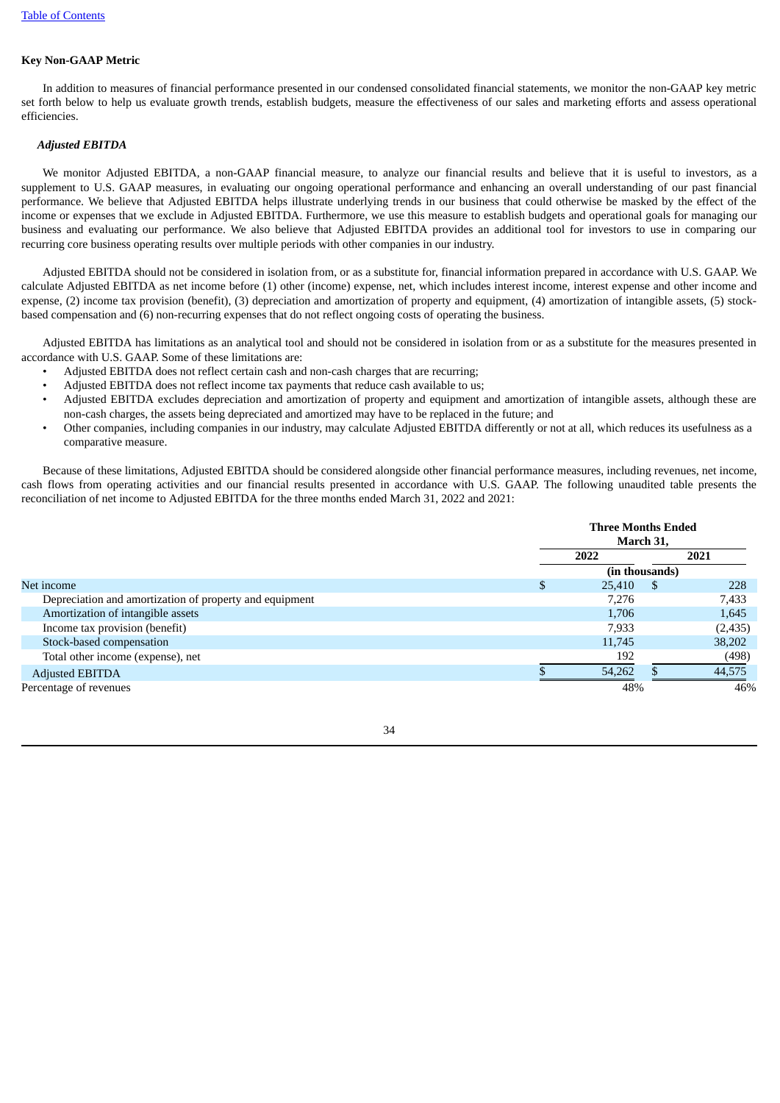## **Key Non-GAAP Metric**

In addition to measures of financial performance presented in our condensed consolidated financial statements, we monitor the non-GAAP key metric set forth below to help us evaluate growth trends, establish budgets, measure the effectiveness of our sales and marketing efforts and assess operational efficiencies.

### *Adjusted EBITDA*

We monitor Adjusted EBITDA, a non-GAAP financial measure, to analyze our financial results and believe that it is useful to investors, as a supplement to U.S. GAAP measures, in evaluating our ongoing operational performance and enhancing an overall understanding of our past financial performance. We believe that Adjusted EBITDA helps illustrate underlying trends in our business that could otherwise be masked by the effect of the income or expenses that we exclude in Adjusted EBITDA. Furthermore, we use this measure to establish budgets and operational goals for managing our business and evaluating our performance. We also believe that Adjusted EBITDA provides an additional tool for investors to use in comparing our recurring core business operating results over multiple periods with other companies in our industry.

Adjusted EBITDA should not be considered in isolation from, or as a substitute for, financial information prepared in accordance with U.S. GAAP. We calculate Adjusted EBITDA as net income before (1) other (income) expense, net, which includes interest income, interest expense and other income and expense, (2) income tax provision (benefit), (3) depreciation and amortization of property and equipment, (4) amortization of intangible assets, (5) stockbased compensation and (6) non-recurring expenses that do not reflect ongoing costs of operating the business.

Adjusted EBITDA has limitations as an analytical tool and should not be considered in isolation from or as a substitute for the measures presented in accordance with U.S. GAAP. Some of these limitations are:

- Adjusted EBITDA does not reflect certain cash and non-cash charges that are recurring;
- Adjusted EBITDA does not reflect income tax payments that reduce cash available to us;
- Adjusted EBITDA excludes depreciation and amortization of property and equipment and amortization of intangible assets, although these are non-cash charges, the assets being depreciated and amortized may have to be replaced in the future; and
- Other companies, including companies in our industry, may calculate Adjusted EBITDA differently or not at all, which reduces its usefulness as a comparative measure.

Because of these limitations, Adjusted EBITDA should be considered alongside other financial performance measures, including revenues, net income, cash flows from operating activities and our financial results presented in accordance with U.S. GAAP. The following unaudited table presents the reconciliation of net income to Adjusted EBITDA for the three months ended March 31, 2022 and 2021:

|                                                         |   | <b>Three Months Ended</b><br>March 31, |                |          |  |
|---------------------------------------------------------|---|----------------------------------------|----------------|----------|--|
|                                                         |   | 2022                                   |                | 2021     |  |
|                                                         |   |                                        | (in thousands) |          |  |
| Net income                                              | S | 25,410                                 | $\sqrt{s}$     | 228      |  |
| Depreciation and amortization of property and equipment |   | 7.276                                  |                | 7,433    |  |
| Amortization of intangible assets                       |   | 1,706                                  |                | 1,645    |  |
| Income tax provision (benefit)                          |   | 7,933                                  |                | (2, 435) |  |
| Stock-based compensation                                |   | 11,745                                 |                | 38,202   |  |
| Total other income (expense), net                       |   | 192                                    |                | (498)    |  |
| <b>Adjusted EBITDA</b>                                  |   | 54,262                                 |                | 44,575   |  |
| Percentage of revenues                                  |   | 48%                                    |                | 46%      |  |

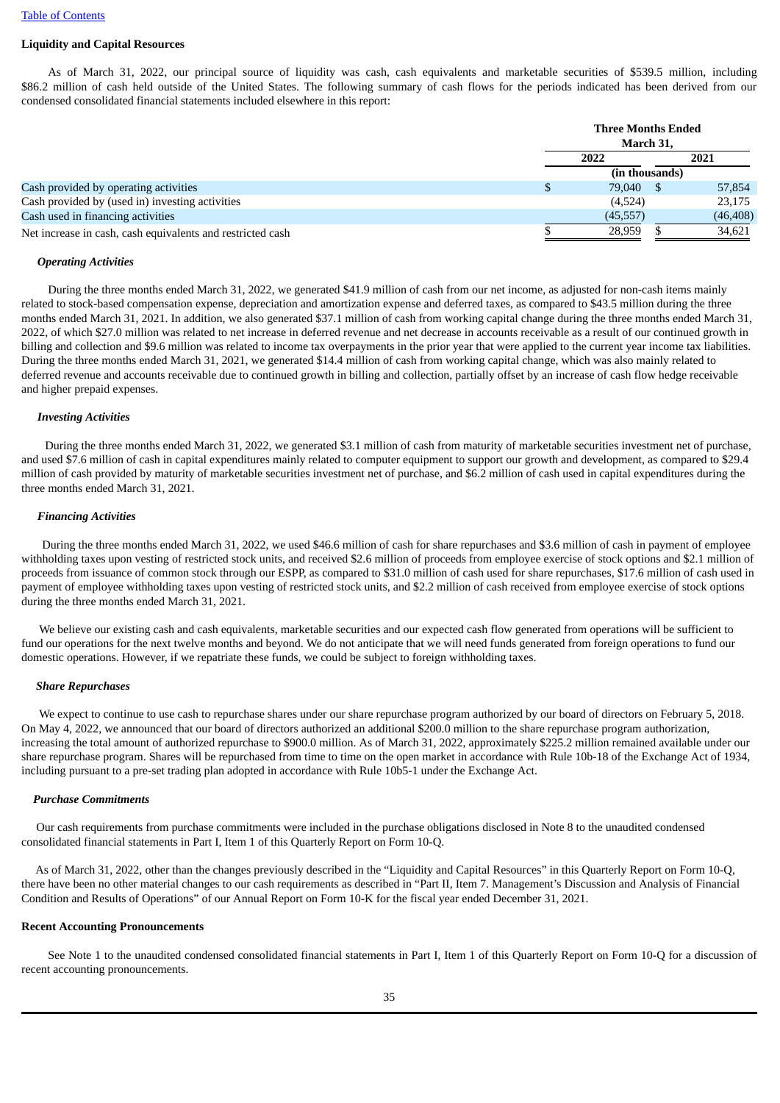## **Liquidity and Capital Resources**

As of March 31, 2022, our principal source of liquidity was cash, cash equivalents and marketable securities of \$539.5 million, including \$86.2 million of cash held outside of the United States. The following summary of cash flows for the periods indicated has been derived from our condensed consolidated financial statements included elsewhere in this report:

|                                                            |      | <b>Three Months Ended</b><br>March 31, |  |           |  |
|------------------------------------------------------------|------|----------------------------------------|--|-----------|--|
|                                                            | 2022 |                                        |  | 2021      |  |
|                                                            |      | (in thousands)                         |  |           |  |
| Cash provided by operating activities                      |      | 79,040 \$                              |  | 57,854    |  |
| Cash provided by (used in) investing activities            |      | (4,524)                                |  | 23,175    |  |
| Cash used in financing activities                          |      | (45, 557)                              |  | (46, 408) |  |
| Net increase in cash, cash equivalents and restricted cash |      | 28.959                                 |  | 34.621    |  |

#### *Operating Activities*

During the three months ended March 31, 2022, we generated \$41.9 million of cash from our net income, as adjusted for non-cash items mainly related to stock-based compensation expense, depreciation and amortization expense and deferred taxes, as compared to \$43.5 million during the three months ended March 31, 2021. In addition, we also generated \$37.1 million of cash from working capital change during the three months ended March 31, 2022, of which \$27.0 million was related to net increase in deferred revenue and net decrease in accounts receivable as a result of our continued growth in billing and collection and \$9.6 million was related to income tax overpayments in the prior year that were applied to the current year income tax liabilities. During the three months ended March 31, 2021, we generated \$14.4 million of cash from working capital change, which was also mainly related to deferred revenue and accounts receivable due to continued growth in billing and collection, partially offset by an increase of cash flow hedge receivable and higher prepaid expenses.

#### *Investing Activities*

During the three months ended March 31, 2022, we generated \$3.1 million of cash from maturity of marketable securities investment net of purchase, and used \$7.6 million of cash in capital expenditures mainly related to computer equipment to support our growth and development, as compared to \$29.4 million of cash provided by maturity of marketable securities investment net of purchase, and \$6.2 million of cash used in capital expenditures during the three months ended March 31, 2021.

#### *Financing Activities*

During the three months ended March 31, 2022, we used \$46.6 million of cash for share repurchases and \$3.6 million of cash in payment of employee withholding taxes upon vesting of restricted stock units, and received \$2.6 million of proceeds from employee exercise of stock options and \$2.1 million of proceeds from issuance of common stock through our ESPP, as compared to \$31.0 million of cash used for share repurchases, \$17.6 million of cash used in payment of employee withholding taxes upon vesting of restricted stock units, and \$2.2 million of cash received from employee exercise of stock options during the three months ended March 31, 2021.

We believe our existing cash and cash equivalents, marketable securities and our expected cash flow generated from operations will be sufficient to fund our operations for the next twelve months and beyond. We do not anticipate that we will need funds generated from foreign operations to fund our domestic operations. However, if we repatriate these funds, we could be subject to foreign withholding taxes.

#### *Share Repurchases*

We expect to continue to use cash to repurchase shares under our share repurchase program authorized by our board of directors on February 5, 2018. On May 4, 2022, we announced that our board of directors authorized an additional \$200.0 million to the share repurchase program authorization, increasing the total amount of authorized repurchase to \$900.0 million. As of March 31, 2022, approximately \$225.2 million remained available under our share repurchase program. Shares will be repurchased from time to time on the open market in accordance with Rule 10b-18 of the Exchange Act of 1934, including pursuant to a pre-set trading plan adopted in accordance with Rule 10b5-1 under the Exchange Act.

#### *Purchase Commitments*

Our cash requirements from purchase commitments were included in the purchase obligations disclosed in Note 8 to the unaudited condensed consolidated financial statements in Part I, Item 1 of this Quarterly Report on Form 10-Q.

As of March 31, 2022, other than the changes previously described in the "Liquidity and Capital Resources" in this Quarterly Report on Form 10-Q, there have been no other material changes to our cash requirements as described in "Part II, Item 7. Management's Discussion and Analysis of Financial Condition and Results of Operations" of our Annual Report on Form 10-K for the fiscal year ended December 31, 2021.

### **Recent Accounting Pronouncements**

See Note 1 to the unaudited condensed consolidated financial statements in Part I, Item 1 of this Quarterly Report on Form 10-Q for a discussion of recent accounting pronouncements.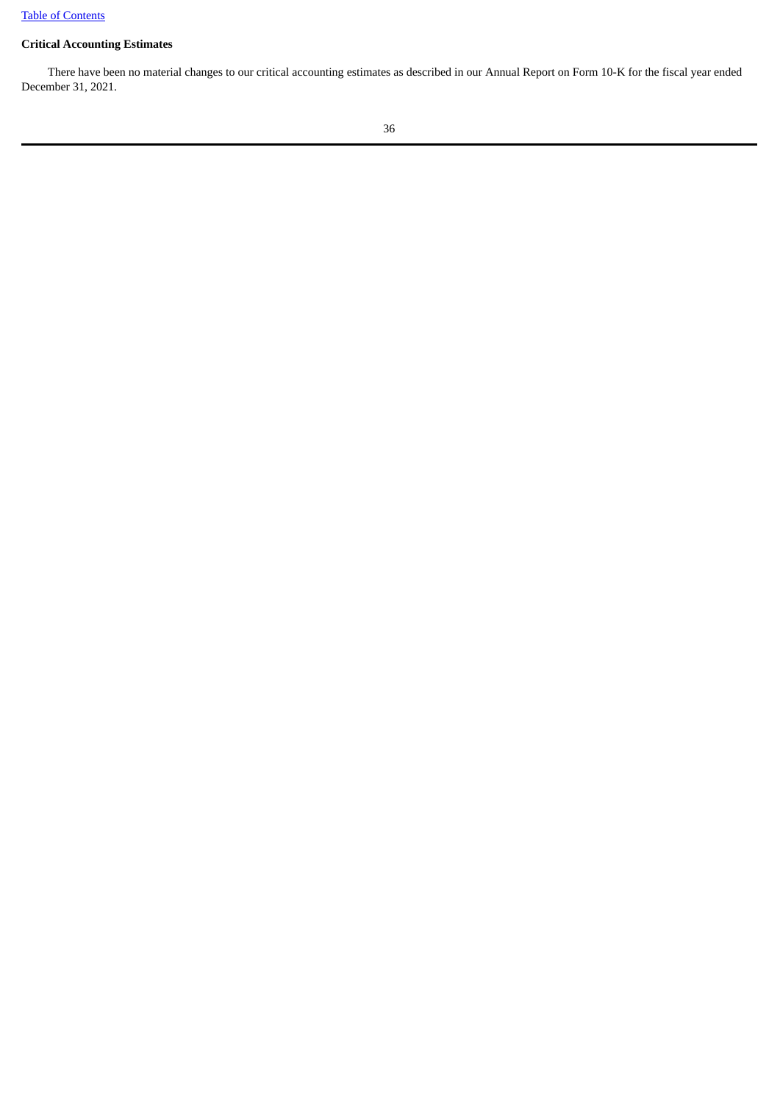## **Critical Accounting Estimates**

There have been no material changes to our critical accounting estimates as described in our Annual Report on Form 10-K for the fiscal year ended December 31, 2021.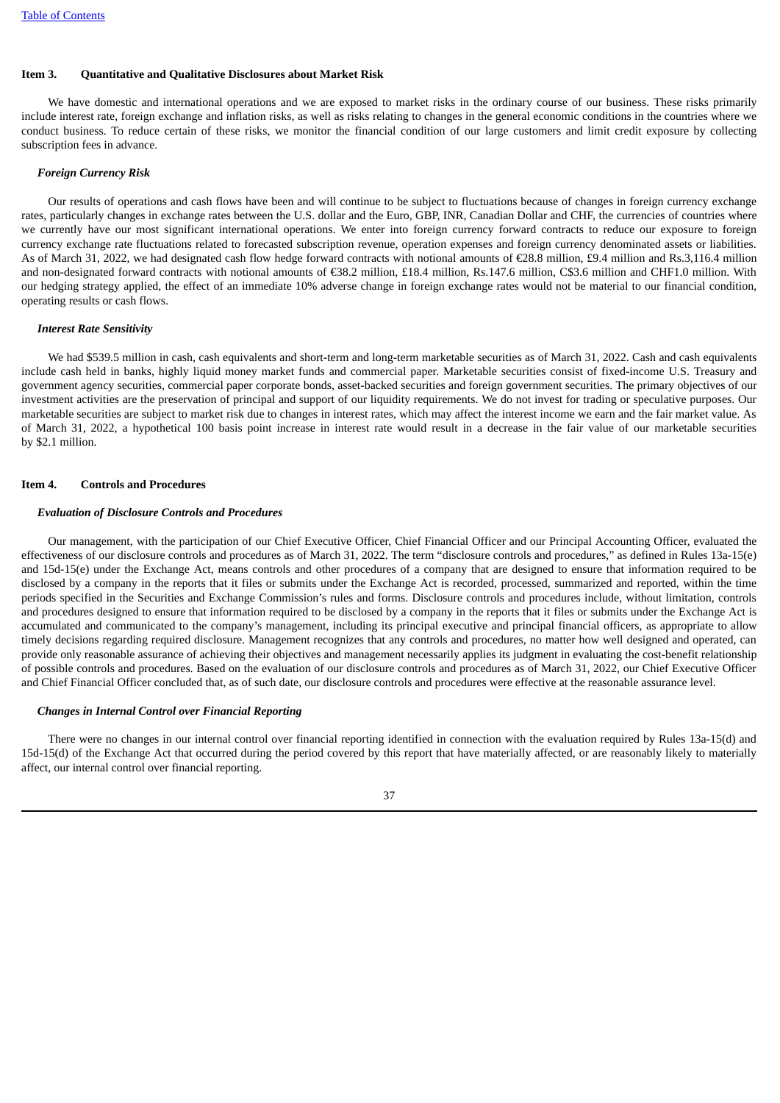## <span id="page-36-0"></span>**Item 3. Quantitative and Qualitative Disclosures about Market Risk**

We have domestic and international operations and we are exposed to market risks in the ordinary course of our business. These risks primarily include interest rate, foreign exchange and inflation risks, as well as risks relating to changes in the general economic conditions in the countries where we conduct business. To reduce certain of these risks, we monitor the financial condition of our large customers and limit credit exposure by collecting subscription fees in advance.

### *Foreign Currency Risk*

Our results of operations and cash flows have been and will continue to be subject to fluctuations because of changes in foreign currency exchange rates, particularly changes in exchange rates between the U.S. dollar and the Euro, GBP, INR, Canadian Dollar and CHF, the currencies of countries where we currently have our most significant international operations. We enter into foreign currency forward contracts to reduce our exposure to foreign currency exchange rate fluctuations related to forecasted subscription revenue, operation expenses and foreign currency denominated assets or liabilities. As of March 31, 2022, we had designated cash flow hedge forward contracts with notional amounts of €28.8 million, £9.4 million and Rs.3,116.4 million and non-designated forward contracts with notional amounts of €38.2 million, £18.4 million, Rs.147.6 million, C\$3.6 million and CHF1.0 million. With our hedging strategy applied, the effect of an immediate 10% adverse change in foreign exchange rates would not be material to our financial condition, operating results or cash flows.

#### *Interest Rate Sensitivity*

We had \$539.5 million in cash, cash equivalents and short-term and long-term marketable securities as of March 31, 2022. Cash and cash equivalents include cash held in banks, highly liquid money market funds and commercial paper. Marketable securities consist of fixed-income U.S. Treasury and government agency securities, commercial paper corporate bonds, asset-backed securities and foreign government securities. The primary objectives of our investment activities are the preservation of principal and support of our liquidity requirements. We do not invest for trading or speculative purposes. Our marketable securities are subject to market risk due to changes in interest rates, which may affect the interest income we earn and the fair market value. As of March 31, 2022, a hypothetical 100 basis point increase in interest rate would result in a decrease in the fair value of our marketable securities by \$2.1 million.

### <span id="page-36-1"></span>**Item 4. Controls and Procedures**

### *Evaluation of Disclosure Controls and Procedures*

Our management, with the participation of our Chief Executive Officer, Chief Financial Officer and our Principal Accounting Officer, evaluated the effectiveness of our disclosure controls and procedures as of March 31, 2022. The term "disclosure controls and procedures," as defined in Rules 13a-15(e) and 15d-15(e) under the Exchange Act, means controls and other procedures of a company that are designed to ensure that information required to be disclosed by a company in the reports that it files or submits under the Exchange Act is recorded, processed, summarized and reported, within the time periods specified in the Securities and Exchange Commission's rules and forms. Disclosure controls and procedures include, without limitation, controls and procedures designed to ensure that information required to be disclosed by a company in the reports that it files or submits under the Exchange Act is accumulated and communicated to the company's management, including its principal executive and principal financial officers, as appropriate to allow timely decisions regarding required disclosure. Management recognizes that any controls and procedures, no matter how well designed and operated, can provide only reasonable assurance of achieving their objectives and management necessarily applies its judgment in evaluating the cost-benefit relationship of possible controls and procedures. Based on the evaluation of our disclosure controls and procedures as of March 31, 2022, our Chief Executive Officer and Chief Financial Officer concluded that, as of such date, our disclosure controls and procedures were effective at the reasonable assurance level.

#### *Changes in Internal Control over Financial Reporting*

There were no changes in our internal control over financial reporting identified in connection with the evaluation required by Rules 13a-15(d) and 15d-15(d) of the Exchange Act that occurred during the period covered by this report that have materially affected, or are reasonably likely to materially affect, our internal control over financial reporting.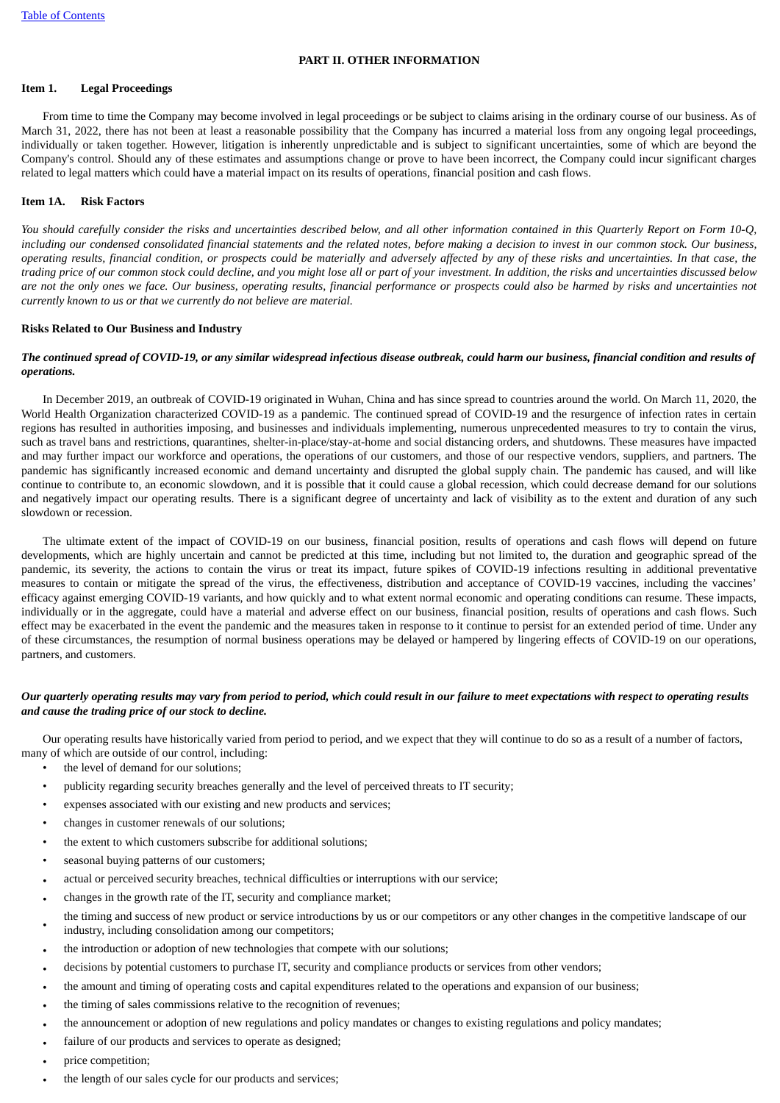### **PART II. OTHER INFORMATION**

## <span id="page-37-0"></span>**Item 1. Legal Proceedings**

From time to time the Company may become involved in legal proceedings or be subject to claims arising in the ordinary course of our business. As of March 31, 2022, there has not been at least a reasonable possibility that the Company has incurred a material loss from any ongoing legal proceedings, individually or taken together. However, litigation is inherently unpredictable and is subject to significant uncertainties, some of which are beyond the Company's control. Should any of these estimates and assumptions change or prove to have been incorrect, the Company could incur significant charges related to legal matters which could have a material impact on its results of operations, financial position and cash flows.

### <span id="page-37-1"></span>**Item 1A. Risk Factors**

You should carefully consider the risks and uncertainties described below, and all other information contained in this Quarterly Report on Form 10-Q, including our condensed consolidated financial statements and the related notes, before making a decision to invest in our common stock. Our business, operating results, financial condition, or prospects could be materially and adversely affected by any of these risks and uncertainties. In that case, the trading price of our common stock could decline, and you might lose all or part of your investment. In addition, the risks and uncertainties discussed below are not the only ones we face. Our business, operating results, financial performance or prospects could also be harmed by risks and uncertainties not *currently known to us or that we currently do not believe are material.*

### **Risks Related to Our Business and Industry**

### The continued spread of COVID-19, or any similar widespread infectious disease outbreak, could harm our business, financial condition and results of *operations.*

In December 2019, an outbreak of COVID-19 originated in Wuhan, China and has since spread to countries around the world. On March 11, 2020, the World Health Organization characterized COVID-19 as a pandemic. The continued spread of COVID-19 and the resurgence of infection rates in certain regions has resulted in authorities imposing, and businesses and individuals implementing, numerous unprecedented measures to try to contain the virus, such as travel bans and restrictions, quarantines, shelter-in-place/stay-at-home and social distancing orders, and shutdowns. These measures have impacted and may further impact our workforce and operations, the operations of our customers, and those of our respective vendors, suppliers, and partners. The pandemic has significantly increased economic and demand uncertainty and disrupted the global supply chain. The pandemic has caused, and will like continue to contribute to, an economic slowdown, and it is possible that it could cause a global recession, which could decrease demand for our solutions and negatively impact our operating results. There is a significant degree of uncertainty and lack of visibility as to the extent and duration of any such slowdown or recession.

The ultimate extent of the impact of COVID-19 on our business, financial position, results of operations and cash flows will depend on future developments, which are highly uncertain and cannot be predicted at this time, including but not limited to, the duration and geographic spread of the pandemic, its severity, the actions to contain the virus or treat its impact, future spikes of COVID-19 infections resulting in additional preventative measures to contain or mitigate the spread of the virus, the effectiveness, distribution and acceptance of COVID-19 vaccines, including the vaccines' efficacy against emerging COVID-19 variants, and how quickly and to what extent normal economic and operating conditions can resume. These impacts, individually or in the aggregate, could have a material and adverse effect on our business, financial position, results of operations and cash flows. Such effect may be exacerbated in the event the pandemic and the measures taken in response to it continue to persist for an extended period of time. Under any of these circumstances, the resumption of normal business operations may be delayed or hampered by lingering effects of COVID-19 on our operations, partners, and customers.

## Our quarterly operating results may vary from period to period, which could result in our failure to meet expectations with respect to operating results *and cause the trading price of our stock to decline.*

Our operating results have historically varied from period to period, and we expect that they will continue to do so as a result of a number of factors, many of which are outside of our control, including:

- the level of demand for our solutions;
- publicity regarding security breaches generally and the level of perceived threats to IT security;
- expenses associated with our existing and new products and services;
- changes in customer renewals of our solutions;
- the extent to which customers subscribe for additional solutions;
- seasonal buying patterns of our customers;
- actual or perceived security breaches, technical difficulties or interruptions with our service;
- changes in the growth rate of the IT, security and compliance market;
- the timing and success of new product or service introductions by us or our competitors or any other changes in the competitive landscape of our industry, including consolidation among our competitors;
- the introduction or adoption of new technologies that compete with our solutions;
- decisions by potential customers to purchase IT, security and compliance products or services from other vendors;
- the amount and timing of operating costs and capital expenditures related to the operations and expansion of our business;
- the timing of sales commissions relative to the recognition of revenues;
- the announcement or adoption of new regulations and policy mandates or changes to existing regulations and policy mandates;
- failure of our products and services to operate as designed;
- price competition;
- the length of our sales cycle for our products and services;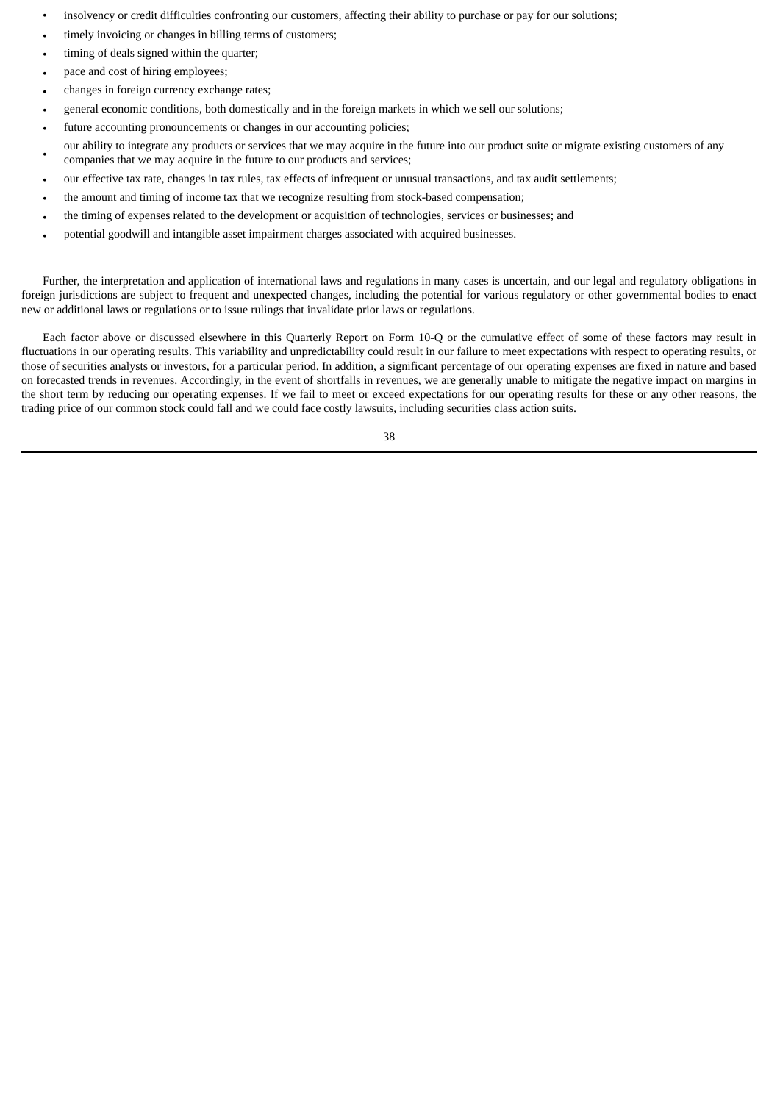- insolvency or credit difficulties confronting our customers, affecting their ability to purchase or pay for our solutions;
- timely invoicing or changes in billing terms of customers;
- timing of deals signed within the quarter;
- pace and cost of hiring employees;
- changes in foreign currency exchange rates;
- general economic conditions, both domestically and in the foreign markets in which we sell our solutions;
- future accounting pronouncements or changes in our accounting policies;
- our ability to integrate any products or services that we may acquire in the future into our product suite or migrate existing customers of any companies that we may acquire in the future to our products and services;
- our effective tax rate, changes in tax rules, tax effects of infrequent or unusual transactions, and tax audit settlements;
- the amount and timing of income tax that we recognize resulting from stock-based compensation;
- the timing of expenses related to the development or acquisition of technologies, services or businesses; and
- potential goodwill and intangible asset impairment charges associated with acquired businesses.

Further, the interpretation and application of international laws and regulations in many cases is uncertain, and our legal and regulatory obligations in foreign jurisdictions are subject to frequent and unexpected changes, including the potential for various regulatory or other governmental bodies to enact new or additional laws or regulations or to issue rulings that invalidate prior laws or regulations.

Each factor above or discussed elsewhere in this Quarterly Report on Form 10-Q or the cumulative effect of some of these factors may result in fluctuations in our operating results. This variability and unpredictability could result in our failure to meet expectations with respect to operating results, or those of securities analysts or investors, for a particular period. In addition, a significant percentage of our operating expenses are fixed in nature and based on forecasted trends in revenues. Accordingly, in the event of shortfalls in revenues, we are generally unable to mitigate the negative impact on margins in the short term by reducing our operating expenses. If we fail to meet or exceed expectations for our operating results for these or any other reasons, the trading price of our common stock could fall and we could face costly lawsuits, including securities class action suits.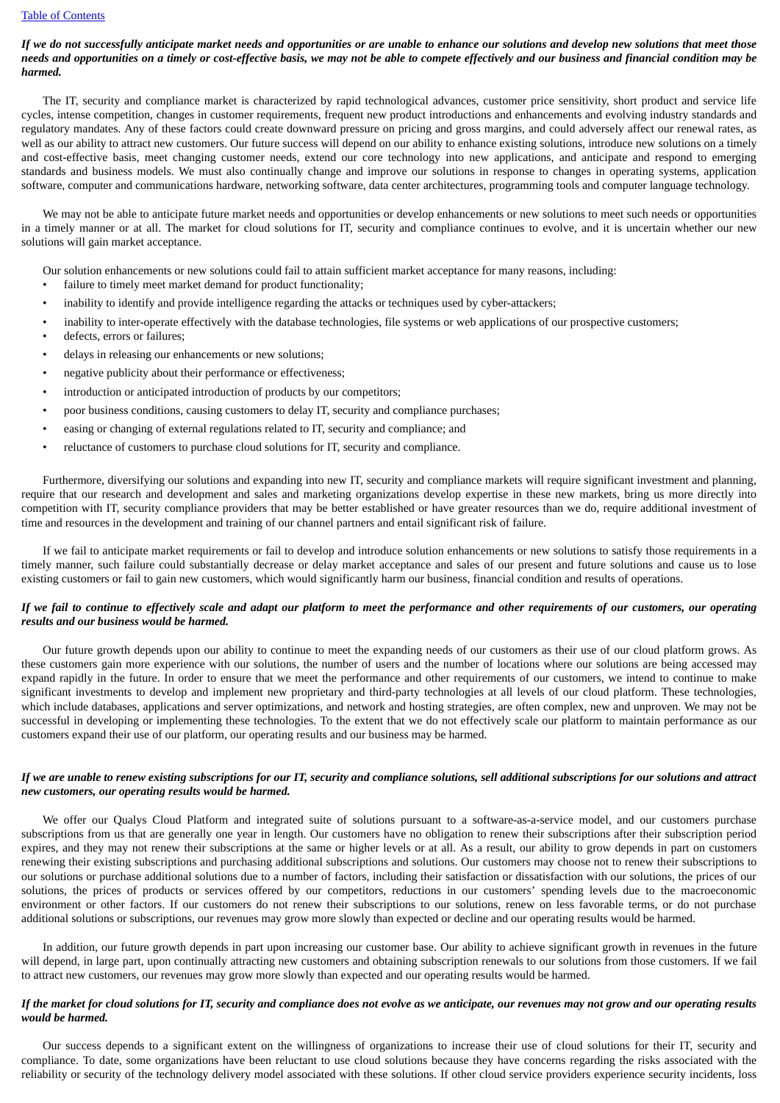If we do not successfully anticipate market needs and opportunities or are unable to enhance our solutions and develop new solutions that meet those needs and opportunities on a timely or cost-effective basis, we may not be able to compete effectively and our business and financial condition may be *harmed.*

The IT, security and compliance market is characterized by rapid technological advances, customer price sensitivity, short product and service life cycles, intense competition, changes in customer requirements, frequent new product introductions and enhancements and evolving industry standards and regulatory mandates. Any of these factors could create downward pressure on pricing and gross margins, and could adversely affect our renewal rates, as well as our ability to attract new customers. Our future success will depend on our ability to enhance existing solutions, introduce new solutions on a timely and cost-effective basis, meet changing customer needs, extend our core technology into new applications, and anticipate and respond to emerging standards and business models. We must also continually change and improve our solutions in response to changes in operating systems, application software, computer and communications hardware, networking software, data center architectures, programming tools and computer language technology.

We may not be able to anticipate future market needs and opportunities or develop enhancements or new solutions to meet such needs or opportunities in a timely manner or at all. The market for cloud solutions for IT, security and compliance continues to evolve, and it is uncertain whether our new solutions will gain market acceptance.

Our solution enhancements or new solutions could fail to attain sufficient market acceptance for many reasons, including:

- failure to timely meet market demand for product functionality;
- inability to identify and provide intelligence regarding the attacks or techniques used by cyber-attackers;
- inability to inter-operate effectively with the database technologies, file systems or web applications of our prospective customers;
- defects, errors or failures;
- delays in releasing our enhancements or new solutions;
- negative publicity about their performance or effectiveness;
- introduction or anticipated introduction of products by our competitors;
- poor business conditions, causing customers to delay IT, security and compliance purchases;
- easing or changing of external regulations related to IT, security and compliance; and
- reluctance of customers to purchase cloud solutions for IT, security and compliance.

Furthermore, diversifying our solutions and expanding into new IT, security and compliance markets will require significant investment and planning, require that our research and development and sales and marketing organizations develop expertise in these new markets, bring us more directly into competition with IT, security compliance providers that may be better established or have greater resources than we do, require additional investment of time and resources in the development and training of our channel partners and entail significant risk of failure.

If we fail to anticipate market requirements or fail to develop and introduce solution enhancements or new solutions to satisfy those requirements in a timely manner, such failure could substantially decrease or delay market acceptance and sales of our present and future solutions and cause us to lose existing customers or fail to gain new customers, which would significantly harm our business, financial condition and results of operations.

## If we fail to continue to effectively scale and adapt our platform to meet the performance and other requirements of our customers, our operating *results and our business would be harmed.*

Our future growth depends upon our ability to continue to meet the expanding needs of our customers as their use of our cloud platform grows. As these customers gain more experience with our solutions, the number of users and the number of locations where our solutions are being accessed may expand rapidly in the future. In order to ensure that we meet the performance and other requirements of our customers, we intend to continue to make significant investments to develop and implement new proprietary and third-party technologies at all levels of our cloud platform. These technologies, which include databases, applications and server optimizations, and network and hosting strategies, are often complex, new and unproven. We may not be successful in developing or implementing these technologies. To the extent that we do not effectively scale our platform to maintain performance as our customers expand their use of our platform, our operating results and our business may be harmed.

### If we are unable to renew existing subscriptions for our IT, security and compliance solutions, sell additional subscriptions for our solutions and attract *new customers, our operating results would be harmed.*

We offer our Qualys Cloud Platform and integrated suite of solutions pursuant to a software-as-a-service model, and our customers purchase subscriptions from us that are generally one year in length. Our customers have no obligation to renew their subscriptions after their subscription period expires, and they may not renew their subscriptions at the same or higher levels or at all. As a result, our ability to grow depends in part on customers renewing their existing subscriptions and purchasing additional subscriptions and solutions. Our customers may choose not to renew their subscriptions to our solutions or purchase additional solutions due to a number of factors, including their satisfaction or dissatisfaction with our solutions, the prices of our solutions, the prices of products or services offered by our competitors, reductions in our customers' spending levels due to the macroeconomic environment or other factors. If our customers do not renew their subscriptions to our solutions, renew on less favorable terms, or do not purchase additional solutions or subscriptions, our revenues may grow more slowly than expected or decline and our operating results would be harmed.

In addition, our future growth depends in part upon increasing our customer base. Our ability to achieve significant growth in revenues in the future will depend, in large part, upon continually attracting new customers and obtaining subscription renewals to our solutions from those customers. If we fail to attract new customers, our revenues may grow more slowly than expected and our operating results would be harmed.

### If the market for cloud solutions for IT, security and compliance does not evolve as we anticipate, our revenues may not grow and our operating results *would be harmed.*

Our success depends to a significant extent on the willingness of organizations to increase their use of cloud solutions for their IT, security and compliance. To date, some organizations have been reluctant to use cloud solutions because they have concerns regarding the risks associated with the reliability or security of the technology delivery model associated with these solutions. If other cloud service providers experience security incidents, loss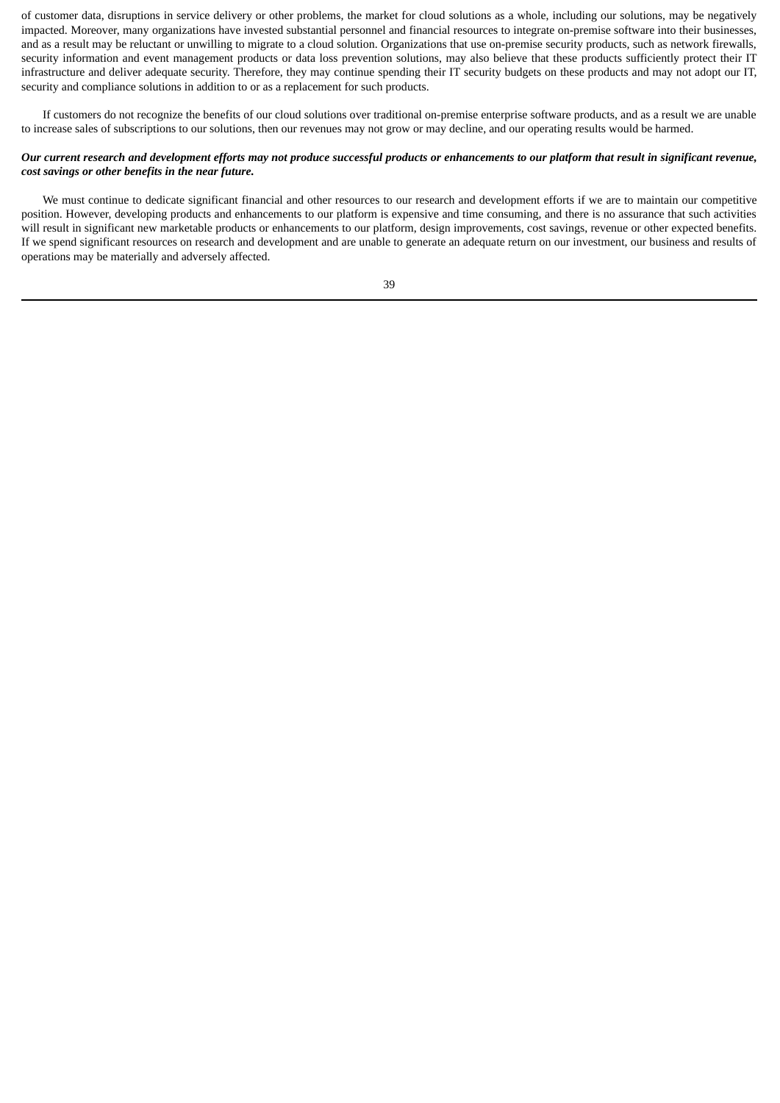of customer data, disruptions in service delivery or other problems, the market for cloud solutions as a whole, including our solutions, may be negatively impacted. Moreover, many organizations have invested substantial personnel and financial resources to integrate on-premise software into their businesses, and as a result may be reluctant or unwilling to migrate to a cloud solution. Organizations that use on-premise security products, such as network firewalls, security information and event management products or data loss prevention solutions, may also believe that these products sufficiently protect their IT infrastructure and deliver adequate security. Therefore, they may continue spending their IT security budgets on these products and may not adopt our IT, security and compliance solutions in addition to or as a replacement for such products.

If customers do not recognize the benefits of our cloud solutions over traditional on-premise enterprise software products, and as a result we are unable to increase sales of subscriptions to our solutions, then our revenues may not grow or may decline, and our operating results would be harmed.

## Our current research and development efforts may not produce successful products or enhancements to our platform that result in significant revenue, *cost savings or other benefits in the near future.*

We must continue to dedicate significant financial and other resources to our research and development efforts if we are to maintain our competitive position. However, developing products and enhancements to our platform is expensive and time consuming, and there is no assurance that such activities will result in significant new marketable products or enhancements to our platform, design improvements, cost savings, revenue or other expected benefits. If we spend significant resources on research and development and are unable to generate an adequate return on our investment, our business and results of operations may be materially and adversely affected.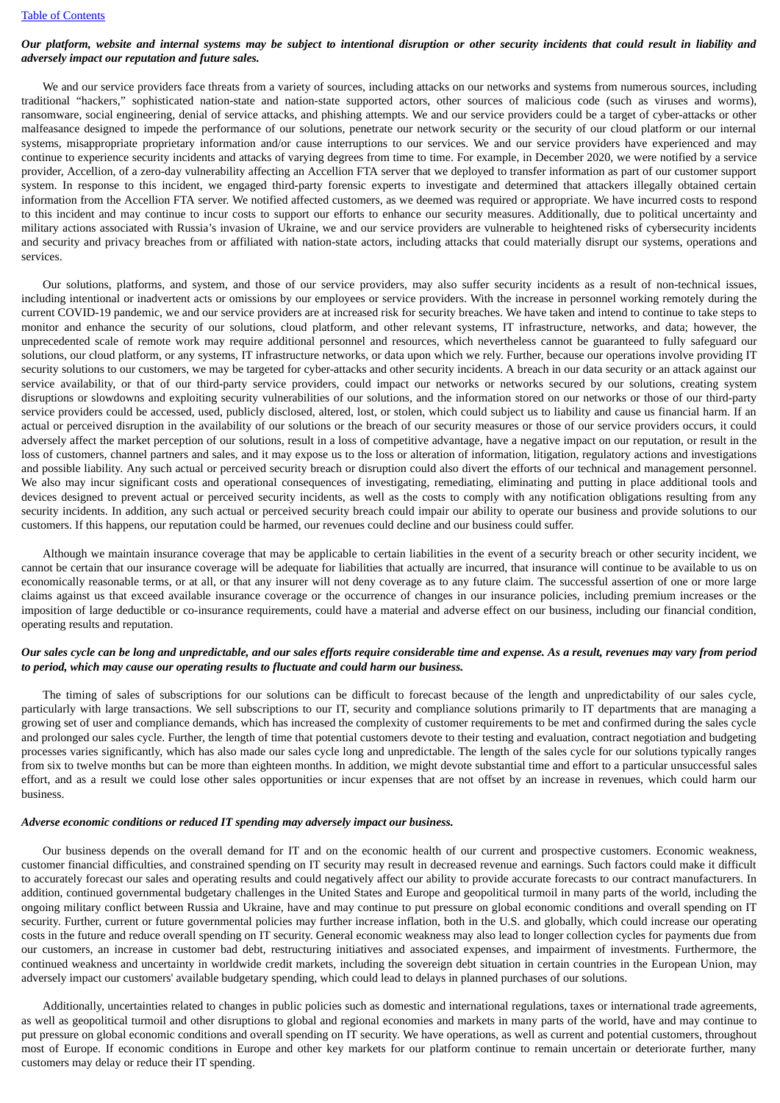### Our platform, website and internal systems may be subject to intentional disruption or other security incidents that could result in liability and *adversely impact our reputation and future sales.*

We and our service providers face threats from a variety of sources, including attacks on our networks and systems from numerous sources, including traditional "hackers," sophisticated nation-state and nation-state supported actors, other sources of malicious code (such as viruses and worms), ransomware, social engineering, denial of service attacks, and phishing attempts. We and our service providers could be a target of cyber-attacks or other malfeasance designed to impede the performance of our solutions, penetrate our network security or the security of our cloud platform or our internal systems, misappropriate proprietary information and/or cause interruptions to our services. We and our service providers have experienced and may continue to experience security incidents and attacks of varying degrees from time to time. For example, in December 2020, we were notified by a service provider, Accellion, of a zero-day vulnerability affecting an Accellion FTA server that we deployed to transfer information as part of our customer support system. In response to this incident, we engaged third-party forensic experts to investigate and determined that attackers illegally obtained certain information from the Accellion FTA server. We notified affected customers, as we deemed was required or appropriate. We have incurred costs to respond to this incident and may continue to incur costs to support our efforts to enhance our security measures. Additionally, due to political uncertainty and military actions associated with Russia's invasion of Ukraine, we and our service providers are vulnerable to heightened risks of cybersecurity incidents and security and privacy breaches from or affiliated with nation-state actors, including attacks that could materially disrupt our systems, operations and services.

Our solutions, platforms, and system, and those of our service providers, may also suffer security incidents as a result of non-technical issues, including intentional or inadvertent acts or omissions by our employees or service providers. With the increase in personnel working remotely during the current COVID-19 pandemic, we and our service providers are at increased risk for security breaches. We have taken and intend to continue to take steps to monitor and enhance the security of our solutions, cloud platform, and other relevant systems, IT infrastructure, networks, and data; however, the unprecedented scale of remote work may require additional personnel and resources, which nevertheless cannot be guaranteed to fully safeguard our solutions, our cloud platform, or any systems, IT infrastructure networks, or data upon which we rely. Further, because our operations involve providing IT security solutions to our customers, we may be targeted for cyber-attacks and other security incidents. A breach in our data security or an attack against our service availability, or that of our third-party service providers, could impact our networks or networks secured by our solutions, creating system disruptions or slowdowns and exploiting security vulnerabilities of our solutions, and the information stored on our networks or those of our third-party service providers could be accessed, used, publicly disclosed, altered, lost, or stolen, which could subject us to liability and cause us financial harm. If an actual or perceived disruption in the availability of our solutions or the breach of our security measures or those of our service providers occurs, it could adversely affect the market perception of our solutions, result in a loss of competitive advantage, have a negative impact on our reputation, or result in the loss of customers, channel partners and sales, and it may expose us to the loss or alteration of information, litigation, regulatory actions and investigations and possible liability. Any such actual or perceived security breach or disruption could also divert the efforts of our technical and management personnel. We also may incur significant costs and operational consequences of investigating, remediating, eliminating and putting in place additional tools and devices designed to prevent actual or perceived security incidents, as well as the costs to comply with any notification obligations resulting from any security incidents. In addition, any such actual or perceived security breach could impair our ability to operate our business and provide solutions to our customers. If this happens, our reputation could be harmed, our revenues could decline and our business could suffer.

Although we maintain insurance coverage that may be applicable to certain liabilities in the event of a security breach or other security incident, we cannot be certain that our insurance coverage will be adequate for liabilities that actually are incurred, that insurance will continue to be available to us on economically reasonable terms, or at all, or that any insurer will not deny coverage as to any future claim. The successful assertion of one or more large claims against us that exceed available insurance coverage or the occurrence of changes in our insurance policies, including premium increases or the imposition of large deductible or co-insurance requirements, could have a material and adverse effect on our business, including our financial condition, operating results and reputation.

## Our sales cycle can be long and unpredictable, and our sales efforts require considerable time and expense. As a result, revenues may vary from period *to period, which may cause our operating results to fluctuate and could harm our business.*

The timing of sales of subscriptions for our solutions can be difficult to forecast because of the length and unpredictability of our sales cycle, particularly with large transactions. We sell subscriptions to our IT, security and compliance solutions primarily to IT departments that are managing a growing set of user and compliance demands, which has increased the complexity of customer requirements to be met and confirmed during the sales cycle and prolonged our sales cycle. Further, the length of time that potential customers devote to their testing and evaluation, contract negotiation and budgeting processes varies significantly, which has also made our sales cycle long and unpredictable. The length of the sales cycle for our solutions typically ranges from six to twelve months but can be more than eighteen months. In addition, we might devote substantial time and effort to a particular unsuccessful sales effort, and as a result we could lose other sales opportunities or incur expenses that are not offset by an increase in revenues, which could harm our business.

#### *Adverse economic conditions or reduced IT spending may adversely impact our business.*

Our business depends on the overall demand for IT and on the economic health of our current and prospective customers. Economic weakness, customer financial difficulties, and constrained spending on IT security may result in decreased revenue and earnings. Such factors could make it difficult to accurately forecast our sales and operating results and could negatively affect our ability to provide accurate forecasts to our contract manufacturers. In addition, continued governmental budgetary challenges in the United States and Europe and geopolitical turmoil in many parts of the world, including the ongoing military conflict between Russia and Ukraine, have and may continue to put pressure on global economic conditions and overall spending on IT security. Further, current or future governmental policies may further increase inflation, both in the U.S. and globally, which could increase our operating costs in the future and reduce overall spending on IT security. General economic weakness may also lead to longer collection cycles for payments due from our customers, an increase in customer bad debt, restructuring initiatives and associated expenses, and impairment of investments. Furthermore, the continued weakness and uncertainty in worldwide credit markets, including the sovereign debt situation in certain countries in the European Union, may adversely impact our customers' available budgetary spending, which could lead to delays in planned purchases of our solutions.

Additionally, uncertainties related to changes in public policies such as domestic and international regulations, taxes or international trade agreements, as well as geopolitical turmoil and other disruptions to global and regional economies and markets in many parts of the world, have and may continue to put pressure on global economic conditions and overall spending on IT security. We have operations, as well as current and potential customers, throughout most of Europe. If economic conditions in Europe and other key markets for our platform continue to remain uncertain or deteriorate further, many customers may delay or reduce their IT spending.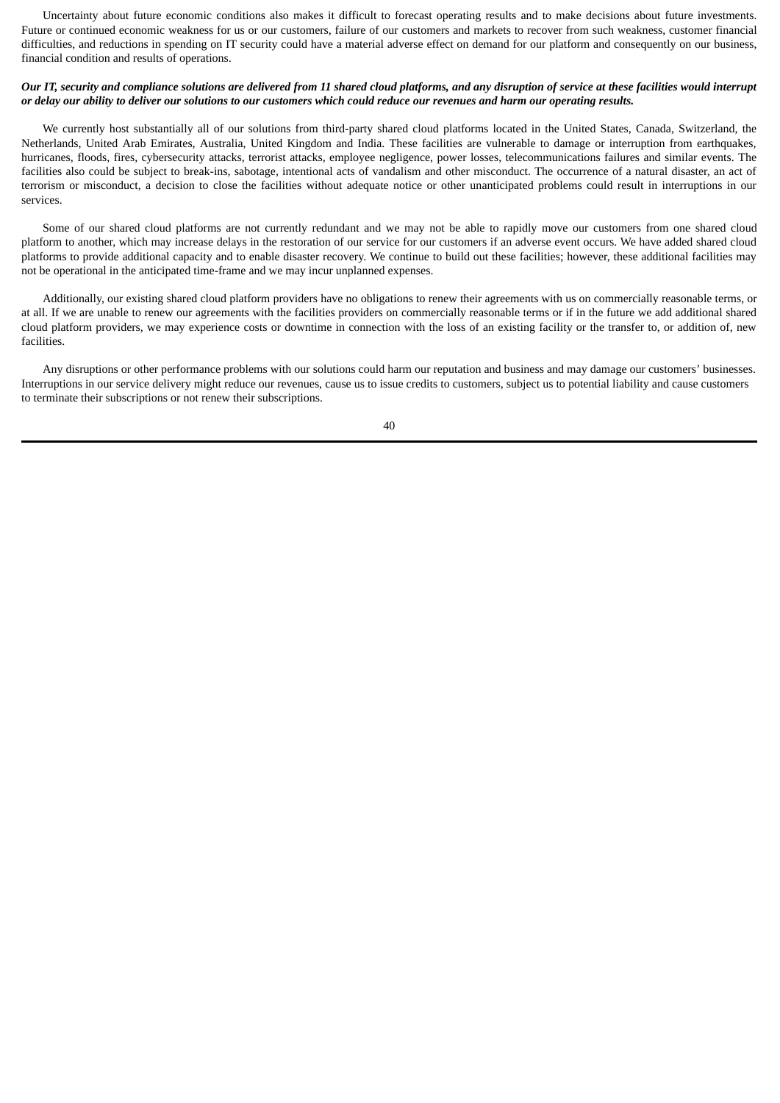Uncertainty about future economic conditions also makes it difficult to forecast operating results and to make decisions about future investments. Future or continued economic weakness for us or our customers, failure of our customers and markets to recover from such weakness, customer financial difficulties, and reductions in spending on IT security could have a material adverse effect on demand for our platform and consequently on our business, financial condition and results of operations.

## Our IT, security and compliance solutions are delivered from 11 shared cloud platforms, and any disruption of service at these facilities would interrupt or delay our ability to deliver our solutions to our customers which could reduce our revenues and harm our operating results.

We currently host substantially all of our solutions from third-party shared cloud platforms located in the United States, Canada, Switzerland, the Netherlands, United Arab Emirates, Australia, United Kingdom and India. These facilities are vulnerable to damage or interruption from earthquakes, hurricanes, floods, fires, cybersecurity attacks, terrorist attacks, employee negligence, power losses, telecommunications failures and similar events. The facilities also could be subject to break-ins, sabotage, intentional acts of vandalism and other misconduct. The occurrence of a natural disaster, an act of terrorism or misconduct, a decision to close the facilities without adequate notice or other unanticipated problems could result in interruptions in our services.

Some of our shared cloud platforms are not currently redundant and we may not be able to rapidly move our customers from one shared cloud platform to another, which may increase delays in the restoration of our service for our customers if an adverse event occurs. We have added shared cloud platforms to provide additional capacity and to enable disaster recovery. We continue to build out these facilities; however, these additional facilities may not be operational in the anticipated time-frame and we may incur unplanned expenses.

Additionally, our existing shared cloud platform providers have no obligations to renew their agreements with us on commercially reasonable terms, or at all. If we are unable to renew our agreements with the facilities providers on commercially reasonable terms or if in the future we add additional shared cloud platform providers, we may experience costs or downtime in connection with the loss of an existing facility or the transfer to, or addition of, new facilities.

Any disruptions or other performance problems with our solutions could harm our reputation and business and may damage our customers' businesses. Interruptions in our service delivery might reduce our revenues, cause us to issue credits to customers, subject us to potential liability and cause customers to terminate their subscriptions or not renew their subscriptions.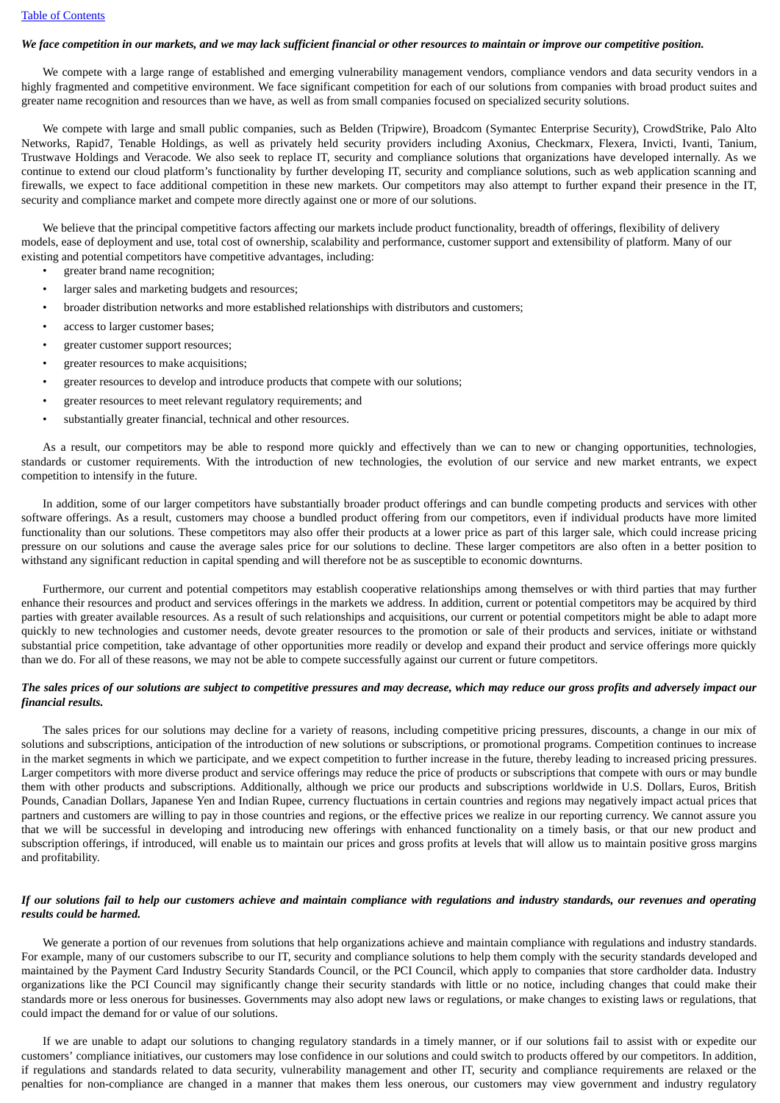#### We face competition in our markets, and we may lack sufficient financial or other resources to maintain or improve our competitive position.

We compete with a large range of established and emerging vulnerability management vendors, compliance vendors and data security vendors in a highly fragmented and competitive environment. We face significant competition for each of our solutions from companies with broad product suites and greater name recognition and resources than we have, as well as from small companies focused on specialized security solutions.

We compete with large and small public companies, such as Belden (Tripwire), Broadcom (Symantec Enterprise Security), CrowdStrike, Palo Alto Networks, Rapid7, Tenable Holdings, as well as privately held security providers including Axonius, Checkmarx, Flexera, Invicti, Ivanti, Tanium, Trustwave Holdings and Veracode. We also seek to replace IT, security and compliance solutions that organizations have developed internally. As we continue to extend our cloud platform's functionality by further developing IT, security and compliance solutions, such as web application scanning and firewalls, we expect to face additional competition in these new markets. Our competitors may also attempt to further expand their presence in the IT, security and compliance market and compete more directly against one or more of our solutions.

We believe that the principal competitive factors affecting our markets include product functionality, breadth of offerings, flexibility of delivery models, ease of deployment and use, total cost of ownership, scalability and performance, customer support and extensibility of platform. Many of our existing and potential competitors have competitive advantages, including:

- greater brand name recognition;
- larger sales and marketing budgets and resources;
- broader distribution networks and more established relationships with distributors and customers;
- access to larger customer bases;
- greater customer support resources;
- greater resources to make acquisitions;
- greater resources to develop and introduce products that compete with our solutions;
- greater resources to meet relevant regulatory requirements; and
- substantially greater financial, technical and other resources.

As a result, our competitors may be able to respond more quickly and effectively than we can to new or changing opportunities, technologies, standards or customer requirements. With the introduction of new technologies, the evolution of our service and new market entrants, we expect competition to intensify in the future.

In addition, some of our larger competitors have substantially broader product offerings and can bundle competing products and services with other software offerings. As a result, customers may choose a bundled product offering from our competitors, even if individual products have more limited functionality than our solutions. These competitors may also offer their products at a lower price as part of this larger sale, which could increase pricing pressure on our solutions and cause the average sales price for our solutions to decline. These larger competitors are also often in a better position to withstand any significant reduction in capital spending and will therefore not be as susceptible to economic downturns.

Furthermore, our current and potential competitors may establish cooperative relationships among themselves or with third parties that may further enhance their resources and product and services offerings in the markets we address. In addition, current or potential competitors may be acquired by third parties with greater available resources. As a result of such relationships and acquisitions, our current or potential competitors might be able to adapt more quickly to new technologies and customer needs, devote greater resources to the promotion or sale of their products and services, initiate or withstand substantial price competition, take advantage of other opportunities more readily or develop and expand their product and service offerings more quickly than we do. For all of these reasons, we may not be able to compete successfully against our current or future competitors.

## The sales prices of our solutions are subject to competitive pressures and may decrease, which may reduce our gross profits and adversely impact our *financial results.*

The sales prices for our solutions may decline for a variety of reasons, including competitive pricing pressures, discounts, a change in our mix of solutions and subscriptions, anticipation of the introduction of new solutions or subscriptions, or promotional programs. Competition continues to increase in the market segments in which we participate, and we expect competition to further increase in the future, thereby leading to increased pricing pressures. Larger competitors with more diverse product and service offerings may reduce the price of products or subscriptions that compete with ours or may bundle them with other products and subscriptions. Additionally, although we price our products and subscriptions worldwide in U.S. Dollars, Euros, British Pounds, Canadian Dollars, Japanese Yen and Indian Rupee, currency fluctuations in certain countries and regions may negatively impact actual prices that partners and customers are willing to pay in those countries and regions, or the effective prices we realize in our reporting currency. We cannot assure you that we will be successful in developing and introducing new offerings with enhanced functionality on a timely basis, or that our new product and subscription offerings, if introduced, will enable us to maintain our prices and gross profits at levels that will allow us to maintain positive gross margins and profitability.

### If our solutions fail to help our customers achieve and maintain compliance with regulations and industry standards, our revenues and operating *results could be harmed.*

We generate a portion of our revenues from solutions that help organizations achieve and maintain compliance with regulations and industry standards. For example, many of our customers subscribe to our IT, security and compliance solutions to help them comply with the security standards developed and maintained by the Payment Card Industry Security Standards Council, or the PCI Council, which apply to companies that store cardholder data. Industry organizations like the PCI Council may significantly change their security standards with little or no notice, including changes that could make their standards more or less onerous for businesses. Governments may also adopt new laws or regulations, or make changes to existing laws or regulations, that could impact the demand for or value of our solutions.

If we are unable to adapt our solutions to changing regulatory standards in a timely manner, or if our solutions fail to assist with or expedite our customers' compliance initiatives, our customers may lose confidence in our solutions and could switch to products offered by our competitors. In addition, if regulations and standards related to data security, vulnerability management and other IT, security and compliance requirements are relaxed or the penalties for non-compliance are changed in a manner that makes them less onerous, our customers may view government and industry regulatory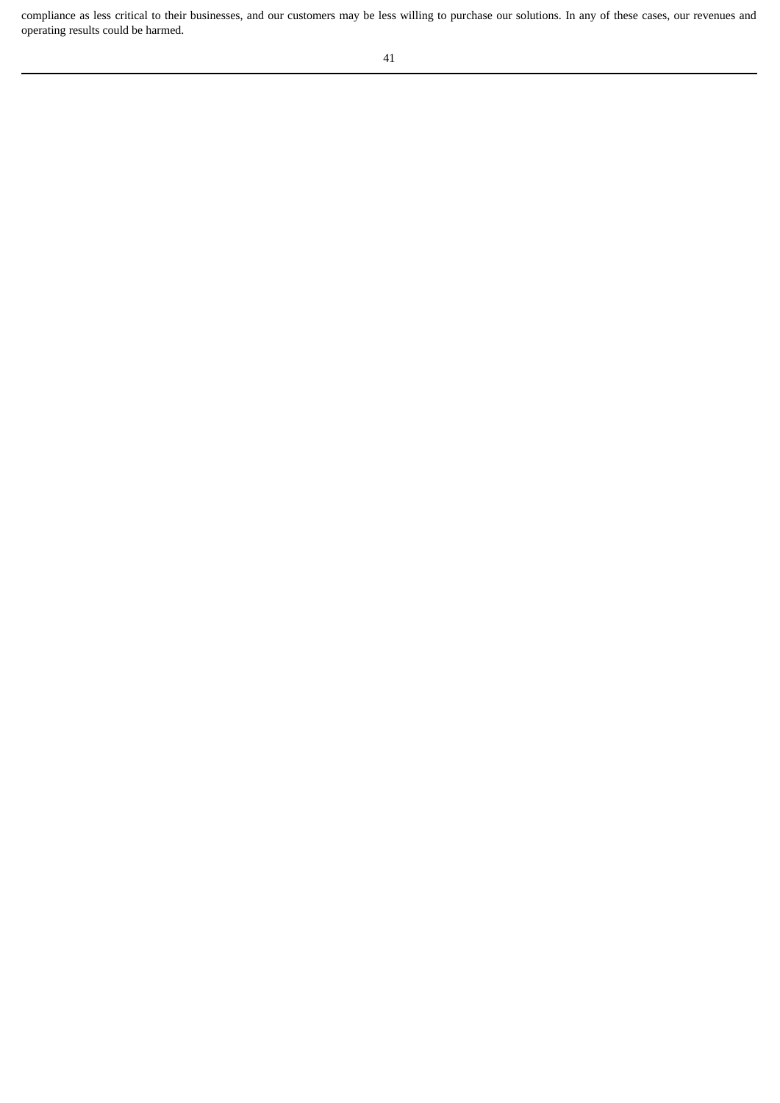compliance as less critical to their businesses, and our customers may be less willing to purchase our solutions. In any of these cases, our revenues and operating results could be harmed.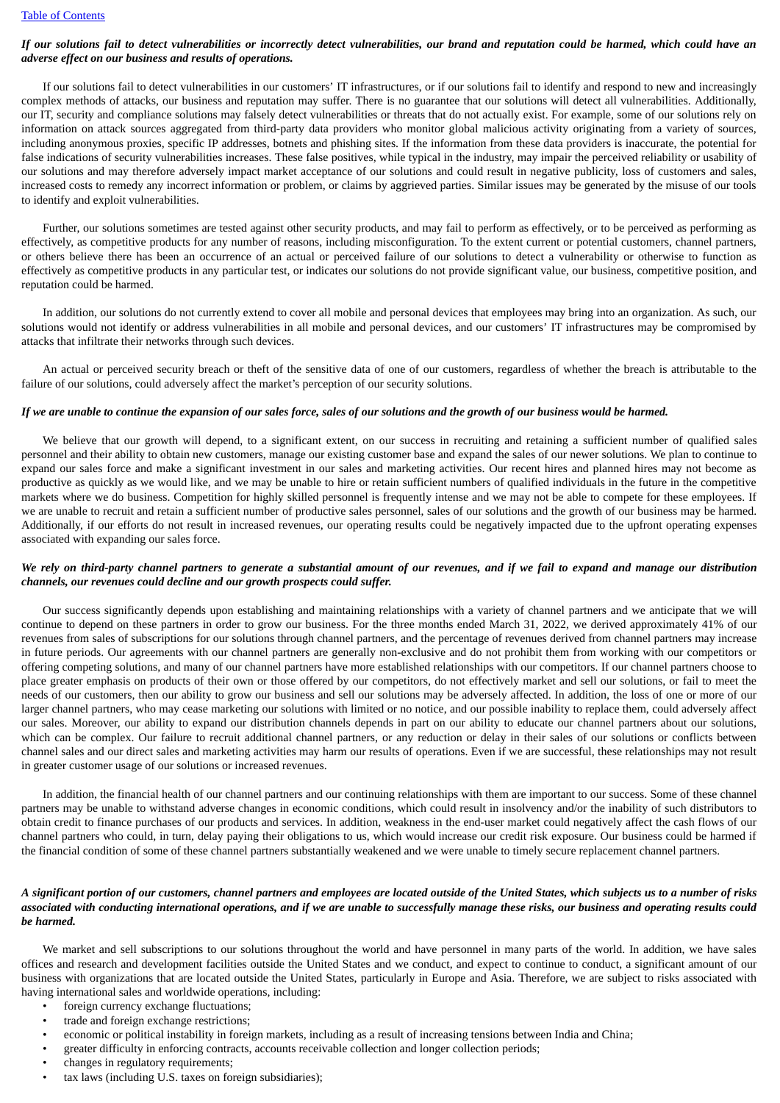## If our solutions fail to detect vulnerabilities or incorrectly detect vulnerabilities, our brand and reputation could be harmed, which could have an *adverse effect on our business and results of operations.*

If our solutions fail to detect vulnerabilities in our customers' IT infrastructures, or if our solutions fail to identify and respond to new and increasingly complex methods of attacks, our business and reputation may suffer. There is no guarantee that our solutions will detect all vulnerabilities. Additionally, our IT, security and compliance solutions may falsely detect vulnerabilities or threats that do not actually exist. For example, some of our solutions rely on information on attack sources aggregated from third-party data providers who monitor global malicious activity originating from a variety of sources, including anonymous proxies, specific IP addresses, botnets and phishing sites. If the information from these data providers is inaccurate, the potential for false indications of security vulnerabilities increases. These false positives, while typical in the industry, may impair the perceived reliability or usability of our solutions and may therefore adversely impact market acceptance of our solutions and could result in negative publicity, loss of customers and sales, increased costs to remedy any incorrect information or problem, or claims by aggrieved parties. Similar issues may be generated by the misuse of our tools to identify and exploit vulnerabilities.

Further, our solutions sometimes are tested against other security products, and may fail to perform as effectively, or to be perceived as performing as effectively, as competitive products for any number of reasons, including misconfiguration. To the extent current or potential customers, channel partners, or others believe there has been an occurrence of an actual or perceived failure of our solutions to detect a vulnerability or otherwise to function as effectively as competitive products in any particular test, or indicates our solutions do not provide significant value, our business, competitive position, and reputation could be harmed.

In addition, our solutions do not currently extend to cover all mobile and personal devices that employees may bring into an organization. As such, our solutions would not identify or address vulnerabilities in all mobile and personal devices, and our customers' IT infrastructures may be compromised by attacks that infiltrate their networks through such devices.

An actual or perceived security breach or theft of the sensitive data of one of our customers, regardless of whether the breach is attributable to the failure of our solutions, could adversely affect the market's perception of our security solutions.

## If we are unable to continue the expansion of our sales force, sales of our solutions and the arowth of our business would be harmed.

We believe that our growth will depend, to a significant extent, on our success in recruiting and retaining a sufficient number of qualified sales personnel and their ability to obtain new customers, manage our existing customer base and expand the sales of our newer solutions. We plan to continue to expand our sales force and make a significant investment in our sales and marketing activities. Our recent hires and planned hires may not become as productive as quickly as we would like, and we may be unable to hire or retain sufficient numbers of qualified individuals in the future in the competitive markets where we do business. Competition for highly skilled personnel is frequently intense and we may not be able to compete for these employees. If we are unable to recruit and retain a sufficient number of productive sales personnel, sales of our solutions and the growth of our business may be harmed. Additionally, if our efforts do not result in increased revenues, our operating results could be negatively impacted due to the upfront operating expenses associated with expanding our sales force.

## We rely on third-party channel partners to generate a substantial amount of our revenues, and if we fail to expand and manage our distribution *channels, our revenues could decline and our growth prospects could suffer.*

Our success significantly depends upon establishing and maintaining relationships with a variety of channel partners and we anticipate that we will continue to depend on these partners in order to grow our business. For the three months ended March 31, 2022, we derived approximately 41% of our revenues from sales of subscriptions for our solutions through channel partners, and the percentage of revenues derived from channel partners may increase in future periods. Our agreements with our channel partners are generally non-exclusive and do not prohibit them from working with our competitors or offering competing solutions, and many of our channel partners have more established relationships with our competitors. If our channel partners choose to place greater emphasis on products of their own or those offered by our competitors, do not effectively market and sell our solutions, or fail to meet the needs of our customers, then our ability to grow our business and sell our solutions may be adversely affected. In addition, the loss of one or more of our larger channel partners, who may cease marketing our solutions with limited or no notice, and our possible inability to replace them, could adversely affect our sales. Moreover, our ability to expand our distribution channels depends in part on our ability to educate our channel partners about our solutions, which can be complex. Our failure to recruit additional channel partners, or any reduction or delay in their sales of our solutions or conflicts between channel sales and our direct sales and marketing activities may harm our results of operations. Even if we are successful, these relationships may not result in greater customer usage of our solutions or increased revenues.

In addition, the financial health of our channel partners and our continuing relationships with them are important to our success. Some of these channel partners may be unable to withstand adverse changes in economic conditions, which could result in insolvency and/or the inability of such distributors to obtain credit to finance purchases of our products and services. In addition, weakness in the end-user market could negatively affect the cash flows of our channel partners who could, in turn, delay paying their obligations to us, which would increase our credit risk exposure. Our business could be harmed if the financial condition of some of these channel partners substantially weakened and we were unable to timely secure replacement channel partners.

## A significant portion of our customers, channel partners and employees are located outside of the United States, which subjects us to a number of risks associated with conducting international operations, and if we are unable to successfully manage these risks, our business and operating results could *be harmed.*

We market and sell subscriptions to our solutions throughout the world and have personnel in many parts of the world. In addition, we have sales offices and research and development facilities outside the United States and we conduct, and expect to continue to conduct, a significant amount of our business with organizations that are located outside the United States, particularly in Europe and Asia. Therefore, we are subject to risks associated with having international sales and worldwide operations, including:

- foreign currency exchange fluctuations;
- trade and foreign exchange restrictions;
- economic or political instability in foreign markets, including as a result of increasing tensions between India and China;
- greater difficulty in enforcing contracts, accounts receivable collection and longer collection periods;
- changes in regulatory requirements;
- tax laws (including U.S. taxes on foreign subsidiaries);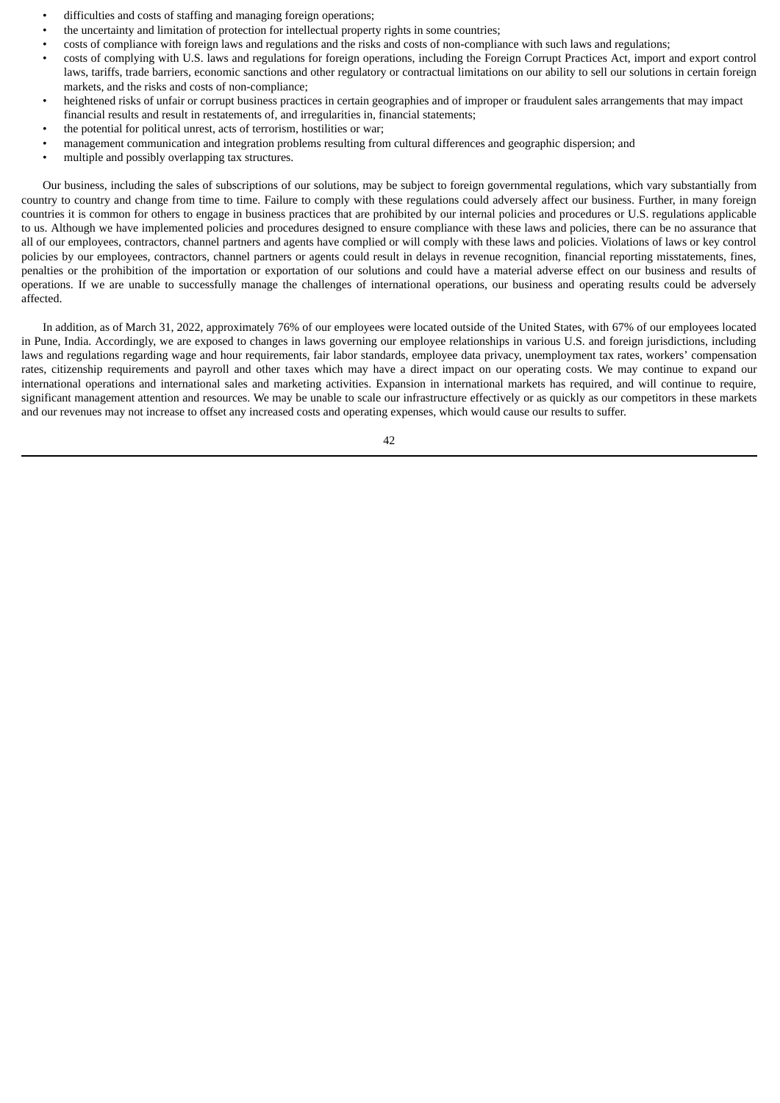- difficulties and costs of staffing and managing foreign operations;
- the uncertainty and limitation of protection for intellectual property rights in some countries;
- costs of compliance with foreign laws and regulations and the risks and costs of non-compliance with such laws and regulations;
- costs of complying with U.S. laws and regulations for foreign operations, including the Foreign Corrupt Practices Act, import and export control laws, tariffs, trade barriers, economic sanctions and other regulatory or contractual limitations on our ability to sell our solutions in certain foreign markets, and the risks and costs of non-compliance;
- heightened risks of unfair or corrupt business practices in certain geographies and of improper or fraudulent sales arrangements that may impact financial results and result in restatements of, and irregularities in, financial statements;
- the potential for political unrest, acts of terrorism, hostilities or war;
- management communication and integration problems resulting from cultural differences and geographic dispersion; and
- multiple and possibly overlapping tax structures.

Our business, including the sales of subscriptions of our solutions, may be subject to foreign governmental regulations, which vary substantially from country to country and change from time to time. Failure to comply with these regulations could adversely affect our business. Further, in many foreign countries it is common for others to engage in business practices that are prohibited by our internal policies and procedures or U.S. regulations applicable to us. Although we have implemented policies and procedures designed to ensure compliance with these laws and policies, there can be no assurance that all of our employees, contractors, channel partners and agents have complied or will comply with these laws and policies. Violations of laws or key control policies by our employees, contractors, channel partners or agents could result in delays in revenue recognition, financial reporting misstatements, fines, penalties or the prohibition of the importation or exportation of our solutions and could have a material adverse effect on our business and results of operations. If we are unable to successfully manage the challenges of international operations, our business and operating results could be adversely affected.

In addition, as of March 31, 2022, approximately 76% of our employees were located outside of the United States, with 67% of our employees located in Pune, India. Accordingly, we are exposed to changes in laws governing our employee relationships in various U.S. and foreign jurisdictions, including laws and regulations regarding wage and hour requirements, fair labor standards, employee data privacy, unemployment tax rates, workers' compensation rates, citizenship requirements and payroll and other taxes which may have a direct impact on our operating costs. We may continue to expand our international operations and international sales and marketing activities. Expansion in international markets has required, and will continue to require, significant management attention and resources. We may be unable to scale our infrastructure effectively or as quickly as our competitors in these markets and our revenues may not increase to offset any increased costs and operating expenses, which would cause our results to suffer.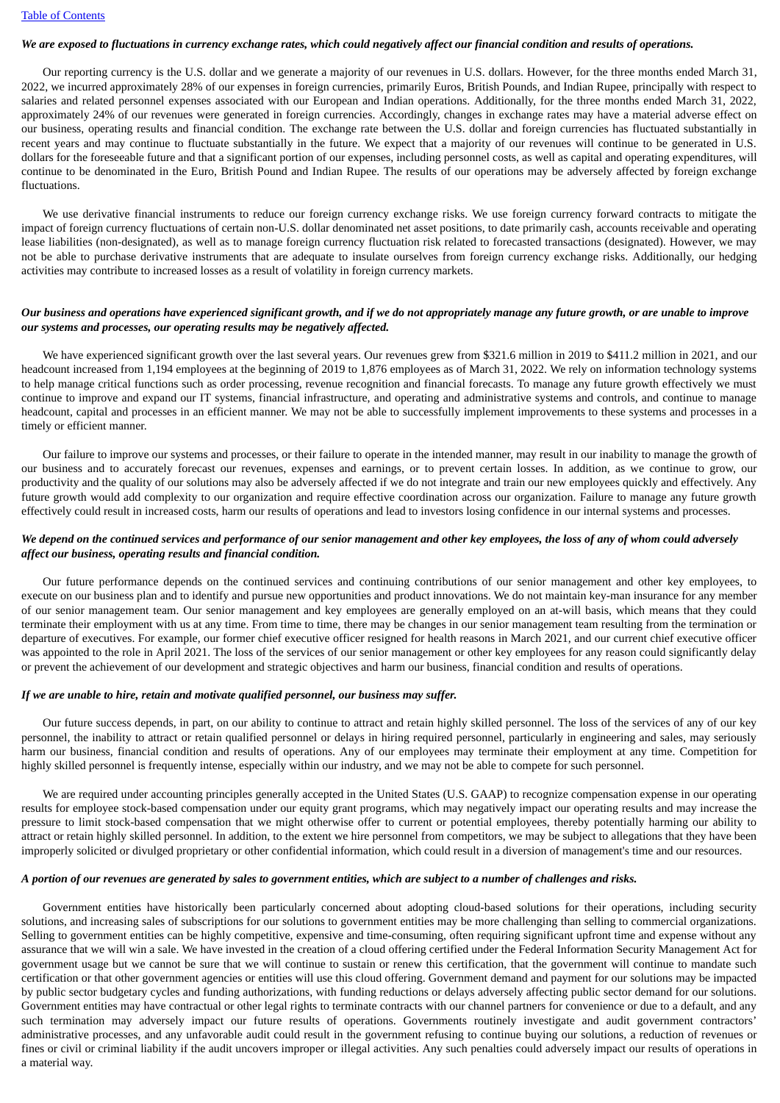#### We are exposed to fluctuations in currency exchange rates, which could negatively affect our financial condition and results of operations.

Our reporting currency is the U.S. dollar and we generate a majority of our revenues in U.S. dollars. However, for the three months ended March 31, 2022, we incurred approximately 28% of our expenses in foreign currencies, primarily Euros, British Pounds, and Indian Rupee, principally with respect to salaries and related personnel expenses associated with our European and Indian operations. Additionally, for the three months ended March 31, 2022, approximately 24% of our revenues were generated in foreign currencies. Accordingly, changes in exchange rates may have a material adverse effect on our business, operating results and financial condition. The exchange rate between the U.S. dollar and foreign currencies has fluctuated substantially in recent years and may continue to fluctuate substantially in the future. We expect that a majority of our revenues will continue to be generated in U.S. dollars for the foreseeable future and that a significant portion of our expenses, including personnel costs, as well as capital and operating expenditures, will continue to be denominated in the Euro, British Pound and Indian Rupee. The results of our operations may be adversely affected by foreign exchange fluctuations.

We use derivative financial instruments to reduce our foreign currency exchange risks. We use foreign currency forward contracts to mitigate the impact of foreign currency fluctuations of certain non-U.S. dollar denominated net asset positions, to date primarily cash, accounts receivable and operating lease liabilities (non-designated), as well as to manage foreign currency fluctuation risk related to forecasted transactions (designated). However, we may not be able to purchase derivative instruments that are adequate to insulate ourselves from foreign currency exchange risks. Additionally, our hedging activities may contribute to increased losses as a result of volatility in foreign currency markets.

#### Our business and operations have experienced significant growth, and if we do not appropriately manage any future growth, or are unable to improve *our systems and processes, our operating results may be negatively affected.*

We have experienced significant growth over the last several years. Our revenues grew from \$321.6 million in 2019 to \$411.2 million in 2021, and our headcount increased from 1,194 employees at the beginning of 2019 to 1,876 employees as of March 31, 2022. We rely on information technology systems to help manage critical functions such as order processing, revenue recognition and financial forecasts. To manage any future growth effectively we must continue to improve and expand our IT systems, financial infrastructure, and operating and administrative systems and controls, and continue to manage headcount, capital and processes in an efficient manner. We may not be able to successfully implement improvements to these systems and processes in a timely or efficient manner.

Our failure to improve our systems and processes, or their failure to operate in the intended manner, may result in our inability to manage the growth of our business and to accurately forecast our revenues, expenses and earnings, or to prevent certain losses. In addition, as we continue to grow, our productivity and the quality of our solutions may also be adversely affected if we do not integrate and train our new employees quickly and effectively. Any future growth would add complexity to our organization and require effective coordination across our organization. Failure to manage any future growth effectively could result in increased costs, harm our results of operations and lead to investors losing confidence in our internal systems and processes.

## We depend on the continued services and performance of our senior management and other key employees, the loss of any of whom could adversely *affect our business, operating results and financial condition.*

Our future performance depends on the continued services and continuing contributions of our senior management and other key employees, to execute on our business plan and to identify and pursue new opportunities and product innovations. We do not maintain key-man insurance for any member of our senior management team. Our senior management and key employees are generally employed on an at-will basis, which means that they could terminate their employment with us at any time. From time to time, there may be changes in our senior management team resulting from the termination or departure of executives. For example, our former chief executive officer resigned for health reasons in March 2021, and our current chief executive officer was appointed to the role in April 2021. The loss of the services of our senior management or other key employees for any reason could significantly delay or prevent the achievement of our development and strategic objectives and harm our business, financial condition and results of operations.

### *If we are unable to hire, retain and motivate qualified personnel, our business may suffer.*

Our future success depends, in part, on our ability to continue to attract and retain highly skilled personnel. The loss of the services of any of our key personnel, the inability to attract or retain qualified personnel or delays in hiring required personnel, particularly in engineering and sales, may seriously harm our business, financial condition and results of operations. Any of our employees may terminate their employment at any time. Competition for highly skilled personnel is frequently intense, especially within our industry, and we may not be able to compete for such personnel.

We are required under accounting principles generally accepted in the United States (U.S. GAAP) to recognize compensation expense in our operating results for employee stock-based compensation under our equity grant programs, which may negatively impact our operating results and may increase the pressure to limit stock-based compensation that we might otherwise offer to current or potential employees, thereby potentially harming our ability to attract or retain highly skilled personnel. In addition, to the extent we hire personnel from competitors, we may be subject to allegations that they have been improperly solicited or divulged proprietary or other confidential information, which could result in a diversion of management's time and our resources.

#### A portion of our revenues are generated by sales to government entities, which are subject to a number of challenges and risks.

Government entities have historically been particularly concerned about adopting cloud-based solutions for their operations, including security solutions, and increasing sales of subscriptions for our solutions to government entities may be more challenging than selling to commercial organizations. Selling to government entities can be highly competitive, expensive and time-consuming, often requiring significant upfront time and expense without any assurance that we will win a sale. We have invested in the creation of a cloud offering certified under the Federal Information Security Management Act for government usage but we cannot be sure that we will continue to sustain or renew this certification, that the government will continue to mandate such certification or that other government agencies or entities will use this cloud offering. Government demand and payment for our solutions may be impacted by public sector budgetary cycles and funding authorizations, with funding reductions or delays adversely affecting public sector demand for our solutions. Government entities may have contractual or other legal rights to terminate contracts with our channel partners for convenience or due to a default, and any such termination may adversely impact our future results of operations. Governments routinely investigate and audit government contractors' administrative processes, and any unfavorable audit could result in the government refusing to continue buying our solutions, a reduction of revenues or fines or civil or criminal liability if the audit uncovers improper or illegal activities. Any such penalties could adversely impact our results of operations in a material way.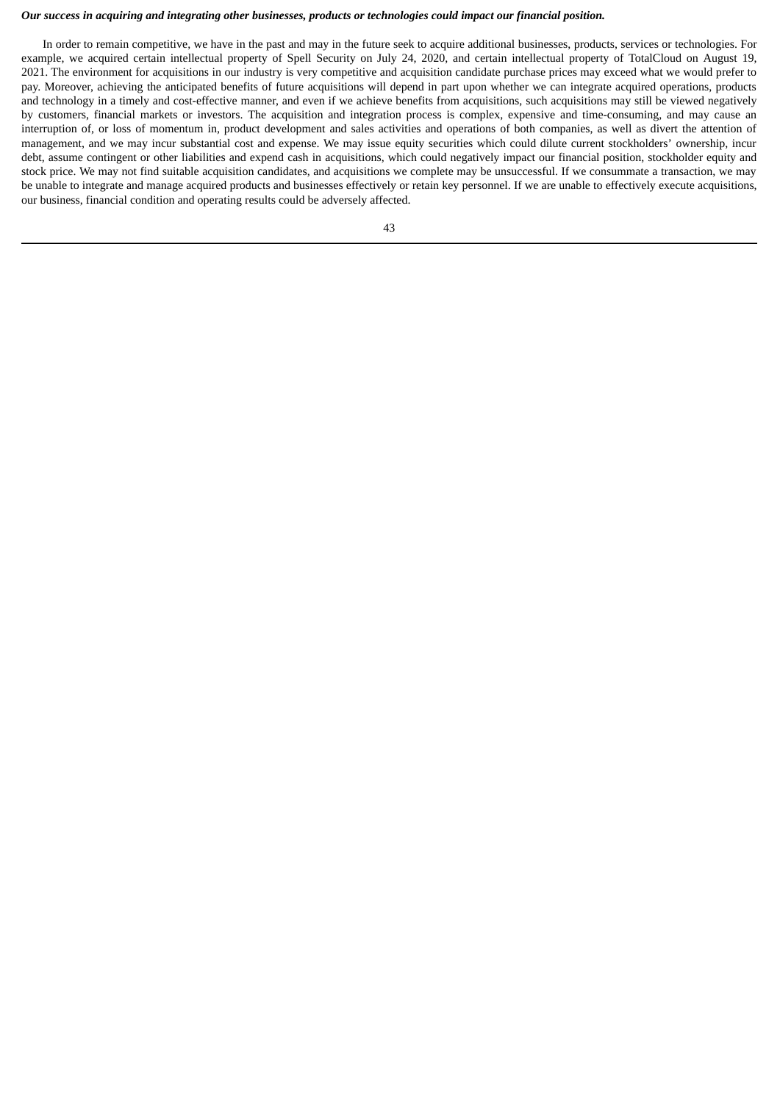## Our success in acquiring and integrating other businesses, products or technologies could impact our financial position.

In order to remain competitive, we have in the past and may in the future seek to acquire additional businesses, products, services or technologies. For example, we acquired certain intellectual property of Spell Security on July 24, 2020, and certain intellectual property of TotalCloud on August 19, 2021. The environment for acquisitions in our industry is very competitive and acquisition candidate purchase prices may exceed what we would prefer to pay. Moreover, achieving the anticipated benefits of future acquisitions will depend in part upon whether we can integrate acquired operations, products and technology in a timely and cost-effective manner, and even if we achieve benefits from acquisitions, such acquisitions may still be viewed negatively by customers, financial markets or investors. The acquisition and integration process is complex, expensive and time-consuming, and may cause an interruption of, or loss of momentum in, product development and sales activities and operations of both companies, as well as divert the attention of management, and we may incur substantial cost and expense. We may issue equity securities which could dilute current stockholders' ownership, incur debt, assume contingent or other liabilities and expend cash in acquisitions, which could negatively impact our financial position, stockholder equity and stock price. We may not find suitable acquisition candidates, and acquisitions we complete may be unsuccessful. If we consummate a transaction, we may be unable to integrate and manage acquired products and businesses effectively or retain key personnel. If we are unable to effectively execute acquisitions, our business, financial condition and operating results could be adversely affected.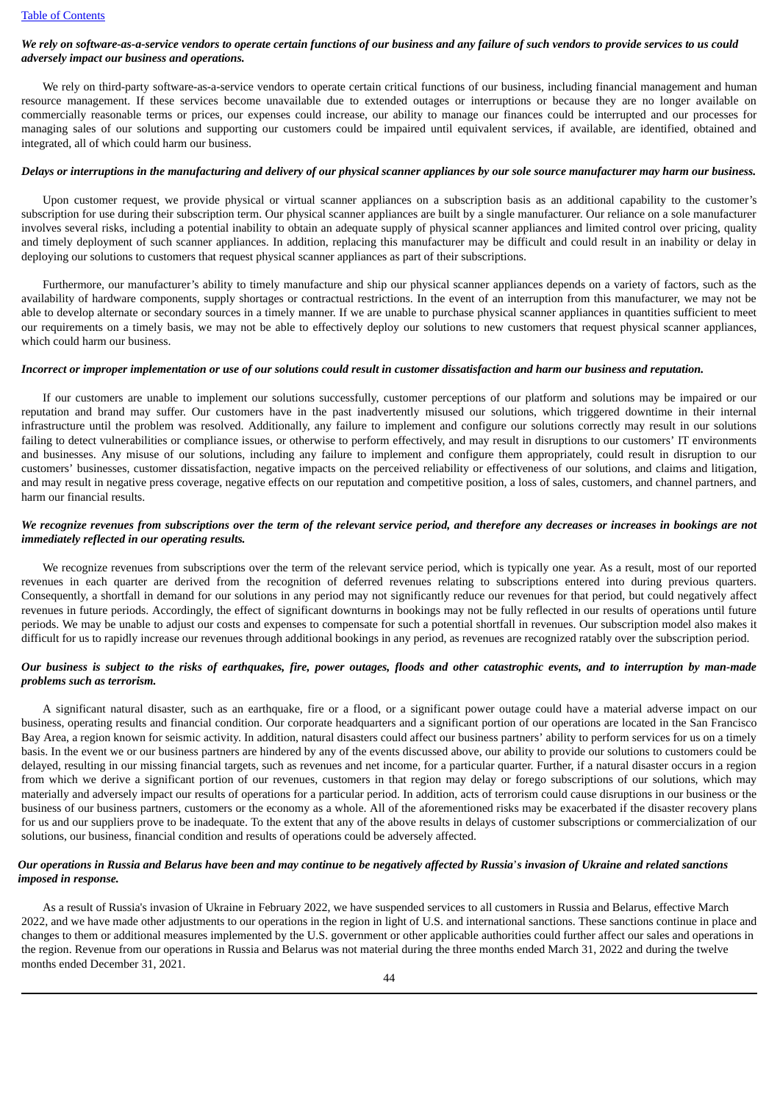### We rely on software-as-a-service vendors to operate certain functions of our business and any failure of such vendors to provide services to us could *adversely impact our business and operations.*

We rely on third-party software-as-a-service vendors to operate certain critical functions of our business, including financial management and human resource management. If these services become unavailable due to extended outages or interruptions or because they are no longer available on commercially reasonable terms or prices, our expenses could increase, our ability to manage our finances could be interrupted and our processes for managing sales of our solutions and supporting our customers could be impaired until equivalent services, if available, are identified, obtained and integrated, all of which could harm our business.

#### Delays or interruptions in the manufacturing and delivery of our physical scanner appliances by our sole source manufacturer may harm our business.

Upon customer request, we provide physical or virtual scanner appliances on a subscription basis as an additional capability to the customer's subscription for use during their subscription term. Our physical scanner appliances are built by a single manufacturer. Our reliance on a sole manufacturer involves several risks, including a potential inability to obtain an adequate supply of physical scanner appliances and limited control over pricing, quality and timely deployment of such scanner appliances. In addition, replacing this manufacturer may be difficult and could result in an inability or delay in deploying our solutions to customers that request physical scanner appliances as part of their subscriptions.

Furthermore, our manufacturer's ability to timely manufacture and ship our physical scanner appliances depends on a variety of factors, such as the availability of hardware components, supply shortages or contractual restrictions. In the event of an interruption from this manufacturer, we may not be able to develop alternate or secondary sources in a timely manner. If we are unable to purchase physical scanner appliances in quantities sufficient to meet our requirements on a timely basis, we may not be able to effectively deploy our solutions to new customers that request physical scanner appliances, which could harm our business.

### Incorrect or improper implementation or use of our solutions could result in customer dissatisfaction and harm our business and reputation.

If our customers are unable to implement our solutions successfully, customer perceptions of our platform and solutions may be impaired or our reputation and brand may suffer. Our customers have in the past inadvertently misused our solutions, which triggered downtime in their internal infrastructure until the problem was resolved. Additionally, any failure to implement and configure our solutions correctly may result in our solutions failing to detect vulnerabilities or compliance issues, or otherwise to perform effectively, and may result in disruptions to our customers' IT environments and businesses. Any misuse of our solutions, including any failure to implement and configure them appropriately, could result in disruption to our customers' businesses, customer dissatisfaction, negative impacts on the perceived reliability or effectiveness of our solutions, and claims and litigation, and may result in negative press coverage, negative effects on our reputation and competitive position, a loss of sales, customers, and channel partners, and harm our financial results.

### We recognize revenues from subscriptions over the term of the relevant service period, and therefore any decreases or increases in bookings are not *immediately reflected in our operating results.*

We recognize revenues from subscriptions over the term of the relevant service period, which is typically one year. As a result, most of our reported revenues in each quarter are derived from the recognition of deferred revenues relating to subscriptions entered into during previous quarters. Consequently, a shortfall in demand for our solutions in any period may not significantly reduce our revenues for that period, but could negatively affect revenues in future periods. Accordingly, the effect of significant downturns in bookings may not be fully reflected in our results of operations until future periods. We may be unable to adjust our costs and expenses to compensate for such a potential shortfall in revenues. Our subscription model also makes it difficult for us to rapidly increase our revenues through additional bookings in any period, as revenues are recognized ratably over the subscription period.

## Our business is subject to the risks of earthquakes, fire, power outages, floods and other catastrophic events, and to interruption by man-made *problems such as terrorism.*

A significant natural disaster, such as an earthquake, fire or a flood, or a significant power outage could have a material adverse impact on our business, operating results and financial condition. Our corporate headquarters and a significant portion of our operations are located in the San Francisco Bay Area, a region known for seismic activity. In addition, natural disasters could affect our business partners' ability to perform services for us on a timely basis. In the event we or our business partners are hindered by any of the events discussed above, our ability to provide our solutions to customers could be delayed, resulting in our missing financial targets, such as revenues and net income, for a particular quarter. Further, if a natural disaster occurs in a region from which we derive a significant portion of our revenues, customers in that region may delay or forego subscriptions of our solutions, which may materially and adversely impact our results of operations for a particular period. In addition, acts of terrorism could cause disruptions in our business or the business of our business partners, customers or the economy as a whole. All of the aforementioned risks may be exacerbated if the disaster recovery plans for us and our suppliers prove to be inadequate. To the extent that any of the above results in delays of customer subscriptions or commercialization of our solutions, our business, financial condition and results of operations could be adversely affected.

## Our operations in Russia and Belarus have been and may continue to be negatively affected by Russia's invasion of Ukraine and related sanctions *imposed in response.*

As a result of Russia's invasion of Ukraine in February 2022, we have suspended services to all customers in Russia and Belarus, effective March 2022, and we have made other adjustments to our operations in the region in light of U.S. and international sanctions. These sanctions continue in place and changes to them or additional measures implemented by the U.S. government or other applicable authorities could further affect our sales and operations in the region. Revenue from our operations in Russia and Belarus was not material during the three months ended March 31, 2022 and during the twelve months ended December 31, 2021.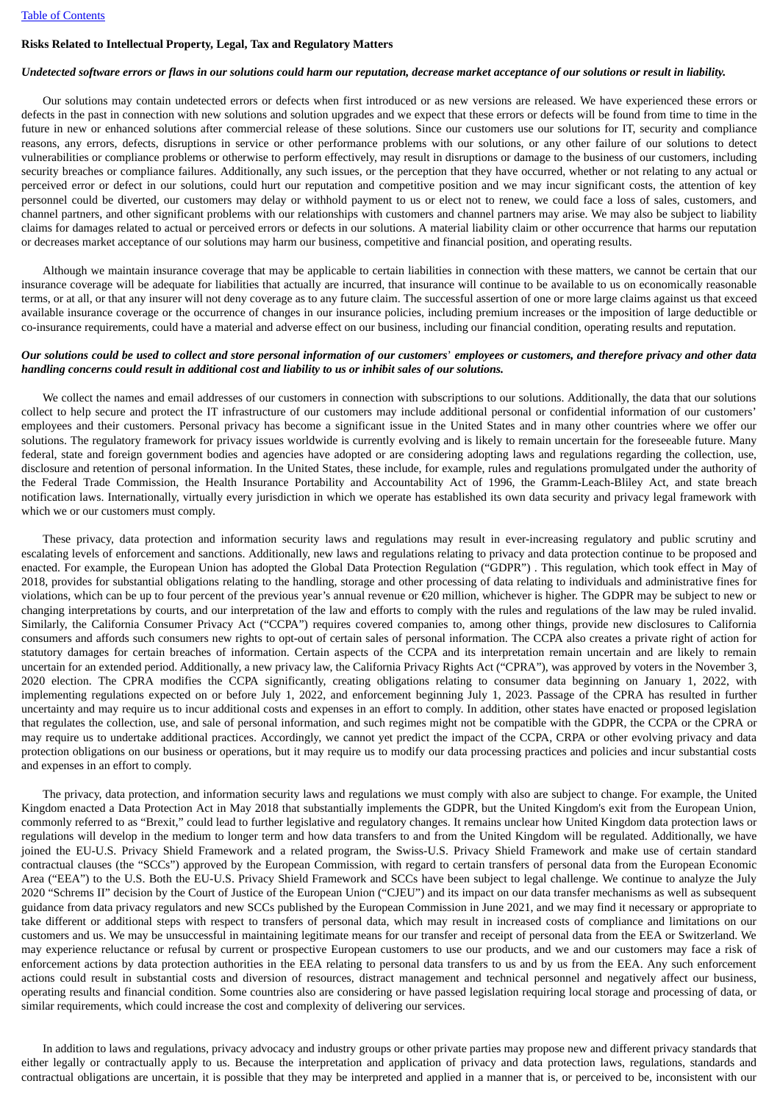## **Risks Related to Intellectual Property, Legal, Tax and Regulatory Matters**

## Undetected software errors or flaws in our solutions could harm our reputation, decrease market acceptance of our solutions or result in liability.

Our solutions may contain undetected errors or defects when first introduced or as new versions are released. We have experienced these errors or defects in the past in connection with new solutions and solution upgrades and we expect that these errors or defects will be found from time to time in the future in new or enhanced solutions after commercial release of these solutions. Since our customers use our solutions for IT, security and compliance reasons, any errors, defects, disruptions in service or other performance problems with our solutions, or any other failure of our solutions to detect vulnerabilities or compliance problems or otherwise to perform effectively, may result in disruptions or damage to the business of our customers, including security breaches or compliance failures. Additionally, any such issues, or the perception that they have occurred, whether or not relating to any actual or perceived error or defect in our solutions, could hurt our reputation and competitive position and we may incur significant costs, the attention of key personnel could be diverted, our customers may delay or withhold payment to us or elect not to renew, we could face a loss of sales, customers, and channel partners, and other significant problems with our relationships with customers and channel partners may arise. We may also be subject to liability claims for damages related to actual or perceived errors or defects in our solutions. A material liability claim or other occurrence that harms our reputation or decreases market acceptance of our solutions may harm our business, competitive and financial position, and operating results.

Although we maintain insurance coverage that may be applicable to certain liabilities in connection with these matters, we cannot be certain that our insurance coverage will be adequate for liabilities that actually are incurred, that insurance will continue to be available to us on economically reasonable terms, or at all, or that any insurer will not deny coverage as to any future claim. The successful assertion of one or more large claims against us that exceed available insurance coverage or the occurrence of changes in our insurance policies, including premium increases or the imposition of large deductible or co-insurance requirements, could have a material and adverse effect on our business, including our financial condition, operating results and reputation.

## Our solutions could be used to collect and store personal information of our customers' employees or customers, and therefore privacy and other data *handling concerns could result in additional cost and liability to us or inhibit sales of our solutions.*

We collect the names and email addresses of our customers in connection with subscriptions to our solutions. Additionally, the data that our solutions collect to help secure and protect the IT infrastructure of our customers may include additional personal or confidential information of our customers' employees and their customers. Personal privacy has become a significant issue in the United States and in many other countries where we offer our solutions. The regulatory framework for privacy issues worldwide is currently evolving and is likely to remain uncertain for the foreseeable future. Many federal, state and foreign government bodies and agencies have adopted or are considering adopting laws and regulations regarding the collection, use, disclosure and retention of personal information. In the United States, these include, for example, rules and regulations promulgated under the authority of the Federal Trade Commission, the Health Insurance Portability and Accountability Act of 1996, the Gramm-Leach-Bliley Act, and state breach notification laws. Internationally, virtually every jurisdiction in which we operate has established its own data security and privacy legal framework with which we or our customers must comply.

These privacy, data protection and information security laws and regulations may result in ever-increasing regulatory and public scrutiny and escalating levels of enforcement and sanctions. Additionally, new laws and regulations relating to privacy and data protection continue to be proposed and enacted. For example, the European Union has adopted the Global Data Protection Regulation ("GDPR") . This regulation, which took effect in May of 2018, provides for substantial obligations relating to the handling, storage and other processing of data relating to individuals and administrative fines for violations, which can be up to four percent of the previous year's annual revenue or €20 million, whichever is higher. The GDPR may be subject to new or changing interpretations by courts, and our interpretation of the law and efforts to comply with the rules and regulations of the law may be ruled invalid. Similarly, the California Consumer Privacy Act ("CCPA") requires covered companies to, among other things, provide new disclosures to California consumers and affords such consumers new rights to opt-out of certain sales of personal information. The CCPA also creates a private right of action for statutory damages for certain breaches of information. Certain aspects of the CCPA and its interpretation remain uncertain and are likely to remain uncertain for an extended period. Additionally, a new privacy law, the California Privacy Rights Act ("CPRA"), was approved by voters in the November 3, 2020 election. The CPRA modifies the CCPA significantly, creating obligations relating to consumer data beginning on January 1, 2022, with implementing regulations expected on or before July 1, 2022, and enforcement beginning July 1, 2023. Passage of the CPRA has resulted in further uncertainty and may require us to incur additional costs and expenses in an effort to comply. In addition, other states have enacted or proposed legislation that regulates the collection, use, and sale of personal information, and such regimes might not be compatible with the GDPR, the CCPA or the CPRA or may require us to undertake additional practices. Accordingly, we cannot yet predict the impact of the CCPA, CRPA or other evolving privacy and data protection obligations on our business or operations, but it may require us to modify our data processing practices and policies and incur substantial costs and expenses in an effort to comply.

The privacy, data protection, and information security laws and regulations we must comply with also are subject to change. For example, the United Kingdom enacted a Data Protection Act in May 2018 that substantially implements the GDPR, but the United Kingdom's exit from the European Union, commonly referred to as "Brexit," could lead to further legislative and regulatory changes. It remains unclear how United Kingdom data protection laws or regulations will develop in the medium to longer term and how data transfers to and from the United Kingdom will be regulated. Additionally, we have joined the EU-U.S. Privacy Shield Framework and a related program, the Swiss-U.S. Privacy Shield Framework and make use of certain standard contractual clauses (the "SCCs") approved by the European Commission, with regard to certain transfers of personal data from the European Economic Area ("EEA") to the U.S. Both the EU-U.S. Privacy Shield Framework and SCCs have been subject to legal challenge. We continue to analyze the July 2020 "Schrems II" decision by the Court of Justice of the European Union ("CJEU") and its impact on our data transfer mechanisms as well as subsequent guidance from data privacy regulators and new SCCs published by the European Commission in June 2021, and we may find it necessary or appropriate to take different or additional steps with respect to transfers of personal data, which may result in increased costs of compliance and limitations on our customers and us. We may be unsuccessful in maintaining legitimate means for our transfer and receipt of personal data from the EEA or Switzerland. We may experience reluctance or refusal by current or prospective European customers to use our products, and we and our customers may face a risk of enforcement actions by data protection authorities in the EEA relating to personal data transfers to us and by us from the EEA. Any such enforcement actions could result in substantial costs and diversion of resources, distract management and technical personnel and negatively affect our business, operating results and financial condition. Some countries also are considering or have passed legislation requiring local storage and processing of data, or similar requirements, which could increase the cost and complexity of delivering our services.

In addition to laws and regulations, privacy advocacy and industry groups or other private parties may propose new and different privacy standards that either legally or contractually apply to us. Because the interpretation and application of privacy and data protection laws, regulations, standards and contractual obligations are uncertain, it is possible that they may be interpreted and applied in a manner that is, or perceived to be, inconsistent with our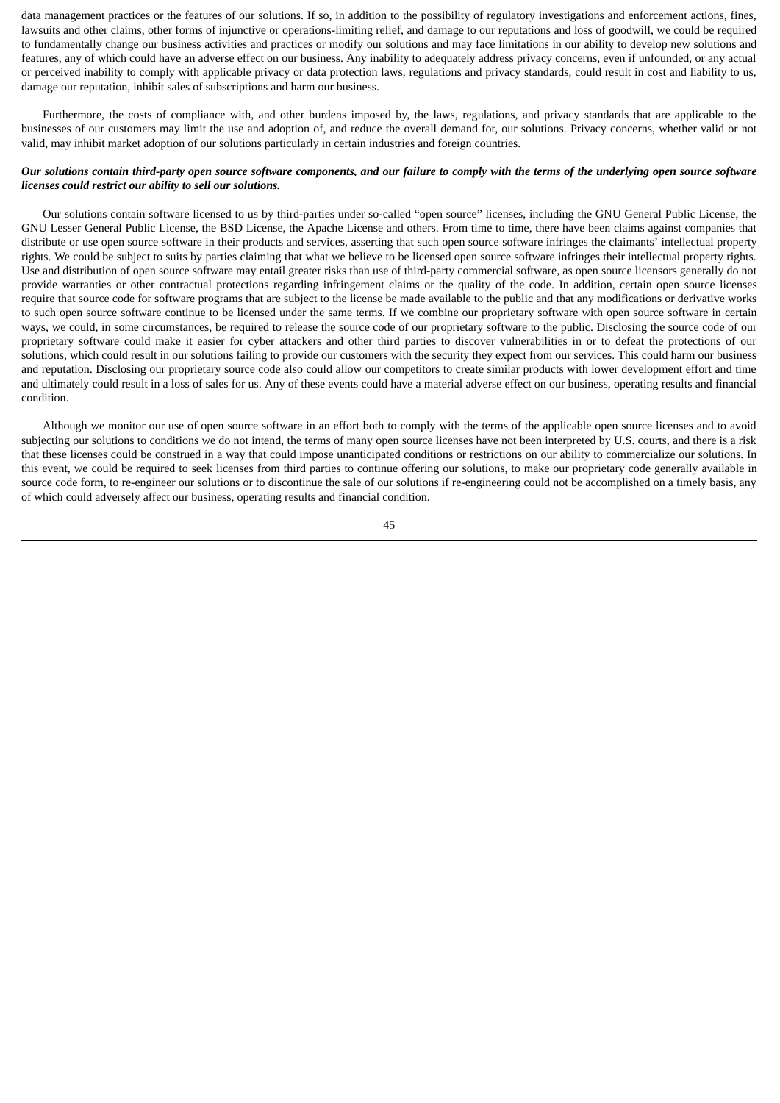data management practices or the features of our solutions. If so, in addition to the possibility of regulatory investigations and enforcement actions, fines, lawsuits and other claims, other forms of injunctive or operations-limiting relief, and damage to our reputations and loss of goodwill, we could be required to fundamentally change our business activities and practices or modify our solutions and may face limitations in our ability to develop new solutions and features, any of which could have an adverse effect on our business. Any inability to adequately address privacy concerns, even if unfounded, or any actual or perceived inability to comply with applicable privacy or data protection laws, regulations and privacy standards, could result in cost and liability to us, damage our reputation, inhibit sales of subscriptions and harm our business.

Furthermore, the costs of compliance with, and other burdens imposed by, the laws, regulations, and privacy standards that are applicable to the businesses of our customers may limit the use and adoption of, and reduce the overall demand for, our solutions. Privacy concerns, whether valid or not valid, may inhibit market adoption of our solutions particularly in certain industries and foreign countries.

### Our solutions contain third-party open source software components, and our failure to comply with the terms of the underlying open source software *licenses could restrict our ability to sell our solutions.*

Our solutions contain software licensed to us by third-parties under so-called "open source" licenses, including the GNU General Public License, the GNU Lesser General Public License, the BSD License, the Apache License and others. From time to time, there have been claims against companies that distribute or use open source software in their products and services, asserting that such open source software infringes the claimants' intellectual property rights. We could be subject to suits by parties claiming that what we believe to be licensed open source software infringes their intellectual property rights. Use and distribution of open source software may entail greater risks than use of third-party commercial software, as open source licensors generally do not provide warranties or other contractual protections regarding infringement claims or the quality of the code. In addition, certain open source licenses require that source code for software programs that are subject to the license be made available to the public and that any modifications or derivative works to such open source software continue to be licensed under the same terms. If we combine our proprietary software with open source software in certain ways, we could, in some circumstances, be required to release the source code of our proprietary software to the public. Disclosing the source code of our proprietary software could make it easier for cyber attackers and other third parties to discover vulnerabilities in or to defeat the protections of our solutions, which could result in our solutions failing to provide our customers with the security they expect from our services. This could harm our business and reputation. Disclosing our proprietary source code also could allow our competitors to create similar products with lower development effort and time and ultimately could result in a loss of sales for us. Any of these events could have a material adverse effect on our business, operating results and financial condition.

Although we monitor our use of open source software in an effort both to comply with the terms of the applicable open source licenses and to avoid subjecting our solutions to conditions we do not intend, the terms of many open source licenses have not been interpreted by U.S. courts, and there is a risk that these licenses could be construed in a way that could impose unanticipated conditions or restrictions on our ability to commercialize our solutions. In this event, we could be required to seek licenses from third parties to continue offering our solutions, to make our proprietary code generally available in source code form, to re-engineer our solutions or to discontinue the sale of our solutions if re-engineering could not be accomplished on a timely basis, any of which could adversely affect our business, operating results and financial condition.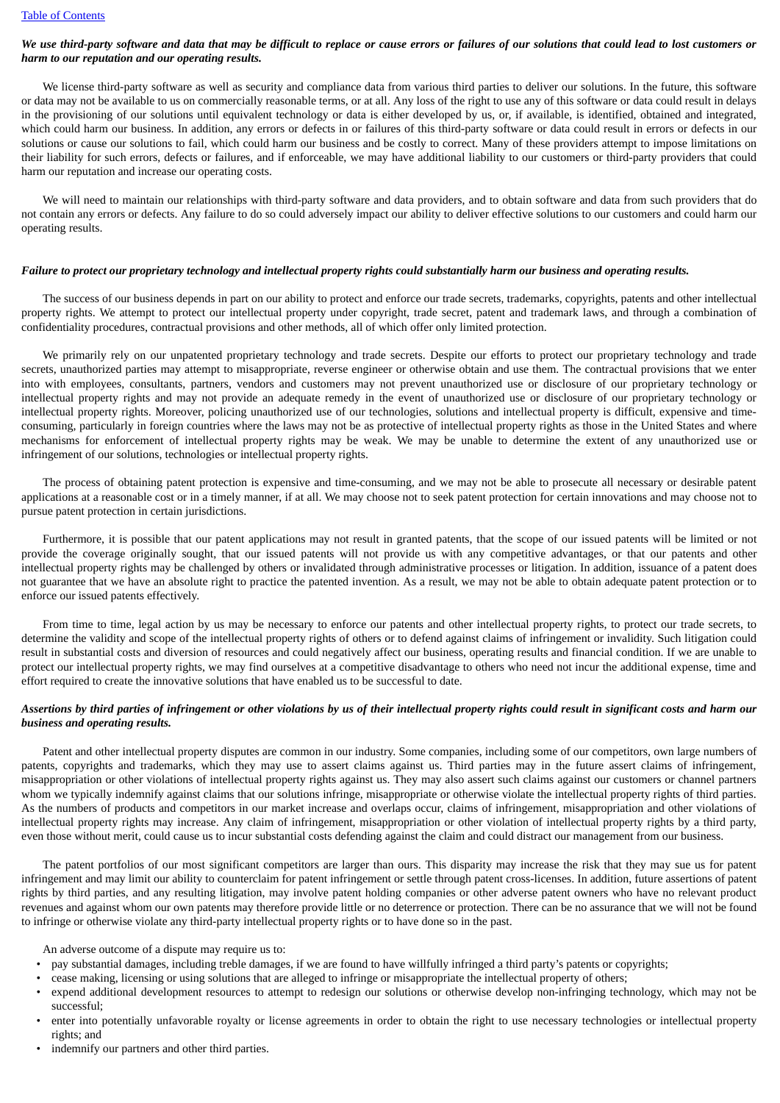### We use third-party software and data that may be difficult to replace or cause errors or failures of our solutions that could lead to lost customers or *harm to our reputation and our operating results.*

We license third-party software as well as security and compliance data from various third parties to deliver our solutions. In the future, this software or data may not be available to us on commercially reasonable terms, or at all. Any loss of the right to use any of this software or data could result in delays in the provisioning of our solutions until equivalent technology or data is either developed by us, or, if available, is identified, obtained and integrated, which could harm our business. In addition, any errors or defects in or failures of this third-party software or data could result in errors or defects in our solutions or cause our solutions to fail, which could harm our business and be costly to correct. Many of these providers attempt to impose limitations on their liability for such errors, defects or failures, and if enforceable, we may have additional liability to our customers or third-party providers that could harm our reputation and increase our operating costs.

We will need to maintain our relationships with third-party software and data providers, and to obtain software and data from such providers that do not contain any errors or defects. Any failure to do so could adversely impact our ability to deliver effective solutions to our customers and could harm our operating results.

### Failure to protect our proprietary technology and intellectual property rights could substantially harm our business and operating results.

The success of our business depends in part on our ability to protect and enforce our trade secrets, trademarks, copyrights, patents and other intellectual property rights. We attempt to protect our intellectual property under copyright, trade secret, patent and trademark laws, and through a combination of confidentiality procedures, contractual provisions and other methods, all of which offer only limited protection.

We primarily rely on our unpatented proprietary technology and trade secrets. Despite our efforts to protect our proprietary technology and trade secrets, unauthorized parties may attempt to misappropriate, reverse engineer or otherwise obtain and use them. The contractual provisions that we enter into with employees, consultants, partners, vendors and customers may not prevent unauthorized use or disclosure of our proprietary technology or intellectual property rights and may not provide an adequate remedy in the event of unauthorized use or disclosure of our proprietary technology or intellectual property rights. Moreover, policing unauthorized use of our technologies, solutions and intellectual property is difficult, expensive and timeconsuming, particularly in foreign countries where the laws may not be as protective of intellectual property rights as those in the United States and where mechanisms for enforcement of intellectual property rights may be weak. We may be unable to determine the extent of any unauthorized use or infringement of our solutions, technologies or intellectual property rights.

The process of obtaining patent protection is expensive and time-consuming, and we may not be able to prosecute all necessary or desirable patent applications at a reasonable cost or in a timely manner, if at all. We may choose not to seek patent protection for certain innovations and may choose not to pursue patent protection in certain jurisdictions.

Furthermore, it is possible that our patent applications may not result in granted patents, that the scope of our issued patents will be limited or not provide the coverage originally sought, that our issued patents will not provide us with any competitive advantages, or that our patents and other intellectual property rights may be challenged by others or invalidated through administrative processes or litigation. In addition, issuance of a patent does not guarantee that we have an absolute right to practice the patented invention. As a result, we may not be able to obtain adequate patent protection or to enforce our issued patents effectively.

From time to time, legal action by us may be necessary to enforce our patents and other intellectual property rights, to protect our trade secrets, to determine the validity and scope of the intellectual property rights of others or to defend against claims of infringement or invalidity. Such litigation could result in substantial costs and diversion of resources and could negatively affect our business, operating results and financial condition. If we are unable to protect our intellectual property rights, we may find ourselves at a competitive disadvantage to others who need not incur the additional expense, time and effort required to create the innovative solutions that have enabled us to be successful to date.

## Assertions by third parties of infringement or other violations by us of their intellectual property rights could result in significant costs and harm our *business and operating results.*

Patent and other intellectual property disputes are common in our industry. Some companies, including some of our competitors, own large numbers of patents, copyrights and trademarks, which they may use to assert claims against us. Third parties may in the future assert claims of infringement, misappropriation or other violations of intellectual property rights against us. They may also assert such claims against our customers or channel partners whom we typically indemnify against claims that our solutions infringe, misappropriate or otherwise violate the intellectual property rights of third parties. As the numbers of products and competitors in our market increase and overlaps occur, claims of infringement, misappropriation and other violations of intellectual property rights may increase. Any claim of infringement, misappropriation or other violation of intellectual property rights by a third party, even those without merit, could cause us to incur substantial costs defending against the claim and could distract our management from our business.

The patent portfolios of our most significant competitors are larger than ours. This disparity may increase the risk that they may sue us for patent infringement and may limit our ability to counterclaim for patent infringement or settle through patent cross-licenses. In addition, future assertions of patent rights by third parties, and any resulting litigation, may involve patent holding companies or other adverse patent owners who have no relevant product revenues and against whom our own patents may therefore provide little or no deterrence or protection. There can be no assurance that we will not be found to infringe or otherwise violate any third-party intellectual property rights or to have done so in the past.

An adverse outcome of a dispute may require us to:

- pay substantial damages, including treble damages, if we are found to have willfully infringed a third party's patents or copyrights;
- cease making, licensing or using solutions that are alleged to infringe or misappropriate the intellectual property of others;
- expend additional development resources to attempt to redesign our solutions or otherwise develop non-infringing technology, which may not be successful;
- enter into potentially unfavorable royalty or license agreements in order to obtain the right to use necessary technologies or intellectual property rights; and
- indemnify our partners and other third parties.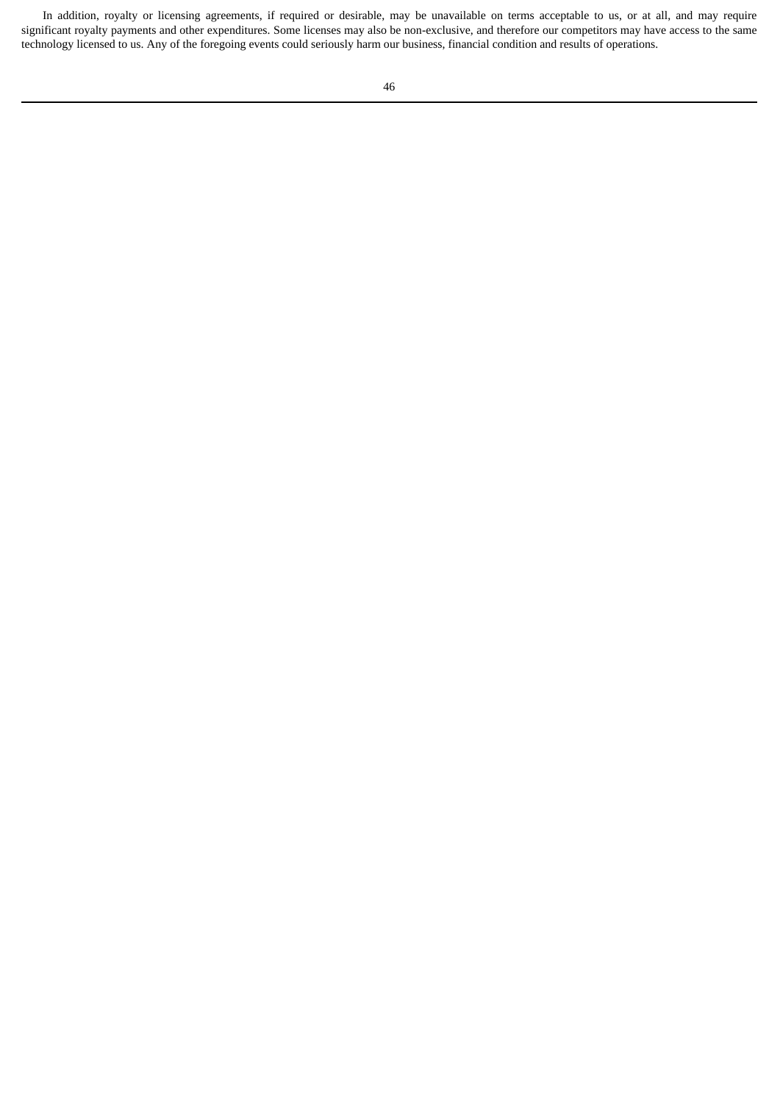In addition, royalty or licensing agreements, if required or desirable, may be unavailable on terms acceptable to us, or at all, and may require significant royalty payments and other expenditures. Some licenses may also be non-exclusive, and therefore our competitors may have access to the same technology licensed to us. Any of the foregoing events could seriously harm our business, financial condition and results of operations.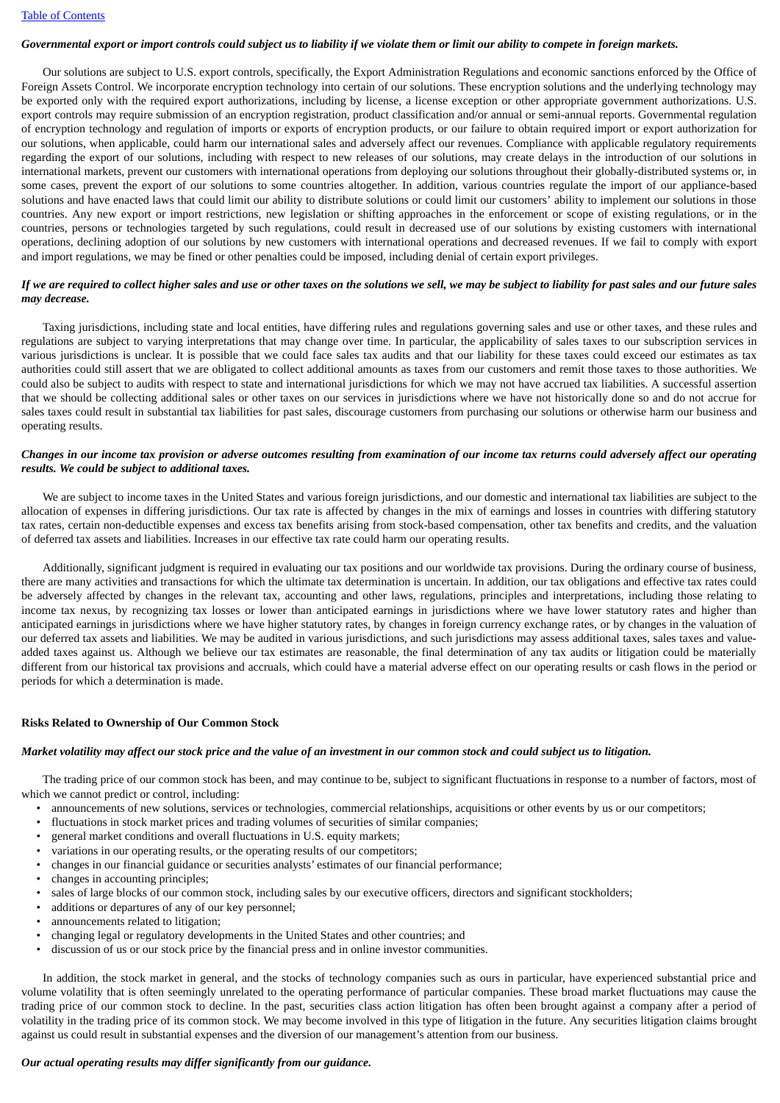### Governmental export or import controls could subject us to liability if we violate them or limit our ability to compete in foreign markets.

Our solutions are subject to U.S. export controls, specifically, the Export Administration Regulations and economic sanctions enforced by the Office of Foreign Assets Control. We incorporate encryption technology into certain of our solutions. These encryption solutions and the underlying technology may be exported only with the required export authorizations, including by license, a license exception or other appropriate government authorizations. U.S. export controls may require submission of an encryption registration, product classification and/or annual or semi-annual reports. Governmental regulation of encryption technology and regulation of imports or exports of encryption products, or our failure to obtain required import or export authorization for our solutions, when applicable, could harm our international sales and adversely affect our revenues. Compliance with applicable regulatory requirements regarding the export of our solutions, including with respect to new releases of our solutions, may create delays in the introduction of our solutions in international markets, prevent our customers with international operations from deploying our solutions throughout their globally-distributed systems or, in some cases, prevent the export of our solutions to some countries altogether. In addition, various countries regulate the import of our appliance-based solutions and have enacted laws that could limit our ability to distribute solutions or could limit our customers' ability to implement our solutions in those countries. Any new export or import restrictions, new legislation or shifting approaches in the enforcement or scope of existing regulations, or in the countries, persons or technologies targeted by such regulations, could result in decreased use of our solutions by existing customers with international operations, declining adoption of our solutions by new customers with international operations and decreased revenues. If we fail to comply with export and import regulations, we may be fined or other penalties could be imposed, including denial of certain export privileges.

### If we are required to collect higher sales and use or other taxes on the solutions we sell, we may be subject to liability for past sales and our future sales *may decrease.*

Taxing jurisdictions, including state and local entities, have differing rules and regulations governing sales and use or other taxes, and these rules and regulations are subject to varying interpretations that may change over time. In particular, the applicability of sales taxes to our subscription services in various jurisdictions is unclear. It is possible that we could face sales tax audits and that our liability for these taxes could exceed our estimates as tax authorities could still assert that we are obligated to collect additional amounts as taxes from our customers and remit those taxes to those authorities. We could also be subject to audits with respect to state and international jurisdictions for which we may not have accrued tax liabilities. A successful assertion that we should be collecting additional sales or other taxes on our services in jurisdictions where we have not historically done so and do not accrue for sales taxes could result in substantial tax liabilities for past sales, discourage customers from purchasing our solutions or otherwise harm our business and operating results.

### Changes in our income tax provision or adverse outcomes resulting from examination of our income tax returns could adversely affect our operating *results. We could be subject to additional taxes.*

We are subject to income taxes in the United States and various foreign jurisdictions, and our domestic and international tax liabilities are subject to the allocation of expenses in differing jurisdictions. Our tax rate is affected by changes in the mix of earnings and losses in countries with differing statutory tax rates, certain non-deductible expenses and excess tax benefits arising from stock-based compensation, other tax benefits and credits, and the valuation of deferred tax assets and liabilities. Increases in our effective tax rate could harm our operating results.

Additionally, significant judgment is required in evaluating our tax positions and our worldwide tax provisions. During the ordinary course of business, there are many activities and transactions for which the ultimate tax determination is uncertain. In addition, our tax obligations and effective tax rates could be adversely affected by changes in the relevant tax, accounting and other laws, regulations, principles and interpretations, including those relating to income tax nexus, by recognizing tax losses or lower than anticipated earnings in jurisdictions where we have lower statutory rates and higher than anticipated earnings in jurisdictions where we have higher statutory rates, by changes in foreign currency exchange rates, or by changes in the valuation of our deferred tax assets and liabilities. We may be audited in various jurisdictions, and such jurisdictions may assess additional taxes, sales taxes and valueadded taxes against us. Although we believe our tax estimates are reasonable, the final determination of any tax audits or litigation could be materially different from our historical tax provisions and accruals, which could have a material adverse effect on our operating results or cash flows in the period or periods for which a determination is made.

#### **Risks Related to Ownership of Our Common Stock**

### Market volatility may affect our stock price and the value of an investment in our common stock and could subject us to litigation.

The trading price of our common stock has been, and may continue to be, subject to significant fluctuations in response to a number of factors, most of which we cannot predict or control, including:

- announcements of new solutions, services or technologies, commercial relationships, acquisitions or other events by us or our competitors;
- fluctuations in stock market prices and trading volumes of securities of similar companies;
- general market conditions and overall fluctuations in U.S. equity markets;
- variations in our operating results, or the operating results of our competitors;
- changes in our financial guidance or securities analysts' estimates of our financial performance;
- changes in accounting principles;
- sales of large blocks of our common stock, including sales by our executive officers, directors and significant stockholders;
- additions or departures of any of our key personnel;
- announcements related to litigation;
- changing legal or regulatory developments in the United States and other countries; and
- discussion of us or our stock price by the financial press and in online investor communities.

In addition, the stock market in general, and the stocks of technology companies such as ours in particular, have experienced substantial price and volume volatility that is often seemingly unrelated to the operating performance of particular companies. These broad market fluctuations may cause the trading price of our common stock to decline. In the past, securities class action litigation has often been brought against a company after a period of volatility in the trading price of its common stock. We may become involved in this type of litigation in the future. Any securities litigation claims brought against us could result in substantial expenses and the diversion of our management's attention from our business.

#### *Our actual operating results may differ significantly from our guidance.*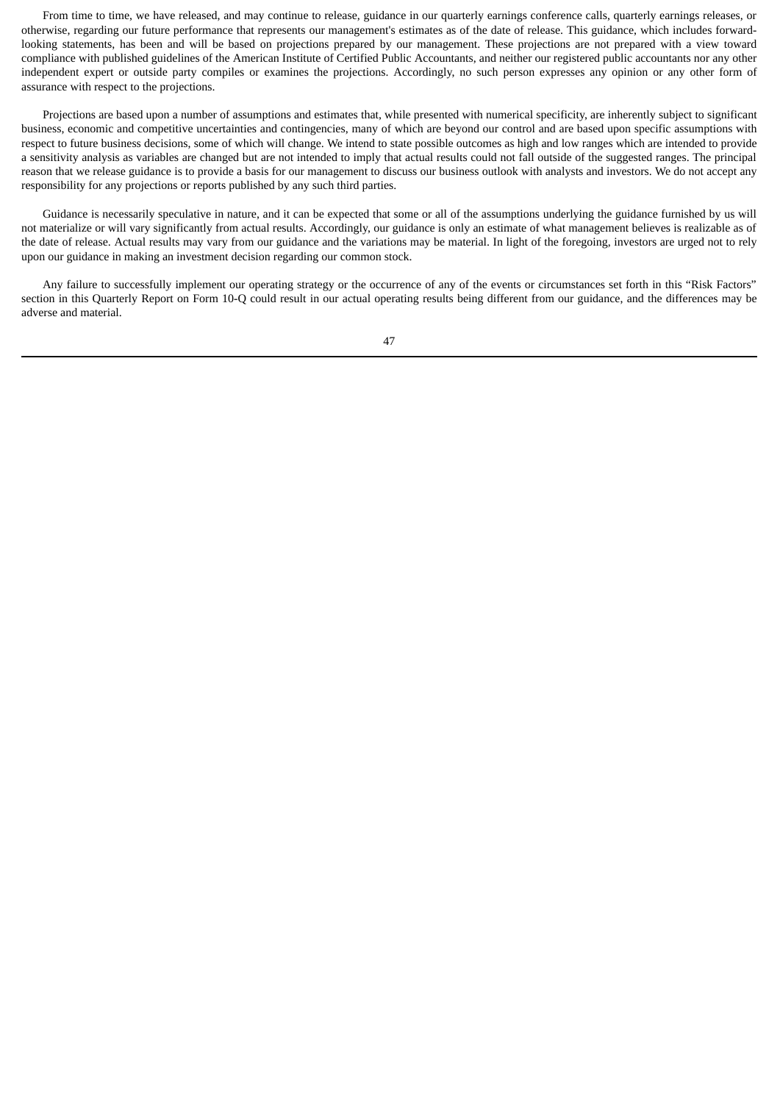From time to time, we have released, and may continue to release, guidance in our quarterly earnings conference calls, quarterly earnings releases, or otherwise, regarding our future performance that represents our management's estimates as of the date of release. This guidance, which includes forwardlooking statements, has been and will be based on projections prepared by our management. These projections are not prepared with a view toward compliance with published guidelines of the American Institute of Certified Public Accountants, and neither our registered public accountants nor any other independent expert or outside party compiles or examines the projections. Accordingly, no such person expresses any opinion or any other form of assurance with respect to the projections.

Projections are based upon a number of assumptions and estimates that, while presented with numerical specificity, are inherently subject to significant business, economic and competitive uncertainties and contingencies, many of which are beyond our control and are based upon specific assumptions with respect to future business decisions, some of which will change. We intend to state possible outcomes as high and low ranges which are intended to provide a sensitivity analysis as variables are changed but are not intended to imply that actual results could not fall outside of the suggested ranges. The principal reason that we release guidance is to provide a basis for our management to discuss our business outlook with analysts and investors. We do not accept any responsibility for any projections or reports published by any such third parties.

Guidance is necessarily speculative in nature, and it can be expected that some or all of the assumptions underlying the guidance furnished by us will not materialize or will vary significantly from actual results. Accordingly, our guidance is only an estimate of what management believes is realizable as of the date of release. Actual results may vary from our guidance and the variations may be material. In light of the foregoing, investors are urged not to rely upon our guidance in making an investment decision regarding our common stock.

Any failure to successfully implement our operating strategy or the occurrence of any of the events or circumstances set forth in this "Risk Factors" section in this Quarterly Report on Form 10-Q could result in our actual operating results being different from our guidance, and the differences may be adverse and material.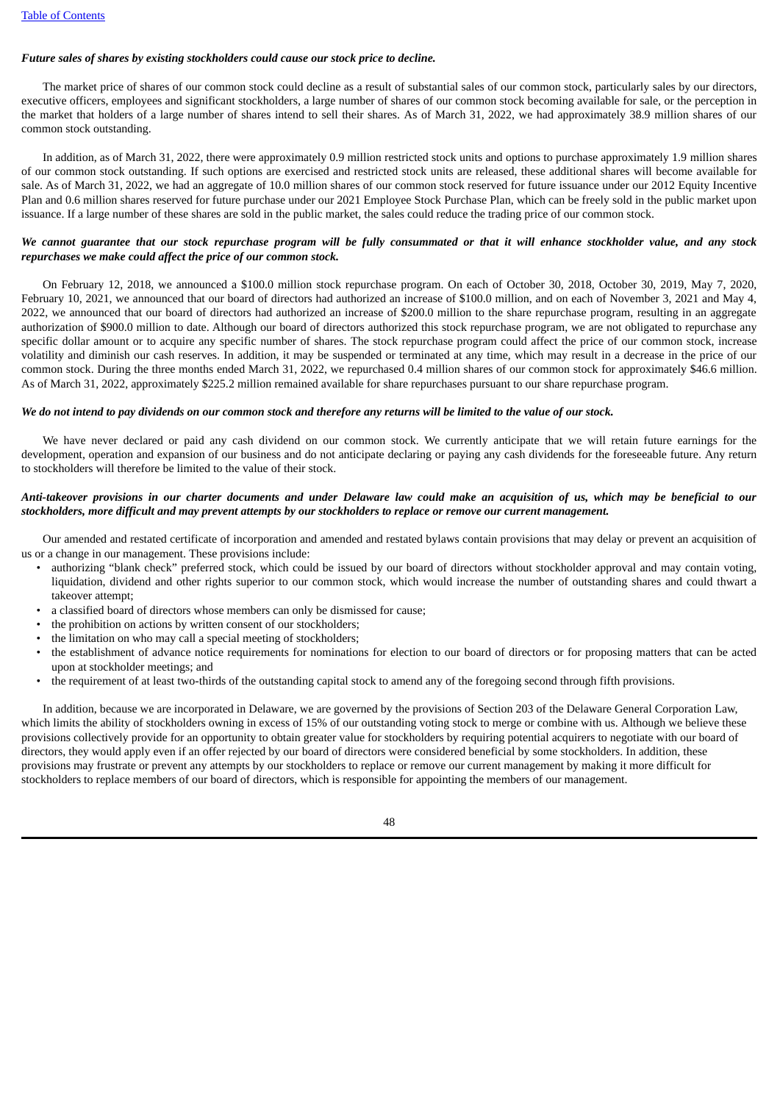## *Future sales of shares by existing stockholders could cause our stock price to decline.*

The market price of shares of our common stock could decline as a result of substantial sales of our common stock, particularly sales by our directors, executive officers, employees and significant stockholders, a large number of shares of our common stock becoming available for sale, or the perception in the market that holders of a large number of shares intend to sell their shares. As of March 31, 2022, we had approximately 38.9 million shares of our common stock outstanding.

In addition, as of March 31, 2022, there were approximately 0.9 million restricted stock units and options to purchase approximately 1.9 million shares of our common stock outstanding. If such options are exercised and restricted stock units are released, these additional shares will become available for sale. As of March 31, 2022, we had an aggregate of 10.0 million shares of our common stock reserved for future issuance under our 2012 Equity Incentive Plan and 0.6 million shares reserved for future purchase under our 2021 Employee Stock Purchase Plan, which can be freely sold in the public market upon issuance. If a large number of these shares are sold in the public market, the sales could reduce the trading price of our common stock.

## We cannot quarantee that our stock repurchase program will be fully consummated or that it will enhance stockholder value, and any stock *repurchases we make could affect the price of our common stock.*

On February 12, 2018, we announced a \$100.0 million stock repurchase program. On each of October 30, 2018, October 30, 2019, May 7, 2020, February 10, 2021, we announced that our board of directors had authorized an increase of \$100.0 million, and on each of November 3, 2021 and May 4, 2022, we announced that our board of directors had authorized an increase of \$200.0 million to the share repurchase program, resulting in an aggregate authorization of \$900.0 million to date. Although our board of directors authorized this stock repurchase program, we are not obligated to repurchase any specific dollar amount or to acquire any specific number of shares. The stock repurchase program could affect the price of our common stock, increase volatility and diminish our cash reserves. In addition, it may be suspended or terminated at any time, which may result in a decrease in the price of our common stock. During the three months ended March 31, 2022, we repurchased 0.4 million shares of our common stock for approximately \$46.6 million. As of March 31, 2022, approximately \$225.2 million remained available for share repurchases pursuant to our share repurchase program.

## We do not intend to pay dividends on our common stock and therefore any returns will be limited to the value of our stock.

We have never declared or paid any cash dividend on our common stock. We currently anticipate that we will retain future earnings for the development, operation and expansion of our business and do not anticipate declaring or paying any cash dividends for the foreseeable future. Any return to stockholders will therefore be limited to the value of their stock.

## Anti-takeover provisions in our charter documents and under Delaware law could make an acquisition of us, which may be beneficial to our stockholders, more difficult and may prevent attempts by our stockholders to replace or remove our current management.

Our amended and restated certificate of incorporation and amended and restated bylaws contain provisions that may delay or prevent an acquisition of us or a change in our management. These provisions include:

- authorizing "blank check" preferred stock, which could be issued by our board of directors without stockholder approval and may contain voting, liquidation, dividend and other rights superior to our common stock, which would increase the number of outstanding shares and could thwart a takeover attempt;
- a classified board of directors whose members can only be dismissed for cause;
- the prohibition on actions by written consent of our stockholders;
- the limitation on who may call a special meeting of stockholders;
- the establishment of advance notice requirements for nominations for election to our board of directors or for proposing matters that can be acted upon at stockholder meetings; and
- the requirement of at least two-thirds of the outstanding capital stock to amend any of the foregoing second through fifth provisions.

In addition, because we are incorporated in Delaware, we are governed by the provisions of Section 203 of the Delaware General Corporation Law, which limits the ability of stockholders owning in excess of 15% of our outstanding voting stock to merge or combine with us. Although we believe these provisions collectively provide for an opportunity to obtain greater value for stockholders by requiring potential acquirers to negotiate with our board of directors, they would apply even if an offer rejected by our board of directors were considered beneficial by some stockholders. In addition, these provisions may frustrate or prevent any attempts by our stockholders to replace or remove our current management by making it more difficult for stockholders to replace members of our board of directors, which is responsible for appointing the members of our management.

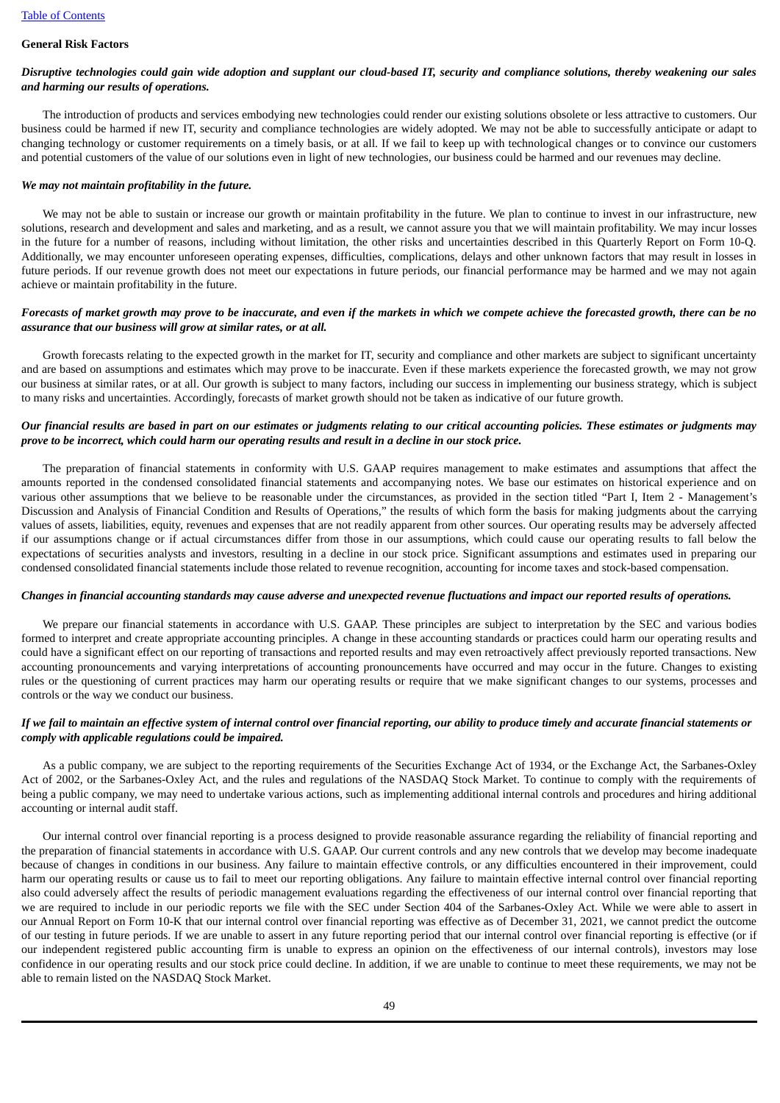## **General Risk Factors**

### Disruptive technologies could gain wide adoption and supplant our cloud-based IT, security and compliance solutions, thereby weakening our sales *and harming our results of operations.*

The introduction of products and services embodying new technologies could render our existing solutions obsolete or less attractive to customers. Our business could be harmed if new IT, security and compliance technologies are widely adopted. We may not be able to successfully anticipate or adapt to changing technology or customer requirements on a timely basis, or at all. If we fail to keep up with technological changes or to convince our customers and potential customers of the value of our solutions even in light of new technologies, our business could be harmed and our revenues may decline.

#### *We may not maintain profitability in the future.*

We may not be able to sustain or increase our growth or maintain profitability in the future. We plan to continue to invest in our infrastructure, new solutions, research and development and sales and marketing, and as a result, we cannot assure you that we will maintain profitability. We may incur losses in the future for a number of reasons, including without limitation, the other risks and uncertainties described in this Quarterly Report on Form 10-Q. Additionally, we may encounter unforeseen operating expenses, difficulties, complications, delays and other unknown factors that may result in losses in future periods. If our revenue growth does not meet our expectations in future periods, our financial performance may be harmed and we may not again achieve or maintain profitability in the future.

### Forecasts of market growth may prove to be inaccurate, and even if the markets in which we compete achieve the forecasted growth, there can be no *assurance that our business will grow at similar rates, or at all.*

Growth forecasts relating to the expected growth in the market for IT, security and compliance and other markets are subject to significant uncertainty and are based on assumptions and estimates which may prove to be inaccurate. Even if these markets experience the forecasted growth, we may not grow our business at similar rates, or at all. Our growth is subject to many factors, including our success in implementing our business strategy, which is subject to many risks and uncertainties. Accordingly, forecasts of market growth should not be taken as indicative of our future growth.

### Our financial results are based in part on our estimates or judgments relating to our critical accounting policies. These estimates or judgments may prove to be incorrect, which could harm our operating results and result in a decline in our stock price.

The preparation of financial statements in conformity with U.S. GAAP requires management to make estimates and assumptions that affect the amounts reported in the condensed consolidated financial statements and accompanying notes. We base our estimates on historical experience and on various other assumptions that we believe to be reasonable under the circumstances, as provided in the section titled "Part I, Item 2 - Management's Discussion and Analysis of Financial Condition and Results of Operations," the results of which form the basis for making judgments about the carrying values of assets, liabilities, equity, revenues and expenses that are not readily apparent from other sources. Our operating results may be adversely affected if our assumptions change or if actual circumstances differ from those in our assumptions, which could cause our operating results to fall below the expectations of securities analysts and investors, resulting in a decline in our stock price. Significant assumptions and estimates used in preparing our condensed consolidated financial statements include those related to revenue recognition, accounting for income taxes and stock-based compensation.

### Changes in financial accounting standards may cause adverse and unexpected revenue fluctuations and impact our reported results of operations.

We prepare our financial statements in accordance with U.S. GAAP. These principles are subject to interpretation by the SEC and various bodies formed to interpret and create appropriate accounting principles. A change in these accounting standards or practices could harm our operating results and could have a significant effect on our reporting of transactions and reported results and may even retroactively affect previously reported transactions. New accounting pronouncements and varying interpretations of accounting pronouncements have occurred and may occur in the future. Changes to existing rules or the questioning of current practices may harm our operating results or require that we make significant changes to our systems, processes and controls or the way we conduct our business.

## If we fail to maintain an effective system of internal control over financial reporting, our ability to produce timely and accurate financial statements or *comply with applicable regulations could be impaired.*

As a public company, we are subject to the reporting requirements of the Securities Exchange Act of 1934, or the Exchange Act, the Sarbanes-Oxley Act of 2002, or the Sarbanes-Oxley Act, and the rules and regulations of the NASDAQ Stock Market. To continue to comply with the requirements of being a public company, we may need to undertake various actions, such as implementing additional internal controls and procedures and hiring additional accounting or internal audit staff.

Our internal control over financial reporting is a process designed to provide reasonable assurance regarding the reliability of financial reporting and the preparation of financial statements in accordance with U.S. GAAP. Our current controls and any new controls that we develop may become inadequate because of changes in conditions in our business. Any failure to maintain effective controls, or any difficulties encountered in their improvement, could harm our operating results or cause us to fail to meet our reporting obligations. Any failure to maintain effective internal control over financial reporting also could adversely affect the results of periodic management evaluations regarding the effectiveness of our internal control over financial reporting that we are required to include in our periodic reports we file with the SEC under Section 404 of the Sarbanes-Oxley Act. While we were able to assert in our Annual Report on Form 10-K that our internal control over financial reporting was effective as of December 31, 2021, we cannot predict the outcome of our testing in future periods. If we are unable to assert in any future reporting period that our internal control over financial reporting is effective (or if our independent registered public accounting firm is unable to express an opinion on the effectiveness of our internal controls), investors may lose confidence in our operating results and our stock price could decline. In addition, if we are unable to continue to meet these requirements, we may not be able to remain listed on the NASDAQ Stock Market.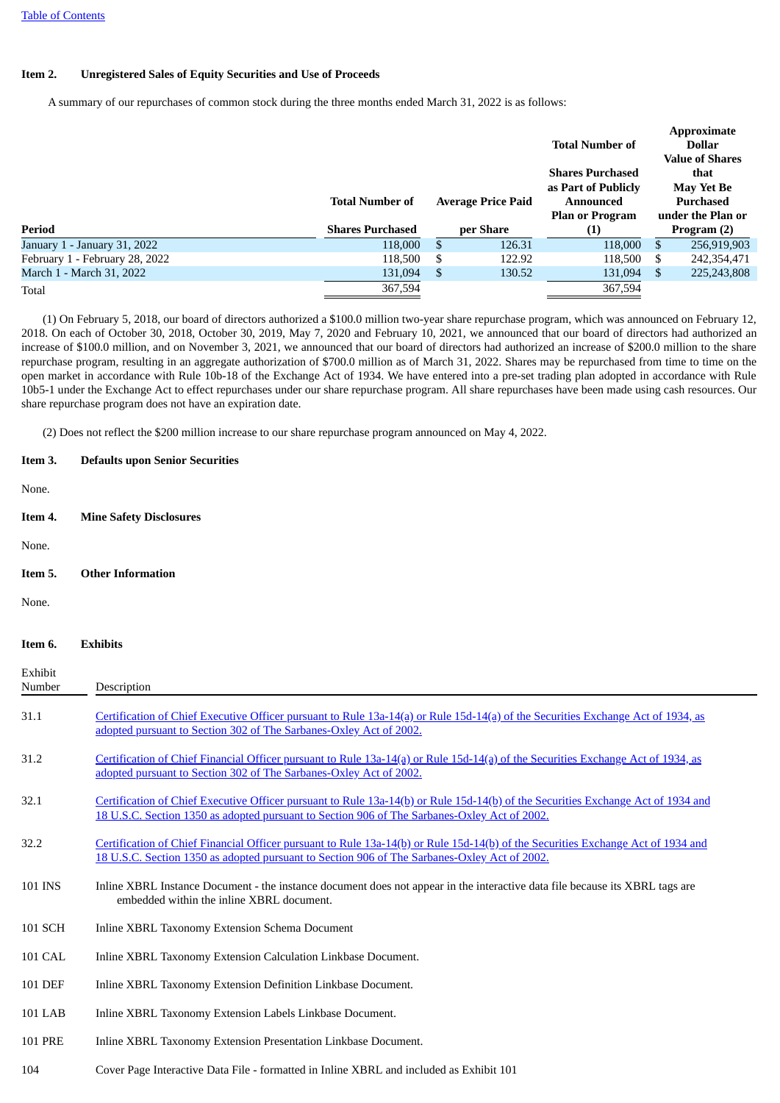## <span id="page-58-0"></span>**Item 2. Unregistered Sales of Equity Securities and Use of Proceeds**

A summary of our repurchases of common stock during the three months ended March 31, 2022 is as follows:

|                                |                         |    |                           | <b>Total Number of</b>                                                                |     | Approximate<br>Dollar<br><b>Value of Shares</b>             |
|--------------------------------|-------------------------|----|---------------------------|---------------------------------------------------------------------------------------|-----|-------------------------------------------------------------|
|                                | <b>Total Number of</b>  |    | <b>Average Price Paid</b> | <b>Shares Purchased</b><br>as Part of Publicly<br>Announced<br><b>Plan or Program</b> |     | that<br><b>May Yet Be</b><br>Purchased<br>under the Plan or |
| Period                         | <b>Shares Purchased</b> |    | per Share                 | (1)                                                                                   |     | Program (2)                                                 |
| January 1 - January 31, 2022   | 118,000                 |    | 126.31                    | 118,000                                                                               | \$. | 256,919,903                                                 |
| February 1 - February 28, 2022 | 118,500                 | -S | 122.92                    | 118,500                                                                               | \$. | 242,354,471                                                 |
| March 1 - March 31, 2022       | 131,094                 | -S | 130.52                    | 131,094                                                                               | S   | 225,243,808                                                 |
| Total                          | 367,594                 |    |                           | 367,594                                                                               |     |                                                             |

(1) On February 5, 2018, our board of directors authorized a \$100.0 million two-year share repurchase program, which was announced on February 12, 2018. On each of October 30, 2018, October 30, 2019, May 7, 2020 and February 10, 2021, we announced that our board of directors had authorized an increase of \$100.0 million, and on November 3, 2021, we announced that our board of directors had authorized an increase of \$200.0 million to the share repurchase program, resulting in an aggregate authorization of \$700.0 million as of March 31, 2022. Shares may be repurchased from time to time on the open market in accordance with Rule 10b-18 of the Exchange Act of 1934. We have entered into a pre-set trading plan adopted in accordance with Rule 10b5-1 under the Exchange Act to effect repurchases under our share repurchase program. All share repurchases have been made using cash resources. Our share repurchase program does not have an expiration date.

(2) Does not reflect the \$200 million increase to our share repurchase program announced on May 4, 2022.

# <span id="page-58-1"></span>**Item 3. Defaults upon Senior Securities**

None.

<span id="page-58-2"></span>

| Item 4. | <b>Mine Safety Disclosures</b> |  |
|---------|--------------------------------|--|
|---------|--------------------------------|--|

None.

<span id="page-58-3"></span>**Item 5. Other Information**

None.

## <span id="page-58-4"></span>**Item 6. Exhibits**

| Exhibit<br>Number | Description                                                                                                                                                                                                                      |
|-------------------|----------------------------------------------------------------------------------------------------------------------------------------------------------------------------------------------------------------------------------|
| 31.1              | Certification of Chief Executive Officer pursuant to Rule 13a-14(a) or Rule 15d-14(a) of the Securities Exchange Act of 1934, as<br>adopted pursuant to Section 302 of The Sarbanes-Oxley Act of 2002.                           |
| 31.2              | Certification of Chief Financial Officer pursuant to Rule 13a-14(a) or Rule 15d-14(a) of the Securities Exchange Act of 1934, as<br>adopted pursuant to Section 302 of The Sarbanes-Oxley Act of 2002.                           |
| 32.1              | Certification of Chief Executive Officer pursuant to Rule 13a-14(b) or Rule 15d-14(b) of the Securities Exchange Act of 1934 and<br>18 U.S.C. Section 1350 as adopted pursuant to Section 906 of The Sarbanes-Oxley Act of 2002. |
| 32.2              | Certification of Chief Financial Officer pursuant to Rule 13a-14(b) or Rule 15d-14(b) of the Securities Exchange Act of 1934 and<br>18 U.S.C. Section 1350 as adopted pursuant to Section 906 of The Sarbanes-Oxley Act of 2002. |
| <b>101 INS</b>    | Inline XBRL Instance Document - the instance document does not appear in the interactive data file because its XBRL tags are<br>embedded within the inline XBRL document.                                                        |
| <b>101 SCH</b>    | Inline XBRL Taxonomy Extension Schema Document                                                                                                                                                                                   |
| 101 CAL           | Inline XBRL Taxonomy Extension Calculation Linkbase Document.                                                                                                                                                                    |
| <b>101 DEF</b>    | Inline XBRL Taxonomy Extension Definition Linkbase Document.                                                                                                                                                                     |
| 101 LAB           | Inline XBRL Taxonomy Extension Labels Linkbase Document.                                                                                                                                                                         |
| <b>101 PRE</b>    | Inline XBRL Taxonomy Extension Presentation Linkbase Document.                                                                                                                                                                   |

104 Cover Page Interactive Data File - formatted in Inline XBRL and included as Exhibit 101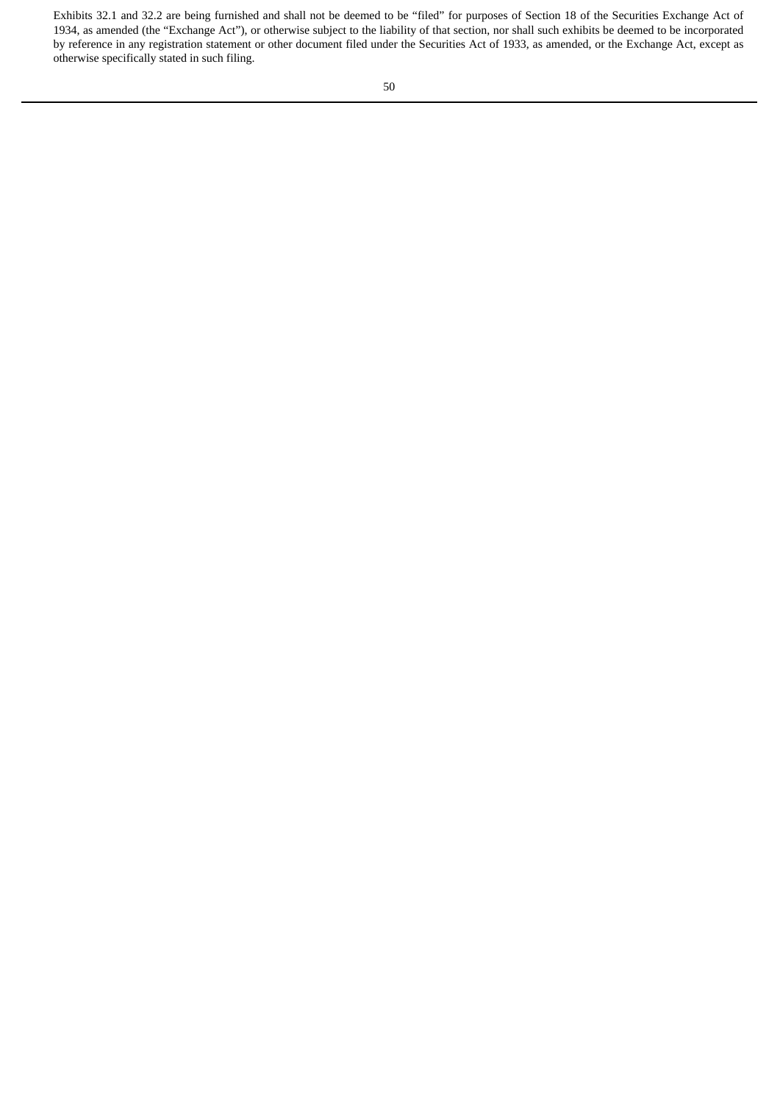Exhibits 32.1 and 32.2 are being furnished and shall not be deemed to be "filed" for purposes of Section 18 of the Securities Exchange Act of 1934, as amended (the "Exchange Act"), or otherwise subject to the liability of that section, nor shall such exhibits be deemed to be incorporated by reference in any registration statement or other document filed under the Securities Act of 1933, as amended, or the Exchange Act, except as otherwise specifically stated in such filing.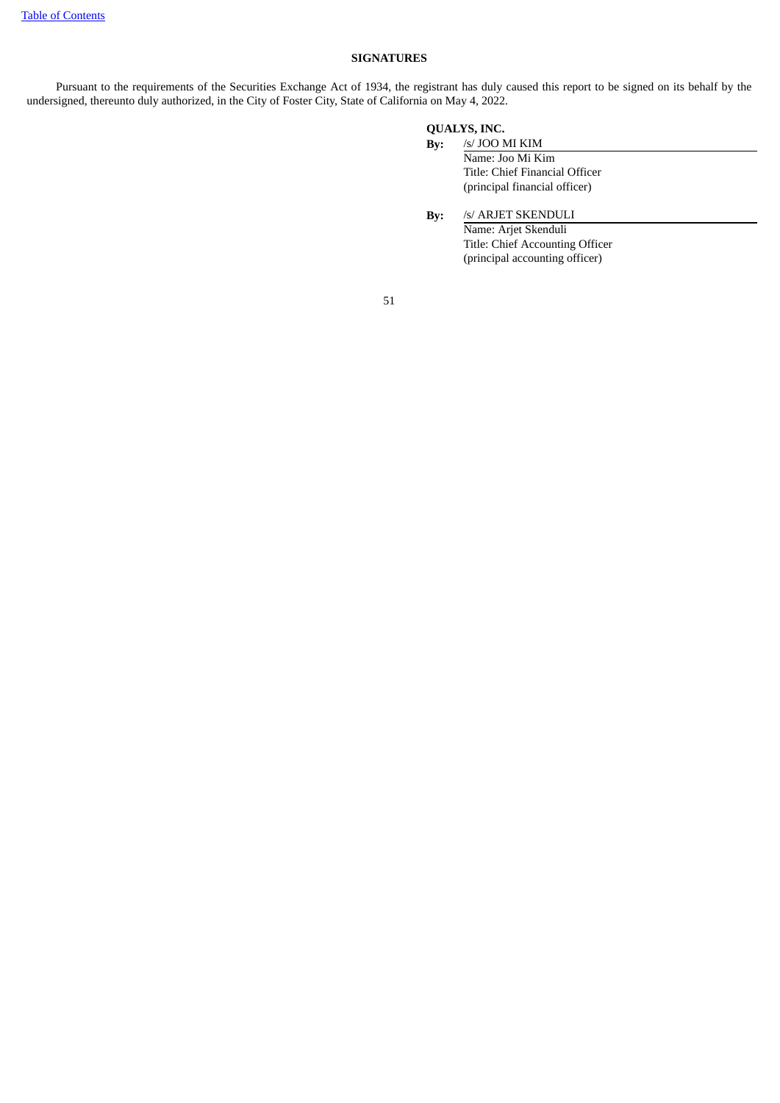## **SIGNATURES**

<span id="page-60-0"></span>Pursuant to the requirements of the Securities Exchange Act of 1934, the registrant has duly caused this report to be signed on its behalf by the undersigned, thereunto duly authorized, in the City of Foster City, State of California on May 4, 2022.

## **QUALYS, INC.**

| By: | /s/ JOO MI KIM                 |
|-----|--------------------------------|
|     | Name: Joo Mi Kim               |
|     | Title: Chief Financial Officer |
|     | (principal financial officer)  |

**By:** /s/ ARJET SKENDULI

Name: Arjet Skenduli Title: Chief Accounting Officer (principal accounting officer)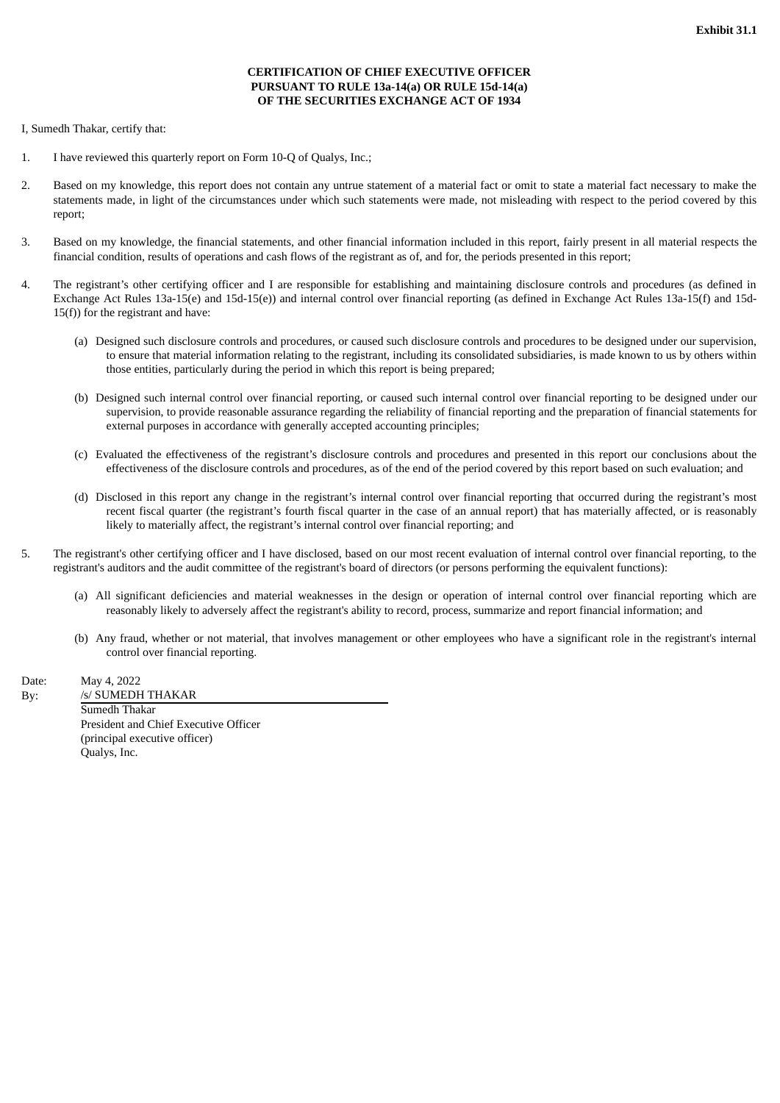## **CERTIFICATION OF CHIEF EXECUTIVE OFFICER PURSUANT TO RULE 13a-14(a) OR RULE 15d-14(a) OF THE SECURITIES EXCHANGE ACT OF 1934**

<span id="page-61-0"></span>I, Sumedh Thakar, certify that:

- 1. I have reviewed this quarterly report on Form 10-Q of Qualys, Inc.;
- 2. Based on my knowledge, this report does not contain any untrue statement of a material fact or omit to state a material fact necessary to make the statements made, in light of the circumstances under which such statements were made, not misleading with respect to the period covered by this report;
- 3. Based on my knowledge, the financial statements, and other financial information included in this report, fairly present in all material respects the financial condition, results of operations and cash flows of the registrant as of, and for, the periods presented in this report;
- 4. The registrant's other certifying officer and I are responsible for establishing and maintaining disclosure controls and procedures (as defined in Exchange Act Rules 13a-15(e) and 15d-15(e)) and internal control over financial reporting (as defined in Exchange Act Rules 13a-15(f) and 15d- $15(f)$ ) for the registrant and have:
	- (a) Designed such disclosure controls and procedures, or caused such disclosure controls and procedures to be designed under our supervision, to ensure that material information relating to the registrant, including its consolidated subsidiaries, is made known to us by others within those entities, particularly during the period in which this report is being prepared;
	- (b) Designed such internal control over financial reporting, or caused such internal control over financial reporting to be designed under our supervision, to provide reasonable assurance regarding the reliability of financial reporting and the preparation of financial statements for external purposes in accordance with generally accepted accounting principles;
	- (c) Evaluated the effectiveness of the registrant's disclosure controls and procedures and presented in this report our conclusions about the effectiveness of the disclosure controls and procedures, as of the end of the period covered by this report based on such evaluation; and
	- (d) Disclosed in this report any change in the registrant's internal control over financial reporting that occurred during the registrant's most recent fiscal quarter (the registrant's fourth fiscal quarter in the case of an annual report) that has materially affected, or is reasonably likely to materially affect, the registrant's internal control over financial reporting; and
- 5. The registrant's other certifying officer and I have disclosed, based on our most recent evaluation of internal control over financial reporting, to the registrant's auditors and the audit committee of the registrant's board of directors (or persons performing the equivalent functions):
	- (a) All significant deficiencies and material weaknesses in the design or operation of internal control over financial reporting which are reasonably likely to adversely affect the registrant's ability to record, process, summarize and report financial information; and
	- (b) Any fraud, whether or not material, that involves management or other employees who have a significant role in the registrant's internal control over financial reporting.

Date: May 4, 2022 By: /s/ SUMEDH THAKAR Sumedh Thakar President and Chief Executive Officer (principal executive officer) Qualys, Inc.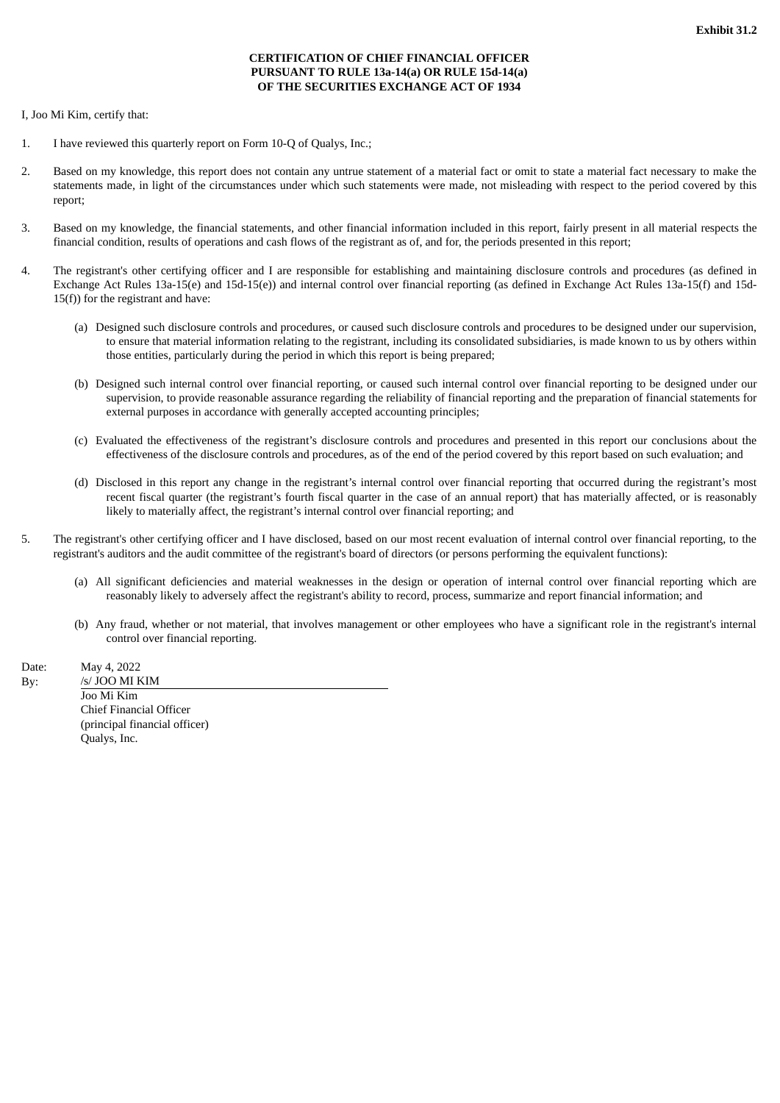## **CERTIFICATION OF CHIEF FINANCIAL OFFICER PURSUANT TO RULE 13a-14(a) OR RULE 15d-14(a) OF THE SECURITIES EXCHANGE ACT OF 1934**

<span id="page-62-0"></span>I, Joo Mi Kim, certify that:

- 1. I have reviewed this quarterly report on Form 10-Q of Qualys, Inc.;
- 2. Based on my knowledge, this report does not contain any untrue statement of a material fact or omit to state a material fact necessary to make the statements made, in light of the circumstances under which such statements were made, not misleading with respect to the period covered by this report;
- 3. Based on my knowledge, the financial statements, and other financial information included in this report, fairly present in all material respects the financial condition, results of operations and cash flows of the registrant as of, and for, the periods presented in this report;
- 4. The registrant's other certifying officer and I are responsible for establishing and maintaining disclosure controls and procedures (as defined in Exchange Act Rules 13a-15(e) and 15d-15(e)) and internal control over financial reporting (as defined in Exchange Act Rules 13a-15(f) and 15d-15(f)) for the registrant and have:
	- (a) Designed such disclosure controls and procedures, or caused such disclosure controls and procedures to be designed under our supervision, to ensure that material information relating to the registrant, including its consolidated subsidiaries, is made known to us by others within those entities, particularly during the period in which this report is being prepared;
	- (b) Designed such internal control over financial reporting, or caused such internal control over financial reporting to be designed under our supervision, to provide reasonable assurance regarding the reliability of financial reporting and the preparation of financial statements for external purposes in accordance with generally accepted accounting principles;
	- (c) Evaluated the effectiveness of the registrant's disclosure controls and procedures and presented in this report our conclusions about the effectiveness of the disclosure controls and procedures, as of the end of the period covered by this report based on such evaluation; and
	- (d) Disclosed in this report any change in the registrant's internal control over financial reporting that occurred during the registrant's most recent fiscal quarter (the registrant's fourth fiscal quarter in the case of an annual report) that has materially affected, or is reasonably likely to materially affect, the registrant's internal control over financial reporting; and
- 5. The registrant's other certifying officer and I have disclosed, based on our most recent evaluation of internal control over financial reporting, to the registrant's auditors and the audit committee of the registrant's board of directors (or persons performing the equivalent functions):
	- (a) All significant deficiencies and material weaknesses in the design or operation of internal control over financial reporting which are reasonably likely to adversely affect the registrant's ability to record, process, summarize and report financial information; and
	- (b) Any fraud, whether or not material, that involves management or other employees who have a significant role in the registrant's internal control over financial reporting.

Date: May 4, 2022 By: /s/ JOO MI KIM Joo Mi Kim Chief Financial Officer (principal financial officer) Qualys, Inc.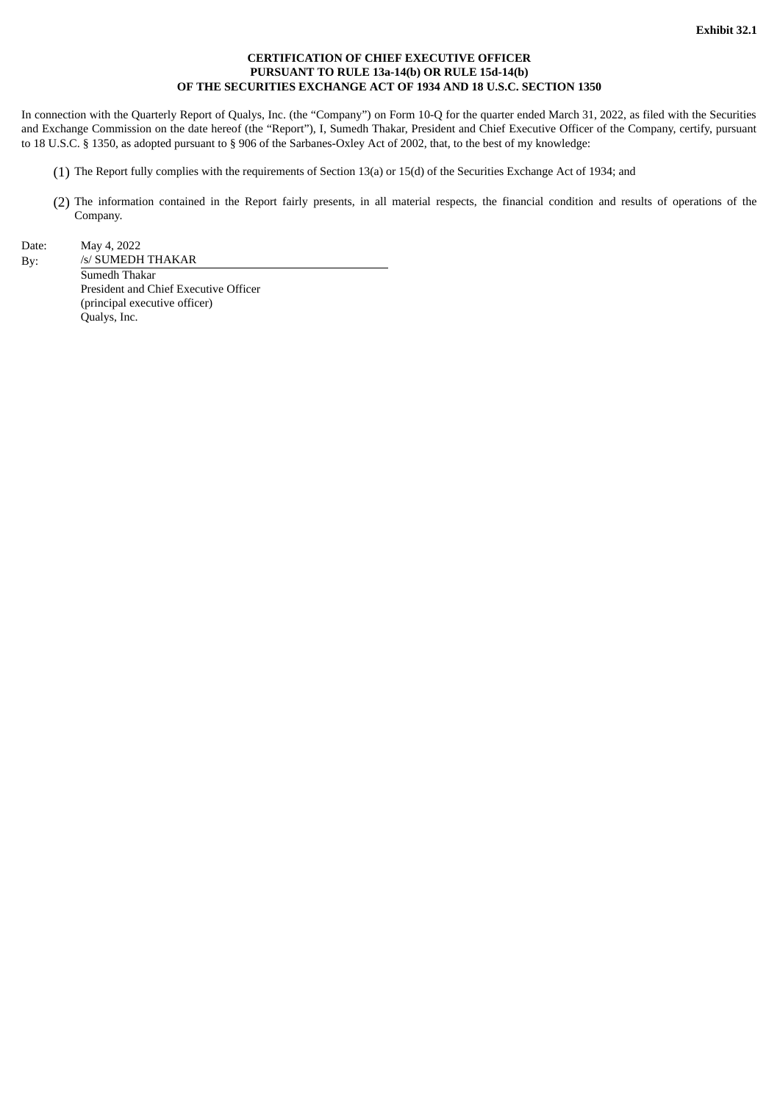## **CERTIFICATION OF CHIEF EXECUTIVE OFFICER PURSUANT TO RULE 13a-14(b) OR RULE 15d-14(b) OF THE SECURITIES EXCHANGE ACT OF 1934 AND 18 U.S.C. SECTION 1350**

<span id="page-63-0"></span>In connection with the Quarterly Report of Qualys, Inc. (the "Company") on Form 10-Q for the quarter ended March 31, 2022, as filed with the Securities and Exchange Commission on the date hereof (the "Report"), I, Sumedh Thakar, President and Chief Executive Officer of the Company, certify, pursuant to 18 U.S.C. § 1350, as adopted pursuant to § 906 of the Sarbanes-Oxley Act of 2002, that, to the best of my knowledge:

- (1) The Report fully complies with the requirements of Section 13(a) or 15(d) of the Securities Exchange Act of 1934; and
- (2) The information contained in the Report fairly presents, in all material respects, the financial condition and results of operations of the Company.

Date: May 4, 2022

By: /s/ SUMEDH THAKAR Sumedh Thakar President and Chief Executive Officer (principal executive officer) Qualys, Inc.